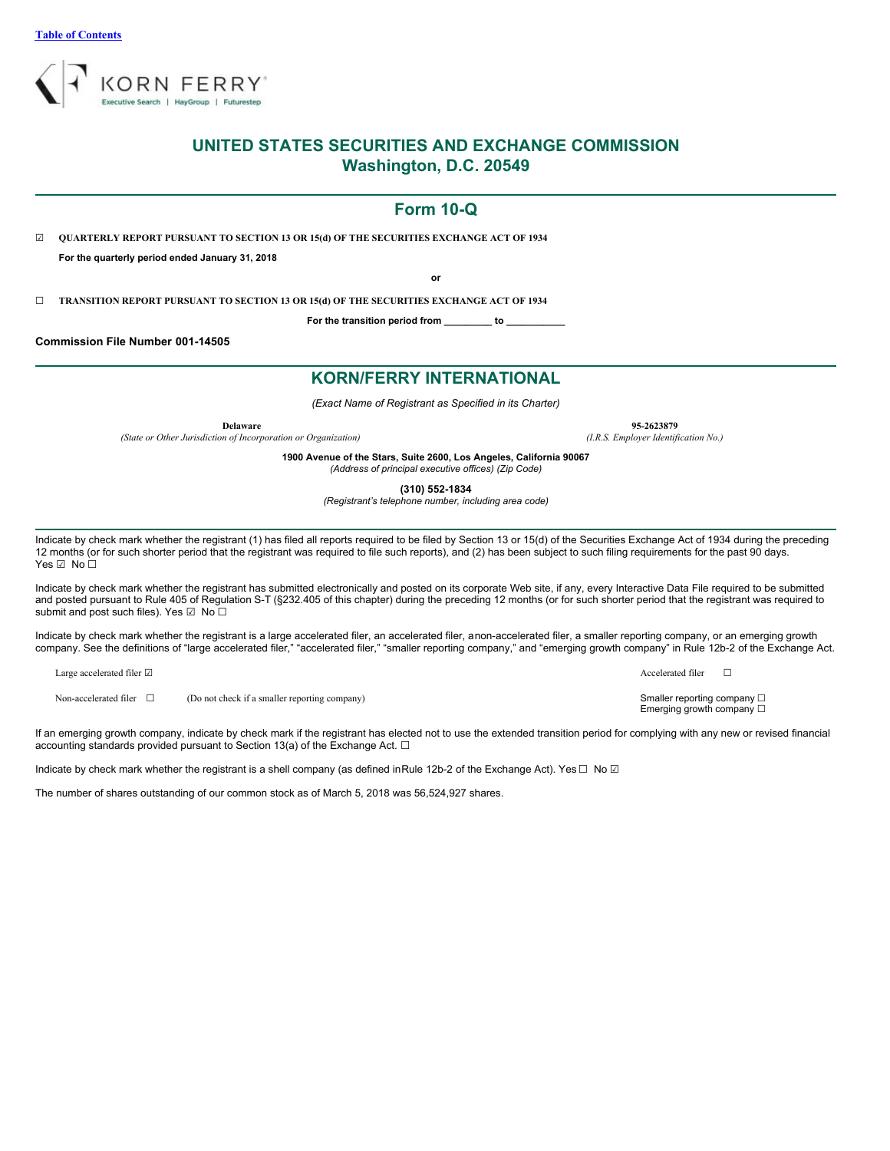<span id="page-0-0"></span>

## **UNITED STATES SECURITIES AND EXCHANGE COMMISSION Washington, D.C. 20549**

## **Form 10-Q**

☑ **QUARTERLY REPORT PURSUANT TO SECTION 13 OR 15(d) OF THE SECURITIES EXCHANGE ACT OF 1934 For the quarterly period ended January 31, 2018**

**or**

☐ **TRANSITION REPORT PURSUANT TO SECTION 13 OR 15(d) OF THE SECURITIES EXCHANGE ACT OF 1934**

**For the transition period from \_\_\_\_\_\_\_\_\_ to \_\_\_\_\_\_\_\_\_\_\_**

**Commission File Number 001-14505**

## **KORN/FERRY INTERNATIONAL**

*(Exact Name of Registrant as Specified in its Charter)*

**Delaware 95-2623879**<br> *I.R.S. Employer Identification No.)*<br> *(I.R.S. Employer Identification No.) (State or Other Jurisdiction of Incorporation or Organization) (I.R.S. Employer Identification No.)*

**1900 Avenue of the Stars, Suite 2600, Los Angeles, California 90067** *(Address of principal executive offices) (Zip Code)*

**(310) 552-1834**

*(Registrant's telephone number, including area code)*

Indicate by check mark whether the registrant (1) has filed all reports required to be filed by Section 13 or 15(d) of the Securities Exchange Act of 1934 during the preceding 12 months (or for such shorter period that the registrant was required to file such reports), and (2) has been subject to such filing requirements for the past 90 days. Yes **2** No □

Indicate by check mark whether the registrant has submitted electronically and posted on its corporate Web site, if any, every Interactive Data File required to be submitted and posted pursuant to Rule 405 of Regulation S-T (§232.405 of this chapter) during the preceding 12 months (or for such shorter period that the registrant was required to submit and post such files). Yes 2 No □

Indicate by check mark whether the registrant is a large accelerated filer, an accelerated filer, anon-accelerated filer, a smaller reporting company, or an emerging growth company. See the definitions of "large accelerated filer," "accelerated filer," "smaller reporting company," and "emerging growth company" in Rule 12b-2 of the Exchange Act.

Large accelerated filer <del>□</del> Accelerated filer □

Non-accelerated filer □ (Do not check if a smaller reporting company) Smaller reporting company □

Emerging growth company □

If an emerging growth company, indicate by check mark if the registrant has elected not to use the extended transition period for complying with any new or revised financial accounting standards provided pursuant to Section 13(a) of the Exchange Act.  $\Box$ 

Indicate by check mark whether the registrant is a shell company (as defined inRule 12b-2 of the Exchange Act). Yes  $\Box$  No  $\Box$ 

The number of shares outstanding of our common stock as of March 5, 2018 was 56,524,927 shares.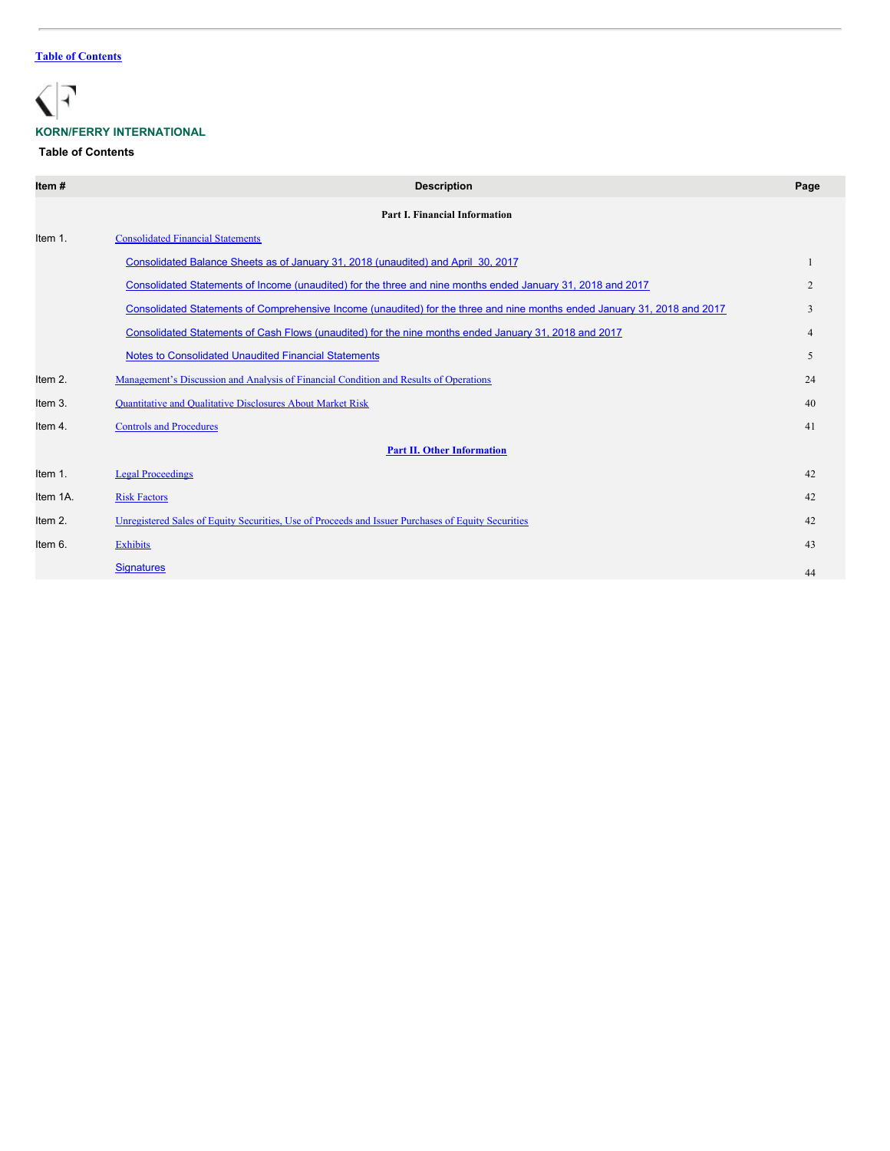## $\mathbf{L}$ **KORN/FERRY INTERNATIONAL**

## <span id="page-1-0"></span>**Table of Contents**

| Item#    | <b>Description</b>                                                                                                        | Page           |
|----------|---------------------------------------------------------------------------------------------------------------------------|----------------|
|          |                                                                                                                           |                |
|          | <b>Part I. Financial Information</b>                                                                                      |                |
| Item 1.  | <b>Consolidated Financial Statements</b>                                                                                  |                |
|          | Consolidated Balance Sheets as of January 31, 2018 (unaudited) and April 30, 2017                                         |                |
|          | Consolidated Statements of Income (unaudited) for the three and nine months ended January 31, 2018 and 2017               | $\overline{2}$ |
|          | Consolidated Statements of Comprehensive Income (unaudited) for the three and nine months ended January 31, 2018 and 2017 | 3              |
|          | Consolidated Statements of Cash Flows (unaudited) for the nine months ended January 31, 2018 and 2017                     | $\overline{4}$ |
|          | <b>Notes to Consolidated Unaudited Financial Statements</b>                                                               | 5              |
| Item 2.  | Management's Discussion and Analysis of Financial Condition and Results of Operations                                     | 24             |
| Item 3.  | <b>Quantitative and Qualitative Disclosures About Market Risk</b>                                                         | 40             |
| Item 4.  | <b>Controls and Procedures</b>                                                                                            | 41             |
|          | <b>Part II. Other Information</b>                                                                                         |                |
| Item 1.  | <b>Legal Proceedings</b>                                                                                                  | 42             |
| Item 1A. | <b>Risk Factors</b>                                                                                                       | 42             |
| Item 2.  | Unregistered Sales of Equity Securities, Use of Proceeds and Issuer Purchases of Equity Securities                        | 42             |
| Item 6.  | <b>Exhibits</b>                                                                                                           | 43             |
|          | <b>Signatures</b>                                                                                                         | 44             |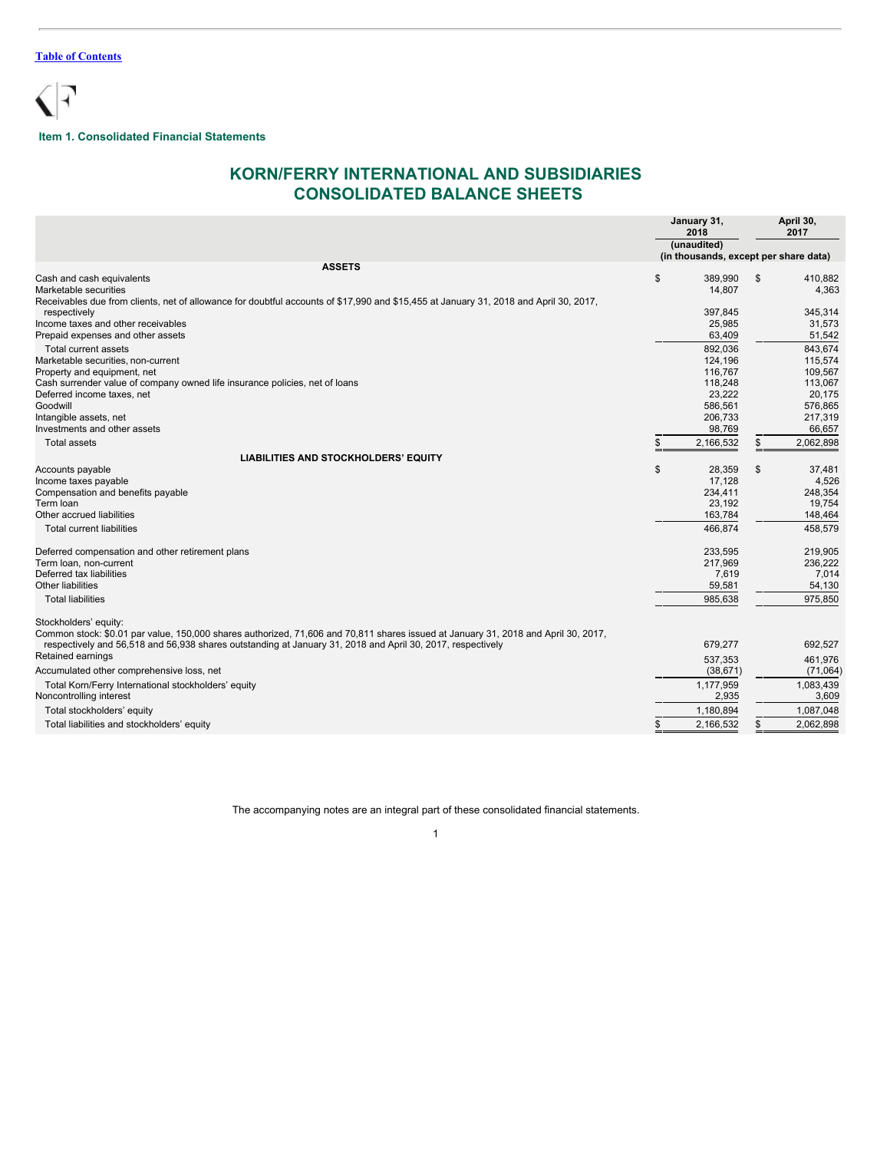<span id="page-2-0"></span> $\sqrt{7}$ **Item 1. Consolidated Financial Statements**

## <span id="page-2-1"></span>**KORN/FERRY INTERNATIONAL AND SUBSIDIARIES CONSOLIDATED BALANCE SHEETS**

|                                                                                                                                       | January 31,<br>2018 |                                       |    | April 30,<br>2017 |  |
|---------------------------------------------------------------------------------------------------------------------------------------|---------------------|---------------------------------------|----|-------------------|--|
|                                                                                                                                       |                     | (unaudited)                           |    |                   |  |
|                                                                                                                                       |                     | (in thousands, except per share data) |    |                   |  |
| <b>ASSETS</b>                                                                                                                         |                     |                                       |    |                   |  |
| Cash and cash equivalents<br>Marketable securities                                                                                    | \$                  | 389.990                               | \$ | 410.882           |  |
| Receivables due from clients, net of allowance for doubtful accounts of \$17,990 and \$15,455 at January 31, 2018 and April 30, 2017, |                     | 14,807                                |    | 4,363             |  |
| respectively                                                                                                                          |                     | 397,845                               |    | 345,314           |  |
| Income taxes and other receivables                                                                                                    |                     | 25,985                                |    | 31,573            |  |
| Prepaid expenses and other assets                                                                                                     |                     | 63,409                                |    | 51,542            |  |
| Total current assets                                                                                                                  |                     | 892,036                               |    | 843,674           |  |
| Marketable securities, non-current                                                                                                    |                     | 124,196                               |    | 115,574           |  |
| Property and equipment, net                                                                                                           |                     | 116,767                               |    | 109.567           |  |
| Cash surrender value of company owned life insurance policies, net of loans                                                           |                     | 118,248                               |    | 113,067           |  |
| Deferred income taxes, net                                                                                                            |                     | 23,222                                |    | 20,175            |  |
| Goodwill                                                                                                                              |                     | 586,561                               |    | 576,865           |  |
| Intangible assets, net                                                                                                                |                     | 206,733                               |    | 217,319           |  |
| Investments and other assets                                                                                                          |                     | 98,769                                |    | 66,657            |  |
| Total assets                                                                                                                          | \$                  | 2,166,532                             | \$ | 2,062,898         |  |
|                                                                                                                                       |                     |                                       |    |                   |  |
| <b>LIABILITIES AND STOCKHOLDERS' EQUITY</b>                                                                                           |                     |                                       |    |                   |  |
| Accounts payable                                                                                                                      | \$                  | 28,359                                | \$ | 37,481            |  |
| Income taxes payable                                                                                                                  |                     | 17,128                                |    | 4,526             |  |
| Compensation and benefits payable<br>Term loan                                                                                        |                     | 234,411<br>23,192                     |    | 248,354<br>19,754 |  |
| Other accrued liabilities                                                                                                             |                     | 163,784                               |    | 148,464           |  |
|                                                                                                                                       |                     |                                       |    |                   |  |
| <b>Total current liabilities</b>                                                                                                      |                     | 466,874                               |    | 458,579           |  |
| Deferred compensation and other retirement plans                                                                                      |                     | 233,595                               |    | 219,905           |  |
| Term loan, non-current                                                                                                                |                     | 217,969                               |    | 236,222           |  |
| Deferred tax liabilities                                                                                                              |                     | 7,619                                 |    | 7,014             |  |
| Other liabilities                                                                                                                     |                     | 59,581                                |    | 54,130            |  |
| <b>Total liabilities</b>                                                                                                              |                     | 985,638                               |    | 975,850           |  |
| Stockholders' equity:                                                                                                                 |                     |                                       |    |                   |  |
| Common stock: \$0.01 par value, 150,000 shares authorized, 71,606 and 70,811 shares issued at January 31, 2018 and April 30, 2017,    |                     |                                       |    |                   |  |
| respectively and 56,518 and 56,938 shares outstanding at January 31, 2018 and April 30, 2017, respectively                            |                     | 679,277                               |    | 692,527           |  |
| Retained earnings                                                                                                                     |                     | 537,353                               |    | 461.976           |  |
| Accumulated other comprehensive loss, net                                                                                             |                     | (38, 671)                             |    | (71,064)          |  |
| Total Korn/Ferry International stockholders' equity                                                                                   |                     | 1,177,959                             |    | 1,083,439         |  |
| Noncontrolling interest                                                                                                               |                     | 2,935                                 |    | 3,609             |  |
| Total stockholders' equity                                                                                                            |                     | 1,180,894                             |    | 1,087,048         |  |
|                                                                                                                                       |                     | 2,166,532                             |    | 2,062,898         |  |
| Total liabilities and stockholders' equity                                                                                            | \$                  |                                       |    |                   |  |

The accompanying notes are an integral part of these consolidated financial statements.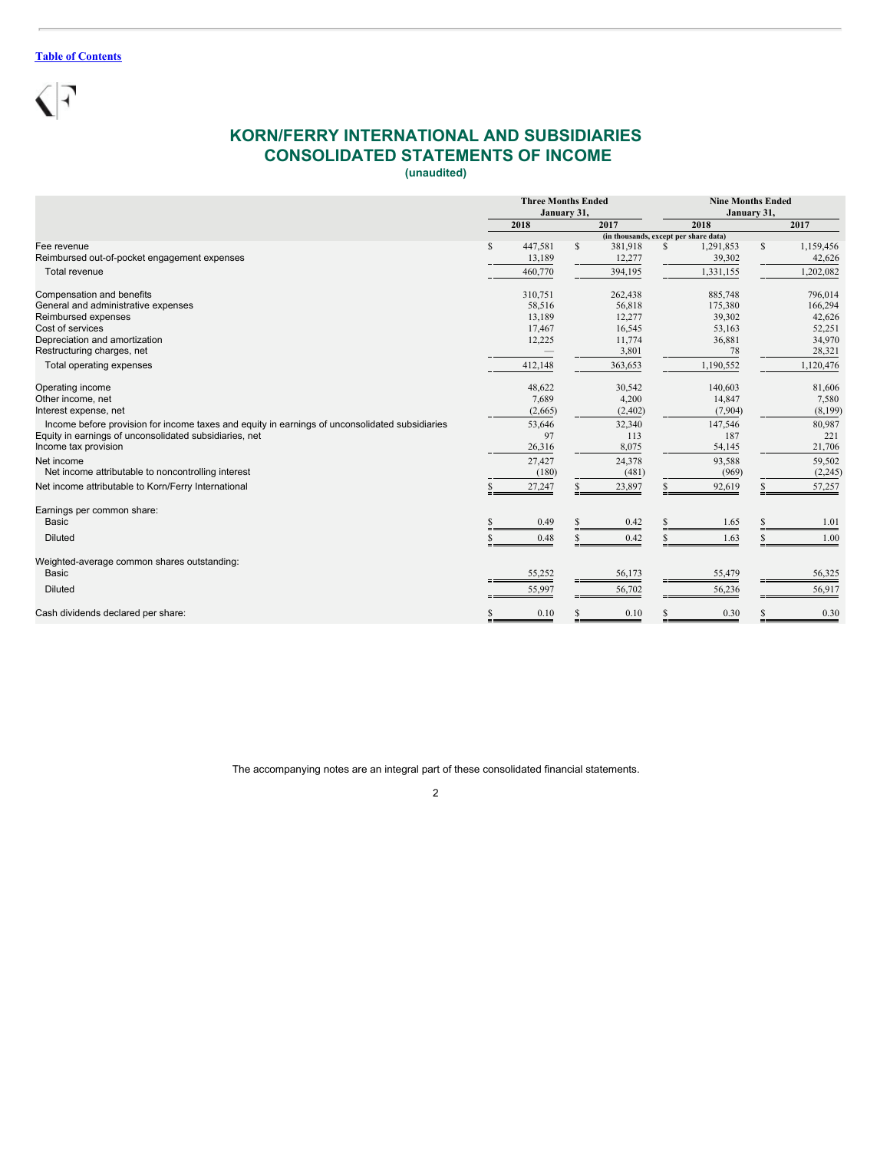

## <span id="page-3-0"></span>**KORN/FERRY INTERNATIONAL AND SUBSIDIARIES CONSOLIDATED STATEMENTS OF INCOME**

**(unaudited)**

|                                                                                                | <b>Three Months Ended</b><br>January 31, |         |               |                                       |   | <b>Nine Months Ended</b><br>January 31, |    |           |  |
|------------------------------------------------------------------------------------------------|------------------------------------------|---------|---------------|---------------------------------------|---|-----------------------------------------|----|-----------|--|
|                                                                                                |                                          | 2018    |               | 2017                                  |   | 2018                                    |    | 2017      |  |
|                                                                                                |                                          |         |               | (in thousands, except per share data) |   |                                         |    |           |  |
| Fee revenue                                                                                    | S                                        | 447,581 | <sup>\$</sup> | 381,918                               | S | 1,291,853                               | \$ | 1,159,456 |  |
| Reimbursed out-of-pocket engagement expenses                                                   |                                          | 13,189  |               | 12,277                                |   | 39,302                                  |    | 42,626    |  |
| Total revenue                                                                                  |                                          | 460,770 |               | 394,195                               |   | 1,331,155                               |    | 1,202,082 |  |
| Compensation and benefits                                                                      |                                          | 310,751 |               | 262,438                               |   | 885,748                                 |    | 796,014   |  |
| General and administrative expenses                                                            |                                          | 58,516  |               | 56,818                                |   | 175,380                                 |    | 166,294   |  |
| Reimbursed expenses                                                                            |                                          | 13,189  |               | 12,277                                |   | 39,302                                  |    | 42,626    |  |
| Cost of services                                                                               |                                          | 17,467  |               | 16,545                                |   | 53,163                                  |    | 52,251    |  |
| Depreciation and amortization                                                                  |                                          | 12,225  |               | 11,774                                |   | 36,881                                  |    | 34,970    |  |
| Restructuring charges, net                                                                     |                                          |         |               | 3,801                                 |   | 78                                      |    | 28,321    |  |
| Total operating expenses                                                                       |                                          | 412,148 |               | 363,653                               |   | 1,190,552                               |    | 1,120,476 |  |
| Operating income                                                                               |                                          | 48,622  |               | 30,542                                |   | 140,603                                 |    | 81,606    |  |
| Other income, net                                                                              |                                          | 7,689   |               | 4,200                                 |   | 14,847                                  |    | 7,580     |  |
| Interest expense, net                                                                          |                                          | (2,665) |               | (2, 402)                              |   | (7,904)                                 |    | (8,199)   |  |
| Income before provision for income taxes and equity in earnings of unconsolidated subsidiaries |                                          | 53,646  |               | 32,340                                |   | 147,546                                 |    | 80,987    |  |
| Equity in earnings of unconsolidated subsidiaries, net                                         |                                          | 97      |               | 113                                   |   | 187                                     |    | 221       |  |
| Income tax provision                                                                           |                                          | 26,316  |               | 8,075                                 |   | 54,145                                  |    | 21,706    |  |
| Net income                                                                                     |                                          | 27,427  |               | 24,378                                |   | 93,588                                  |    | 59,502    |  |
| Net income attributable to noncontrolling interest                                             |                                          | (180)   |               | (481)                                 |   | (969)                                   |    | (2,245)   |  |
| Net income attributable to Korn/Ferry International                                            |                                          | 27,247  | \$.           | 23,897                                |   | 92,619                                  | S. | 57,257    |  |
| Earnings per common share:                                                                     |                                          |         |               |                                       |   |                                         |    |           |  |
| Basic                                                                                          |                                          | 0.49    |               | 0.42                                  |   | 1.65                                    |    | 1.01      |  |
| <b>Diluted</b>                                                                                 |                                          | 0.48    |               | 0.42                                  |   | 1.63                                    |    | 1.00      |  |
| Weighted-average common shares outstanding:                                                    |                                          |         |               |                                       |   |                                         |    |           |  |
| Basic                                                                                          |                                          | 55,252  |               | 56,173                                |   | 55,479                                  |    | 56,325    |  |
| <b>Diluted</b>                                                                                 |                                          | 55,997  |               | 56,702                                |   | 56,236                                  |    | 56,917    |  |
| Cash dividends declared per share:                                                             | \$<br>$=$                                | 0.10    | S             | 0.10                                  |   | 0.30                                    | S  | 0.30      |  |

The accompanying notes are an integral part of these consolidated financial statements.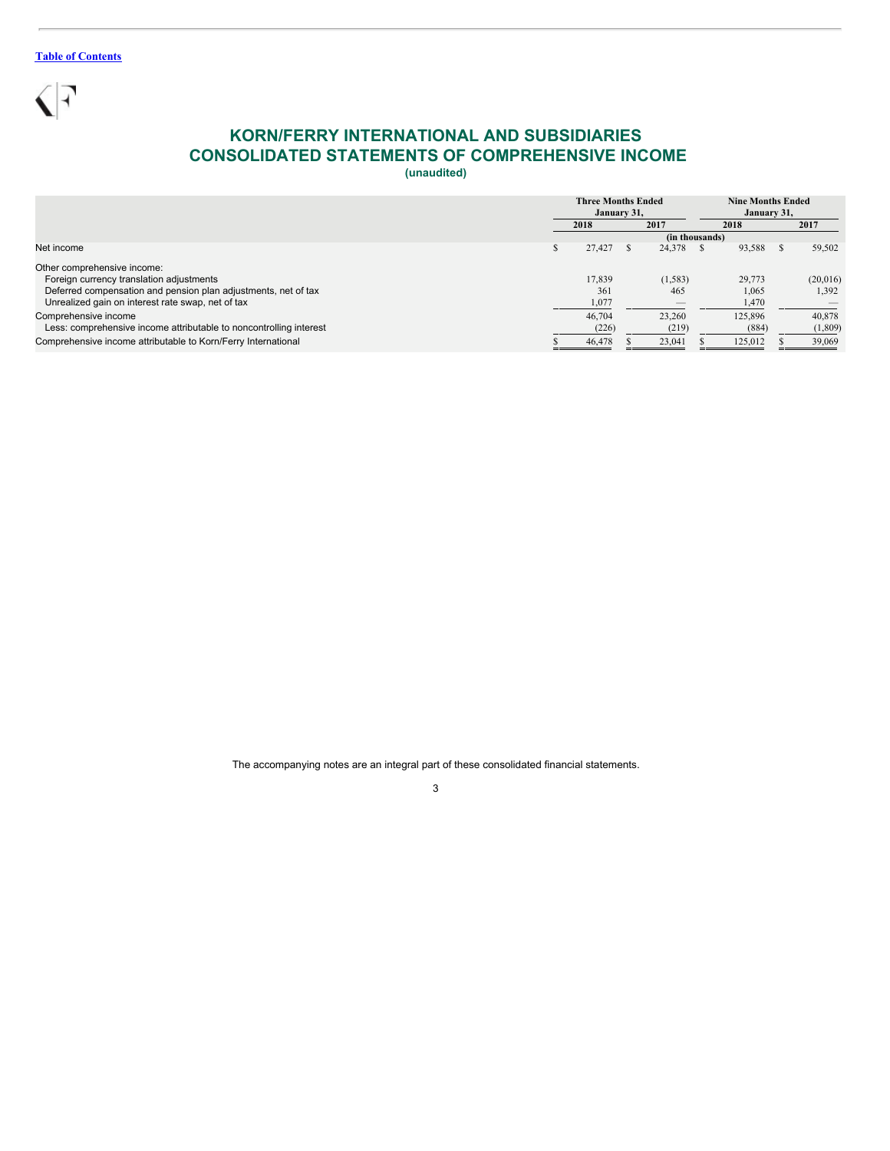

## <span id="page-4-0"></span>**KORN/FERRY INTERNATIONAL AND SUBSIDIARIES CONSOLIDATED STATEMENTS OF COMPREHENSIVE INCOME**

**(unaudited)**

|                                                                    | <b>Three Months Ended</b><br>January 31, |      |           | <b>Nine Months Ended</b><br>January 31, |         |  |          |  |
|--------------------------------------------------------------------|------------------------------------------|------|-----------|-----------------------------------------|---------|--|----------|--|
|                                                                    | 2018                                     | 2017 |           | 2018                                    |         |  | 2017     |  |
|                                                                    |                                          |      |           | (in thousands)                          |         |  |          |  |
| Net income                                                         | 27,427                                   |      | 24,378 \$ |                                         | 93,588  |  | 59,502   |  |
| Other comprehensive income:                                        |                                          |      |           |                                         |         |  |          |  |
| Foreign currency translation adjustments                           | 17.839                                   |      | (1,583)   |                                         | 29,773  |  | (20,016) |  |
| Deferred compensation and pension plan adjustments, net of tax     | 361                                      |      | 465       |                                         | 1.065   |  | 1,392    |  |
| Unrealized gain on interest rate swap, net of tax                  | 1,077                                    |      |           |                                         | 1,470   |  |          |  |
| Comprehensive income                                               | 46,704                                   |      | 23,260    |                                         | 125,896 |  | 40,878   |  |
| Less: comprehensive income attributable to noncontrolling interest | (226)                                    |      | (219)     |                                         | (884)   |  | (1,809)  |  |
| Comprehensive income attributable to Korn/Ferry International      | 46,478                                   |      | 23,041    |                                         | 125,012 |  | 39,069   |  |

The accompanying notes are an integral part of these consolidated financial statements.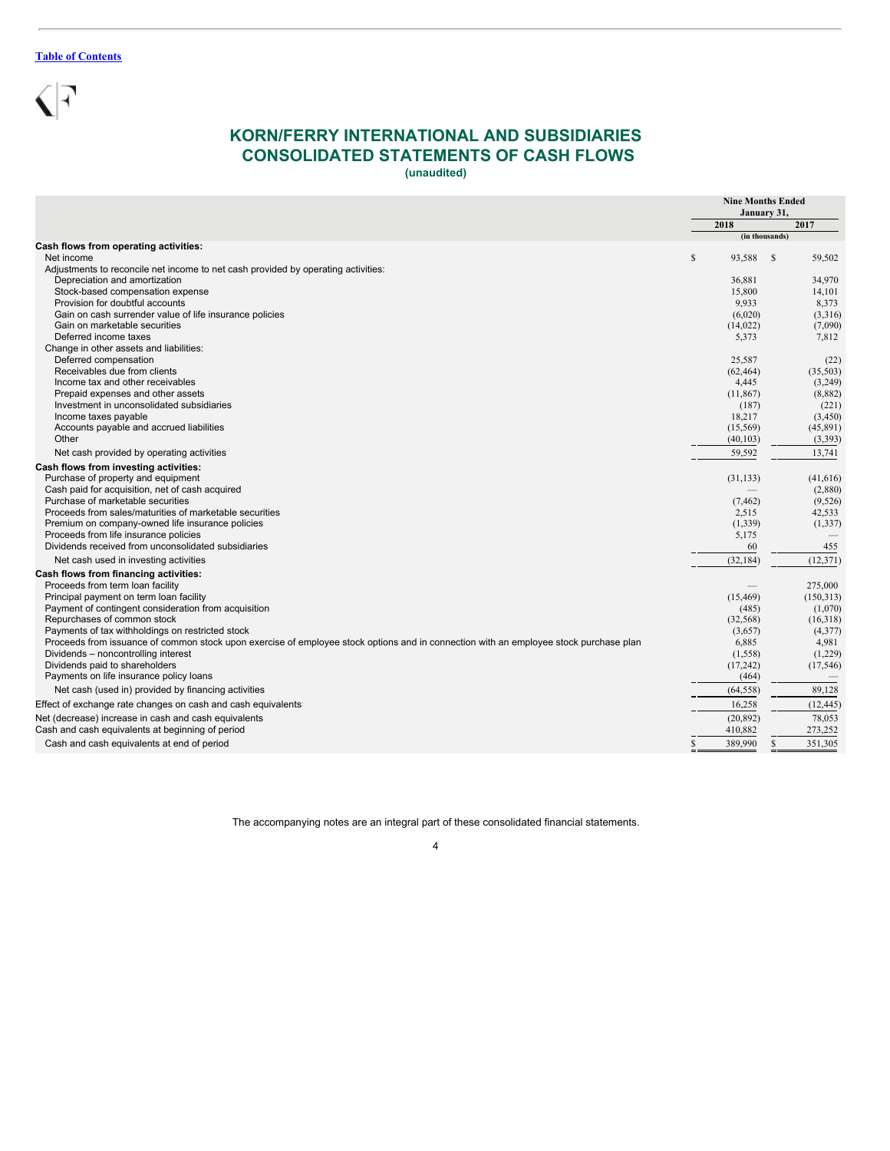

## <span id="page-5-0"></span>**KORN/FERRY INTERNATIONAL AND SUBSIDIARIES CONSOLIDATED STATEMENTS OF CASH FLOWS**

**(unaudited)**

|                                                                                                                                       |     | <b>Nine Months Ended</b><br>January 31, |                |            |
|---------------------------------------------------------------------------------------------------------------------------------------|-----|-----------------------------------------|----------------|------------|
|                                                                                                                                       |     | 2018                                    |                | 2017       |
|                                                                                                                                       |     |                                         | (in thousands) |            |
| <b>Cash flows from operating activities:</b><br>Net income                                                                            | \$  | 93,588                                  | <sup>\$</sup>  | 59,502     |
| Adjustments to reconcile net income to net cash provided by operating activities:                                                     |     |                                         |                |            |
| Depreciation and amortization                                                                                                         |     | 36,881                                  |                | 34,970     |
| Stock-based compensation expense                                                                                                      |     | 15,800                                  |                | 14,101     |
| Provision for doubtful accounts                                                                                                       |     | 9,933                                   |                | 8,373      |
| Gain on cash surrender value of life insurance policies                                                                               |     | (6,020)                                 |                | (3,316)    |
| Gain on marketable securities                                                                                                         |     | (14, 022)                               |                | (7,090)    |
| Deferred income taxes                                                                                                                 |     | 5,373                                   |                | 7,812      |
| Change in other assets and liabilities:                                                                                               |     |                                         |                |            |
| Deferred compensation                                                                                                                 |     | 25,587                                  |                | (22)       |
| Receivables due from clients                                                                                                          |     | (62, 464)                               |                | (35,503)   |
| Income tax and other receivables                                                                                                      |     | 4,445                                   |                | (3,249)    |
| Prepaid expenses and other assets                                                                                                     |     | (11, 867)                               |                | (8,882)    |
| Investment in unconsolidated subsidiaries                                                                                             |     | (187)                                   |                | (221)      |
| Income taxes payable                                                                                                                  |     | 18,217                                  |                | (3,450)    |
| Accounts payable and accrued liabilities                                                                                              |     | (15, 569)                               |                | (45,891)   |
| Other                                                                                                                                 |     | (40, 103)                               |                | (3,393)    |
| Net cash provided by operating activities                                                                                             |     | 59,592                                  |                | 13,741     |
| Cash flows from investing activities:                                                                                                 |     |                                         |                |            |
| Purchase of property and equipment                                                                                                    |     | (31, 133)                               |                | (41,616)   |
| Cash paid for acquisition, net of cash acquired                                                                                       |     |                                         |                | (2,880)    |
| Purchase of marketable securities                                                                                                     |     | (7, 462)                                |                | (9,526)    |
| Proceeds from sales/maturities of marketable securities                                                                               |     | 2,515                                   |                | 42,533     |
| Premium on company-owned life insurance policies                                                                                      |     | (1, 339)                                |                | (1, 337)   |
| Proceeds from life insurance policies                                                                                                 |     | 5,175                                   |                |            |
| Dividends received from unconsolidated subsidiaries                                                                                   |     | 60                                      |                | 455        |
| Net cash used in investing activities                                                                                                 |     | (32, 184)                               |                | (12, 371)  |
| <b>Cash flows from financing activities:</b>                                                                                          |     |                                         |                |            |
| Proceeds from term loan facility                                                                                                      |     |                                         |                | 275,000    |
| Principal payment on term loan facility                                                                                               |     | (15, 469)                               |                | (150, 313) |
| Payment of contingent consideration from acquisition                                                                                  |     | (485)                                   |                | (1,070)    |
| Repurchases of common stock                                                                                                           |     | (32, 568)                               |                | (16,318)   |
| Payments of tax withholdings on restricted stock                                                                                      |     | (3,657)                                 |                | (4,377)    |
| Proceeds from issuance of common stock upon exercise of employee stock options and in connection with an employee stock purchase plan |     | 6,885                                   |                | 4,981      |
| Dividends - noncontrolling interest                                                                                                   |     | (1, 558)                                |                | (1,229)    |
| Dividends paid to shareholders                                                                                                        |     | (17,242)                                |                | (17, 546)  |
| Payments on life insurance policy loans                                                                                               |     | (464)                                   |                |            |
| Net cash (used in) provided by financing activities                                                                                   |     | (64, 558)                               |                | 89,128     |
| Effect of exchange rate changes on cash and cash equivalents                                                                          |     | 16,258                                  |                | (12, 445)  |
| Net (decrease) increase in cash and cash equivalents                                                                                  |     | (20, 892)                               |                | 78,053     |
| Cash and cash equivalents at beginning of period                                                                                      |     | 410,882                                 |                | 273,252    |
| Cash and cash equivalents at end of period                                                                                            | \$. | 389,990                                 | <sup>\$</sup>  | 351,305    |

The accompanying notes are an integral part of these consolidated financial statements.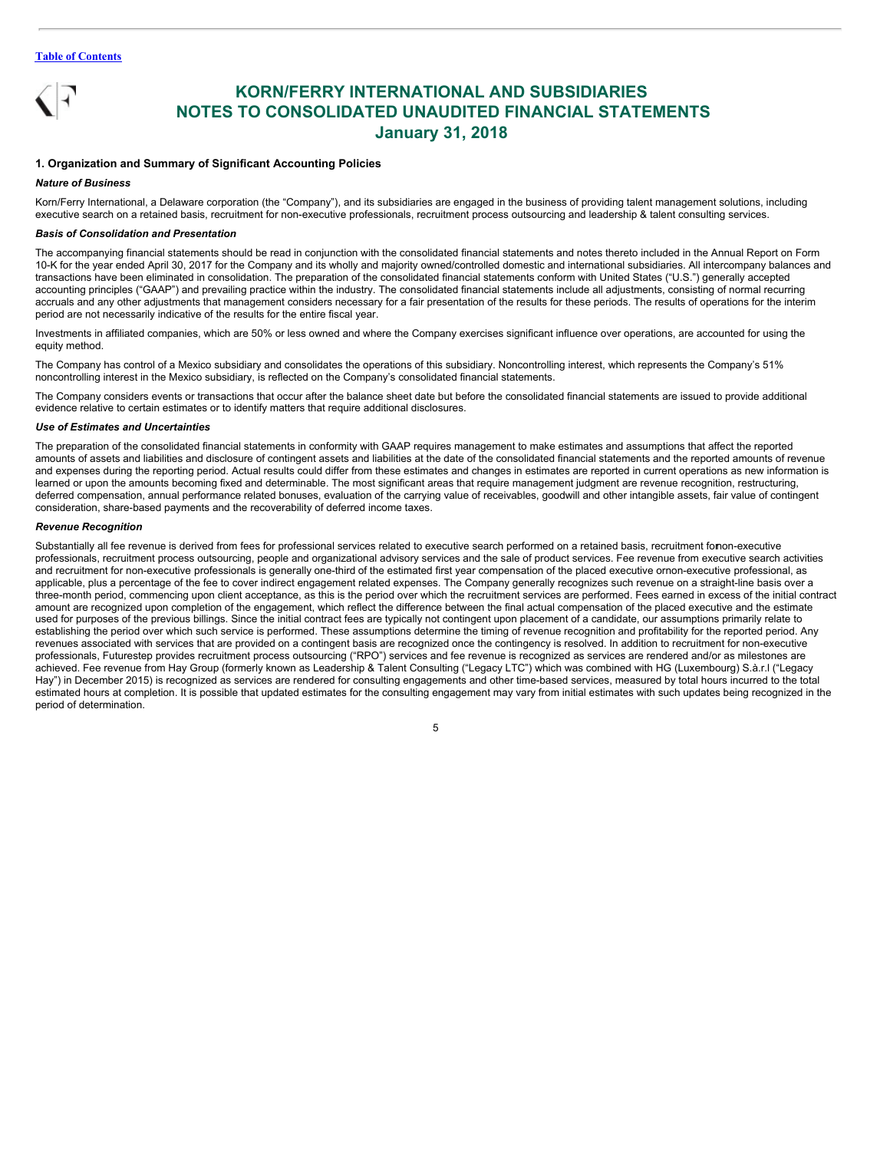<span id="page-6-0"></span>

#### **1. Organization and Summary of Significant Accounting Policies**

#### *Nature of Business*

Korn/Ferry International, a Delaware corporation (the "Company"), and its subsidiaries are engaged in the business of providing talent management solutions, including executive search on a retained basis, recruitment for non-executive professionals, recruitment process outsourcing and leadership & talent consulting services.

#### *Basis of Consolidation and Presentation*

The accompanying financial statements should be read in conjunction with the consolidated financial statements and notes thereto included in the Annual Report on Form 10-K for the year ended April 30, 2017 for the Company and its wholly and majority owned/controlled domestic and international subsidiaries. All intercompany balances and transactions have been eliminated in consolidation. The preparation of the consolidated financial statements conform with United States ("U.S.") generally accepted accounting principles ("GAAP") and prevailing practice within the industry. The consolidated financial statements include all adjustments, consisting of normal recurring accruals and any other adjustments that management considers necessary for a fair presentation of the results for these periods. The results of operations for the interim period are not necessarily indicative of the results for the entire fiscal year.

Investments in affiliated companies, which are 50% or less owned and where the Company exercises significant influence over operations, are accounted for using the equity method.

The Company has control of a Mexico subsidiary and consolidates the operations of this subsidiary. Noncontrolling interest, which represents the Company's 51% noncontrolling interest in the Mexico subsidiary, is reflected on the Company's consolidated financial statements.

The Company considers events or transactions that occur after the balance sheet date but before the consolidated financial statements are issued to provide additional evidence relative to certain estimates or to identify matters that require additional disclosures.

#### *Use of Estimates and Uncertainties*

The preparation of the consolidated financial statements in conformity with GAAP requires management to make estimates and assumptions that affect the reported amounts of assets and liabilities and disclosure of contingent assets and liabilities at the date of the consolidated financial statements and the reported amounts of revenue and expenses during the reporting period. Actual results could differ from these estimates and changes in estimates are reported in current operations as new information is learned or upon the amounts becoming fixed and determinable. The most significant areas that require management judgment are revenue recognition, restructuring, deferred compensation, annual performance related bonuses, evaluation of the carrying value of receivables, goodwill and other intangible assets, fair value of contingent consideration, share-based payments and the recoverability of deferred income taxes.

#### *Revenue Recognition*

Substantially all fee revenue is derived from fees for professional services related to executive search performed on a retained basis, recruitment fornon-executive professionals, recruitment process outsourcing, people and organizational advisory services and the sale of product services. Fee revenue from executive search activities and recruitment for non-executive professionals is generally one-third of the estimated first year compensation of the placed executive ornon-executive professional, as applicable, plus a percentage of the fee to cover indirect engagement related expenses. The Company generally recognizes such revenue on a straight-line basis over a three-month period, commencing upon client acceptance, as this is the period over which the recruitment services are performed. Fees earned in excess of the initial contract amount are recognized upon completion of the engagement, which reflect the difference between the final actual compensation of the placed executive and the estimate used for purposes of the previous billings. Since the initial contract fees are typically not contingent upon placement of a candidate, our assumptions primarily relate to establishing the period over which such service is performed. These assumptions determine the timing of revenue recognition and profitability for the reported period. Any revenues associated with services that are provided on a contingent basis are recognized once the contingency is resolved. In addition to recruitment for non-executive professionals, Futurestep provides recruitment process outsourcing ("RPO") services and fee revenue is recognized as services are rendered and/or as milestones are achieved. Fee revenue from Hay Group (formerly known as Leadership & Talent Consulting ("Legacy LTC") which was combined with HG (Luxembourg) S.à.r.l ("Legacy Hay") in December 2015) is recognized as services are rendered for consulting engagements and other time-based services, measured by total hours incurred to the total estimated hours at completion. It is possible that updated estimates for the consulting engagement may vary from initial estimates with such updates being recognized in the period of determination.

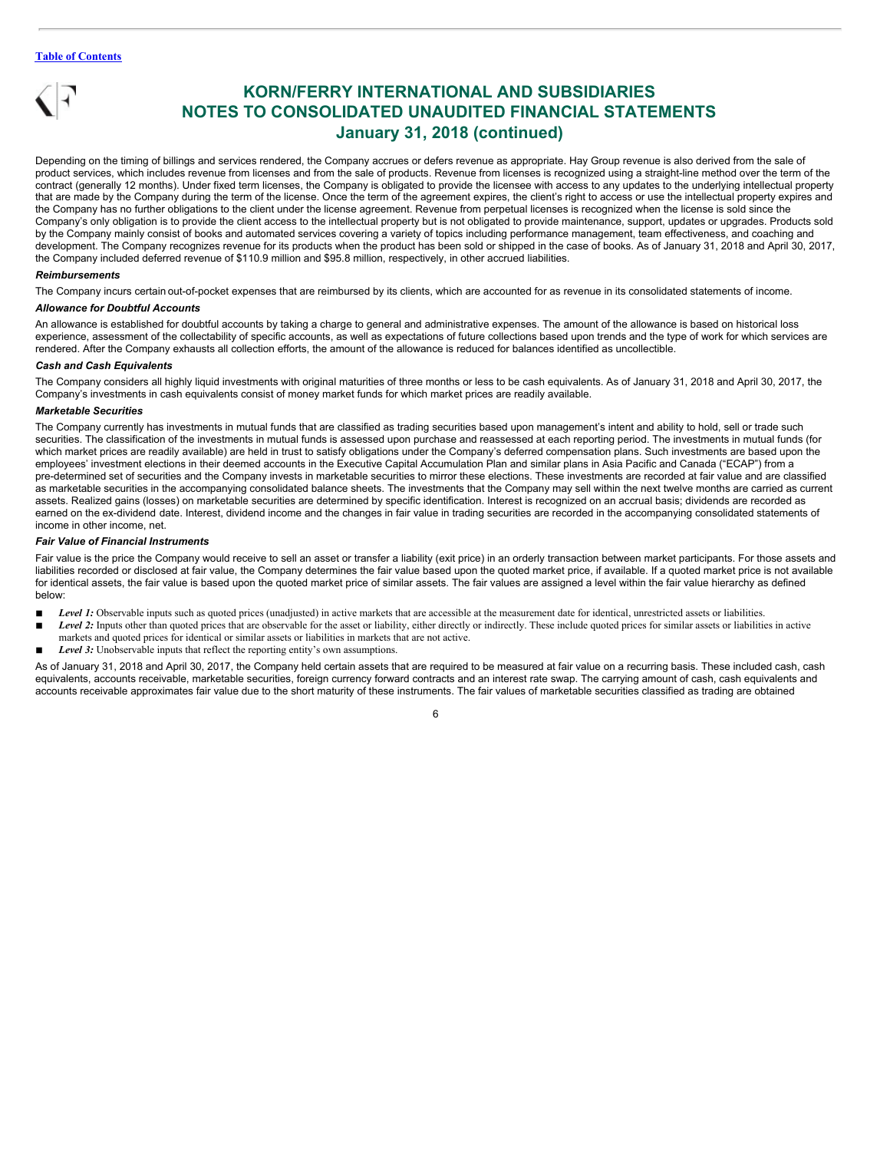

Depending on the timing of billings and services rendered, the Company accrues or defers revenue as appropriate. Hay Group revenue is also derived from the sale of product services, which includes revenue from licenses and from the sale of products. Revenue from licenses is recognized using a straight-line method over the term of the contract (generally 12 months). Under fixed term licenses, the Company is obligated to provide the licensee with access to any updates to the underlying intellectual property that are made by the Company during the term of the license. Once the term of the agreement expires, the client's right to access or use the intellectual property expires and the Company has no further obligations to the client under the license agreement. Revenue from perpetual licenses is recognized when the license is sold since the Company's only obligation is to provide the client access to the intellectual property but is not obligated to provide maintenance, support, updates or upgrades. Products sold by the Company mainly consist of books and automated services covering a variety of topics including performance management, team effectiveness, and coaching and development. The Company recognizes revenue for its products when the product has been sold or shipped in the case of books. As of January 31, 2018 and April 30, 2017, the Company included deferred revenue of \$110.9 million and \$95.8 million, respectively, in other accrued liabilities.

#### *Reimbursements*

The Company incurs certain out-of-pocket expenses that are reimbursed by its clients, which are accounted for as revenue in its consolidated statements of income.

#### *Allowance for Doubtful Accounts*

An allowance is established for doubtful accounts by taking a charge to general and administrative expenses. The amount of the allowance is based on historical loss experience, assessment of the collectability of specific accounts, as well as expectations of future collections based upon trends and the type of work for which services are rendered. After the Company exhausts all collection efforts, the amount of the allowance is reduced for balances identified as uncollectible.

#### *Cash and Cash Equivalents*

The Company considers all highly liquid investments with original maturities of three months or less to be cash equivalents. As of January 31, 2018 and April 30, 2017, the Company's investments in cash equivalents consist of money market funds for which market prices are readily available.

#### *Marketable Securities*

The Company currently has investments in mutual funds that are classified as trading securities based upon management's intent and ability to hold, sell or trade such securities. The classification of the investments in mutual funds is assessed upon purchase and reassessed at each reporting period. The investments in mutual funds (for which market prices are readily available) are held in trust to satisfy obligations under the Company's deferred compensation plans. Such investments are based upon the employees' investment elections in their deemed accounts in the Executive Capital Accumulation Plan and similar plans in Asia Pacific and Canada ("ECAP") from a pre-determined set of securities and the Company invests in marketable securities to mirror these elections. These investments are recorded at fair value and are classified as marketable securities in the accompanying consolidated balance sheets. The investments that the Company may sell within the next twelve months are carried as current assets. Realized gains (losses) on marketable securities are determined by specific identification. Interest is recognized on an accrual basis; dividends are recorded as earned on the ex-dividend date. Interest, dividend income and the changes in fair value in trading securities are recorded in the accompanying consolidated statements of income in other income, net.

#### *Fair Value of Financial Instruments*

Fair value is the price the Company would receive to sell an asset or transfer a liability (exit price) in an orderly transaction between market participants. For those assets and liabilities recorded or disclosed at fair value, the Company determines the fair value based upon the quoted market price, if available. If a quoted market price is not available for identical assets, the fair value is based upon the quoted market price of similar assets. The fair values are assigned a level within the fair value hierarchy as defined below:

- Level 1: Observable inputs such as quoted prices (unadjusted) in active markets that are accessible at the measurement date for identical, unrestricted assets or liabilities.
- Level 2: Inputs other than quoted prices that are observable for the asset or liability, either directly or indirectly. These include quoted prices for similar assets or liabilities in active markets and quoted prices for identical or similar assets or liabilities in markets that are not active.
- *Level 3:* Unobservable inputs that reflect the reporting entity's own assumptions.

As of January 31, 2018 and April 30, 2017, the Company held certain assets that are required to be measured at fair value on a recurring basis. These included cash, cash equivalents, accounts receivable, marketable securities, foreign currency forward contracts and an interest rate swap. The carrying amount of cash, cash equivalents and accounts receivable approximates fair value due to the short maturity of these instruments. The fair values of marketable securities classified as trading are obtained

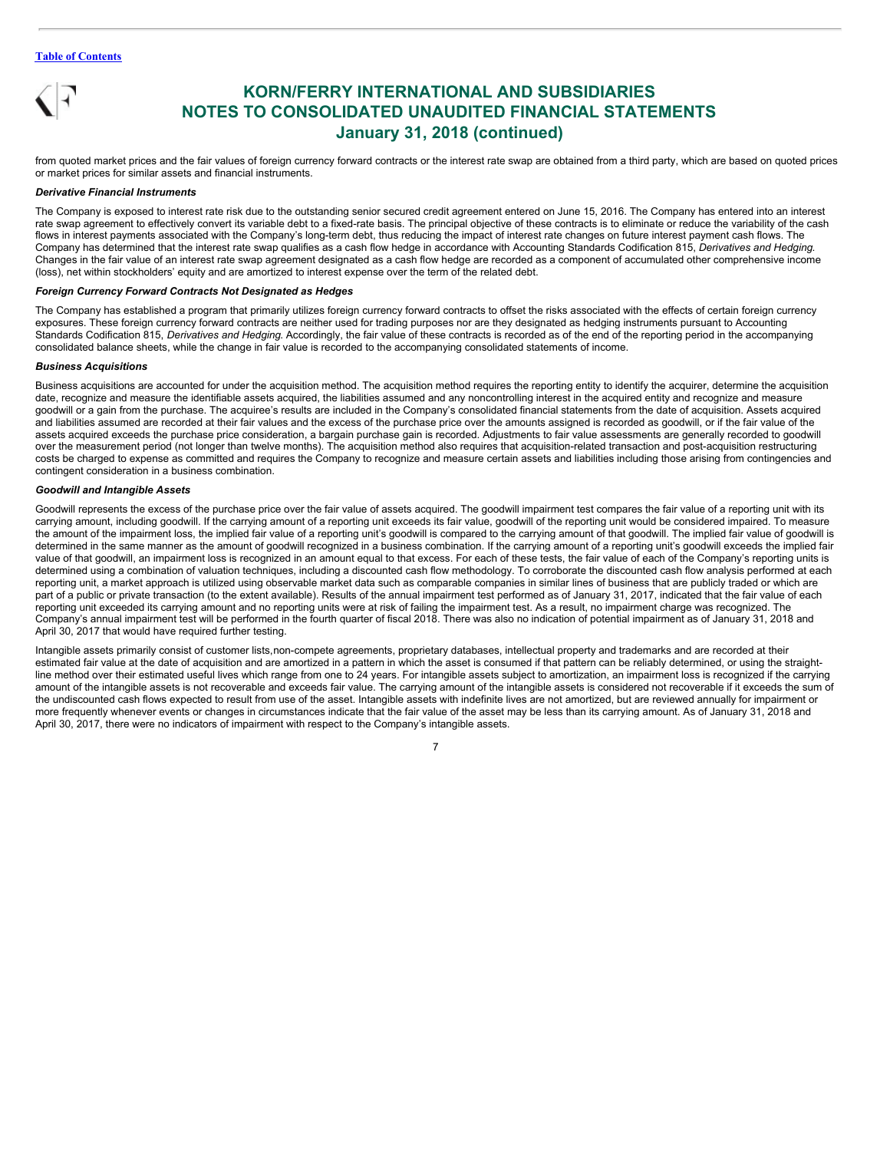

from quoted market prices and the fair values of foreign currency forward contracts or the interest rate swap are obtained from a third party, which are based on quoted prices or market prices for similar assets and financial instruments.

#### *Derivative Financial Instruments*

The Company is exposed to interest rate risk due to the outstanding senior secured credit agreement entered on June 15, 2016. The Company has entered into an interest rate swap agreement to effectively convert its variable debt to a fixed-rate basis. The principal objective of these contracts is to eliminate or reduce the variability of the cash flows in interest payments associated with the Company's long-term debt, thus reducing the impact of interest rate changes on future interest payment cash flows. The Company has determined that the interest rate swap qualifies as a cash flow hedge in accordance with Accounting Standards Codification 815, *Derivatives and Hedging*. Changes in the fair value of an interest rate swap agreement designated as a cash flow hedge are recorded as a component of accumulated other comprehensive income (loss), net within stockholders' equity and are amortized to interest expense over the term of the related debt.

#### *Foreign Currency Forward Contracts Not Designated as Hedges*

The Company has established a program that primarily utilizes foreign currency forward contracts to offset the risks associated with the effects of certain foreign currency exposures. These foreign currency forward contracts are neither used for trading purposes nor are they designated as hedging instruments pursuant to Accounting Standards Codification 815, *Derivatives and Hedging*. Accordingly, the fair value of these contracts is recorded as of the end of the reporting period in the accompanying consolidated balance sheets, while the change in fair value is recorded to the accompanying consolidated statements of income.

#### *Business Acquisitions*

Business acquisitions are accounted for under the acquisition method. The acquisition method requires the reporting entity to identify the acquirer, determine the acquisition date, recognize and measure the identifiable assets acquired, the liabilities assumed and any noncontrolling interest in the acquired entity and recognize and measure goodwill or a gain from the purchase. The acquiree's results are included in the Company's consolidated financial statements from the date of acquisition. Assets acquired and liabilities assumed are recorded at their fair values and the excess of the purchase price over the amounts assigned is recorded as goodwill, or if the fair value of the assets acquired exceeds the purchase price consideration, a bargain purchase gain is recorded. Adjustments to fair value assessments are generally recorded to goodwill over the measurement period (not longer than twelve months). The acquisition method also requires that acquisition-related transaction and post-acquisition restructuring costs be charged to expense as committed and requires the Company to recognize and measure certain assets and liabilities including those arising from contingencies and contingent consideration in a business combination.

#### *Goodwill and Intangible Assets*

Goodwill represents the excess of the purchase price over the fair value of assets acquired. The goodwill impairment test compares the fair value of a reporting unit with its carrying amount, including goodwill. If the carrying amount of a reporting unit exceeds its fair value, goodwill of the reporting unit would be considered impaired. To measure the amount of the impairment loss, the implied fair value of a reporting unit's goodwill is compared to the carrying amount of that goodwill. The implied fair value of goodwill is determined in the same manner as the amount of goodwill recognized in a business combination. If the carrying amount of a reporting unit's goodwill exceeds the implied fair value of that goodwill, an impairment loss is recognized in an amount equal to that excess. For each of these tests, the fair value of each of the Company's reporting units is determined using a combination of valuation techniques, including a discounted cash flow methodology. To corroborate the discounted cash flow analysis performed at each reporting unit, a market approach is utilized using observable market data such as comparable companies in similar lines of business that are publicly traded or which are part of a public or private transaction (to the extent available). Results of the annual impairment test performed as of January 31, 2017, indicated that the fair value of each reporting unit exceeded its carrying amount and no reporting units were at risk of failing the impairment test. As a result, no impairment charge was recognized. The Company's annual impairment test will be performed in the fourth quarter of fiscal 2018. There was also no indication of potential impairment as of January 31, 2018 and April 30, 2017 that would have required further testing.

Intangible assets primarily consist of customer lists,non-compete agreements, proprietary databases, intellectual property and trademarks and are recorded at their estimated fair value at the date of acquisition and are amortized in a pattern in which the asset is consumed if that pattern can be reliably determined, or using the straightline method over their estimated useful lives which range from one to 24 years. For intangible assets subject to amortization, an impairment loss is recognized if the carrying amount of the intangible assets is not recoverable and exceeds fair value. The carrying amount of the intangible assets is considered not recoverable if it exceeds the sum of the undiscounted cash flows expected to result from use of the asset. Intangible assets with indefinite lives are not amortized, but are reviewed annually for impairment or more frequently whenever events or changes in circumstances indicate that the fair value of the asset may be less than its carrying amount. As of January 31, 2018 and April 30, 2017, there were no indicators of impairment with respect to the Company's intangible assets.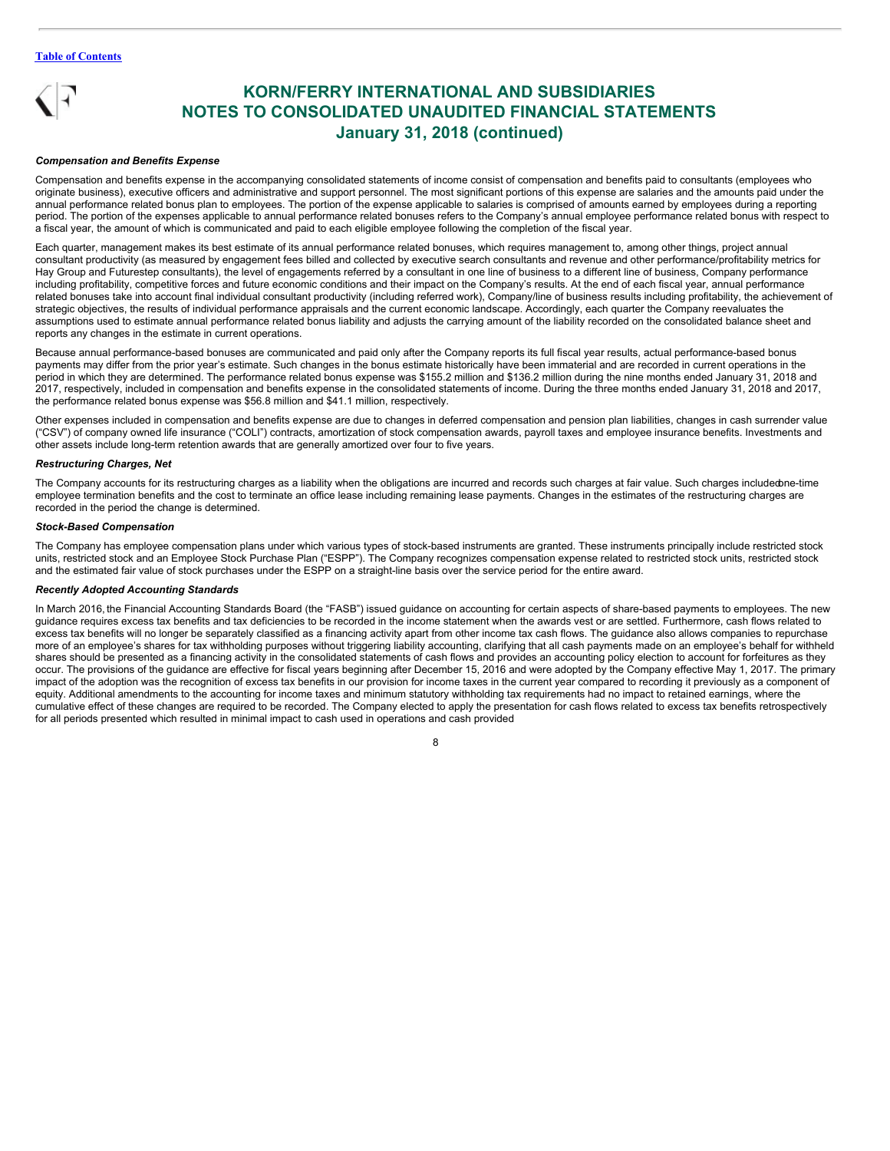

#### *Compensation and Benefits Expense*

Compensation and benefits expense in the accompanying consolidated statements of income consist of compensation and benefits paid to consultants (employees who originate business), executive officers and administrative and support personnel. The most significant portions of this expense are salaries and the amounts paid under the annual performance related bonus plan to employees. The portion of the expense applicable to salaries is comprised of amounts earned by employees during a reporting period. The portion of the expenses applicable to annual performance related bonuses refers to the Company's annual employee performance related bonus with respect to a fiscal year, the amount of which is communicated and paid to each eligible employee following the completion of the fiscal year.

Each quarter, management makes its best estimate of its annual performance related bonuses, which requires management to, among other things, project annual consultant productivity (as measured by engagement fees billed and collected by executive search consultants and revenue and other performance/profitability metrics for Hay Group and Futurestep consultants), the level of engagements referred by a consultant in one line of business to a different line of business, Company performance including profitability, competitive forces and future economic conditions and their impact on the Company's results. At the end of each fiscal year, annual performance related bonuses take into account final individual consultant productivity (including referred work), Company/line of business results including profitability, the achievement of strategic objectives, the results of individual performance appraisals and the current economic landscape. Accordingly, each quarter the Company reevaluates the assumptions used to estimate annual performance related bonus liability and adjusts the carrying amount of the liability recorded on the consolidated balance sheet and reports any changes in the estimate in current operations.

Because annual performance-based bonuses are communicated and paid only after the Company reports its full fiscal year results, actual performance-based bonus payments may differ from the prior year's estimate. Such changes in the bonus estimate historically have been immaterial and are recorded in current operations in the period in which they are determined. The performance related bonus expense was \$155.2 million and \$136.2 million during the nine months ended January 31, 2018 and 2017, respectively, included in compensation and benefits expense in the consolidated statements of income. During the three months ended January 31, 2018 and 2017, the performance related bonus expense was \$56.8 million and \$41.1 million, respectively.

Other expenses included in compensation and benefits expense are due to changes in deferred compensation and pension plan liabilities, changes in cash surrender value ("CSV") of company owned life insurance ("COLI") contracts, amortization of stock compensation awards, payroll taxes and employee insurance benefits. Investments and other assets include long-term retention awards that are generally amortized over four to five years.

#### *Restructuring Charges, Net*

The Company accounts for its restructuring charges as a liability when the obligations are incurred and records such charges at fair value. Such charges includedone-time employee termination benefits and the cost to terminate an office lease including remaining lease payments. Changes in the estimates of the restructuring charges are recorded in the period the change is determined.

#### *Stock-Based Compensation*

The Company has employee compensation plans under which various types of stock-based instruments are granted. These instruments principally include restricted stock units, restricted stock and an Employee Stock Purchase Plan ("ESPP"). The Company recognizes compensation expense related to restricted stock units, restricted stock and the estimated fair value of stock purchases under the ESPP on a straight-line basis over the service period for the entire award.

#### *Recently Adopted Accounting Standards*

In March 2016, the Financial Accounting Standards Board (the "FASB") issued guidance on accounting for certain aspects of share-based payments to employees. The new guidance requires excess tax benefits and tax deficiencies to be recorded in the income statement when the awards vest or are settled. Furthermore, cash flows related to excess tax benefits will no longer be separately classified as a financing activity apart from other income tax cash flows. The guidance also allows companies to repurchase more of an employee's shares for tax withholding purposes without triggering liability accounting, clarifying that all cash payments made on an employee's behalf for withheld shares should be presented as a financing activity in the consolidated statements of cash flows and provides an accounting policy election to account for forfeitures as they occur. The provisions of the guidance are effective for fiscal years beginning after December 15, 2016 and were adopted by the Company effective May 1, 2017. The primary impact of the adoption was the recognition of excess tax benefits in our provision for income taxes in the current year compared to recording it previously as a component of equity. Additional amendments to the accounting for income taxes and minimum statutory withholding tax requirements had no impact to retained earnings, where the cumulative effect of these changes are required to be recorded. The Company elected to apply the presentation for cash flows related to excess tax benefits retrospectively for all periods presented which resulted in minimal impact to cash used in operations and cash provided

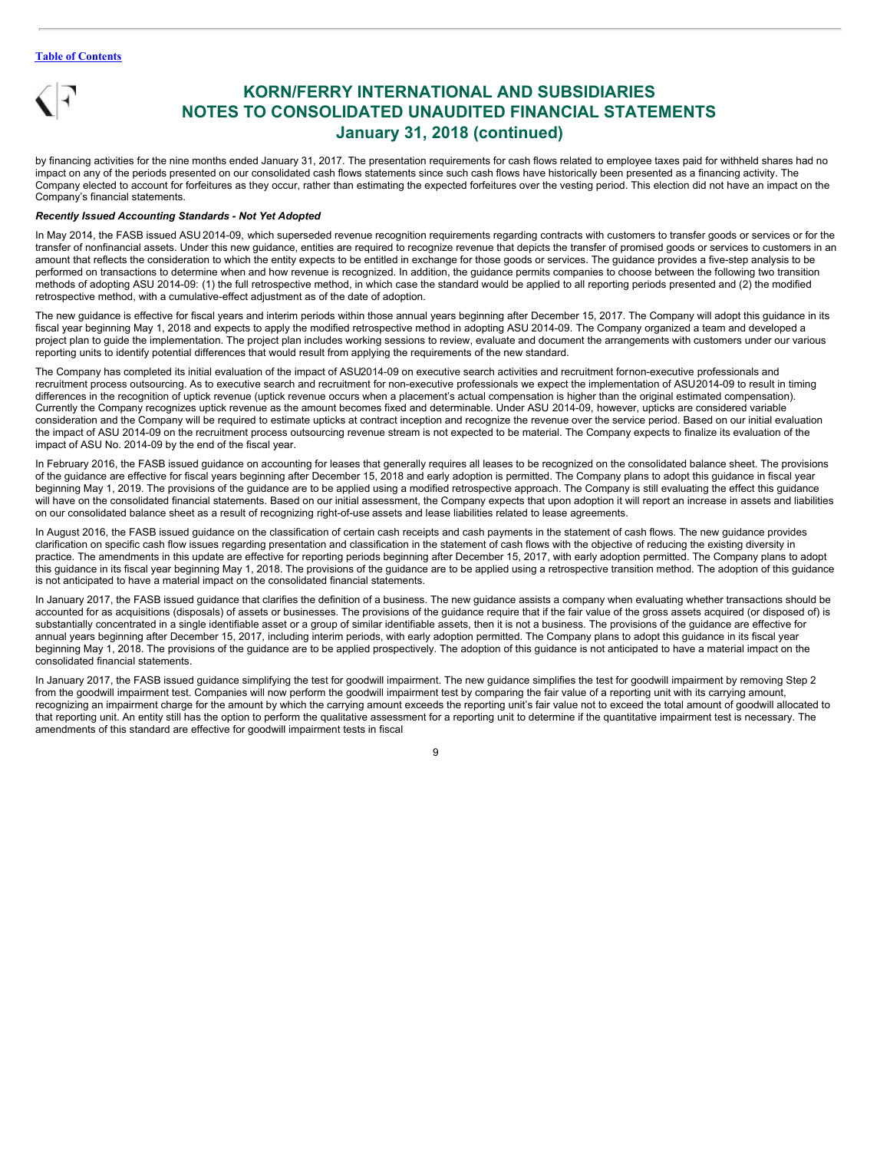

by financing activities for the nine months ended January 31, 2017. The presentation requirements for cash flows related to employee taxes paid for withheld shares had no impact on any of the periods presented on our consolidated cash flows statements since such cash flows have historically been presented as a financing activity. The Company elected to account for forfeitures as they occur, rather than estimating the expected forfeitures over the vesting period. This election did not have an impact on the Company's financial statements.

#### *Recently Issued Accounting Standards - Not Yet Adopted*

In May 2014, the FASB issued ASU 2014-09, which superseded revenue recognition requirements regarding contracts with customers to transfer goods or services or for the transfer of nonfinancial assets. Under this new guidance, entities are required to recognize revenue that depicts the transfer of promised goods or services to customers in an amount that reflects the consideration to which the entity expects to be entitled in exchange for those goods or services. The guidance provides a five-step analysis to be performed on transactions to determine when and how revenue is recognized. In addition, the guidance permits companies to choose between the following two transition methods of adopting ASU 2014-09: (1) the full retrospective method, in which case the standard would be applied to all reporting periods presented and (2) the modified retrospective method, with a cumulative-effect adjustment as of the date of adoption.

The new guidance is effective for fiscal years and interim periods within those annual years beginning after December 15, 2017. The Company will adopt this guidance in its fiscal year beginning May 1, 2018 and expects to apply the modified retrospective method in adopting ASU 2014-09. The Company organized a team and developed a project plan to guide the implementation. The project plan includes working sessions to review, evaluate and document the arrangements with customers under our various reporting units to identify potential differences that would result from applying the requirements of the new standard.

The Company has completed its initial evaluation of the impact of ASU2014-09 on executive search activities and recruitment fornon-executive professionals and recruitment process outsourcing. As to executive search and recruitment for non-executive professionals we expect the implementation of ASU2014-09 to result in timing differences in the recognition of uptick revenue (uptick revenue occurs when a placement's actual compensation is higher than the original estimated compensation). Currently the Company recognizes uptick revenue as the amount becomes fixed and determinable. Under ASU 2014-09, however, upticks are considered variable consideration and the Company will be required to estimate upticks at contract inception and recognize the revenue over the service period. Based on our initial evaluation the impact of ASU 2014-09 on the recruitment process outsourcing revenue stream is not expected to be material. The Company expects to finalize its evaluation of the impact of ASU No. 2014-09 by the end of the fiscal year.

In February 2016, the FASB issued guidance on accounting for leases that generally requires all leases to be recognized on the consolidated balance sheet. The provisions of the guidance are effective for fiscal years beginning after December 15, 2018 and early adoption is permitted. The Company plans to adopt this guidance in fiscal year beginning May 1, 2019. The provisions of the guidance are to be applied using a modified retrospective approach. The Company is still evaluating the effect this guidance will have on the consolidated financial statements. Based on our initial assessment, the Company expects that upon adoption it will report an increase in assets and liabilities on our consolidated balance sheet as a result of recognizing right-of-use assets and lease liabilities related to lease agreements.

In August 2016, the FASB issued guidance on the classification of certain cash receipts and cash payments in the statement of cash flows. The new guidance provides clarification on specific cash flow issues regarding presentation and classification in the statement of cash flows with the objective of reducing the existing diversity in practice. The amendments in this update are effective for reporting periods beginning after December 15, 2017, with early adoption permitted. The Company plans to adopt this guidance in its fiscal year beginning May 1, 2018. The provisions of the guidance are to be applied using a retrospective transition method. The adoption of this guidance is not anticipated to have a material impact on the consolidated financial statements.

In January 2017, the FASB issued guidance that clarifies the definition of a business. The new guidance assists a company when evaluating whether transactions should be accounted for as acquisitions (disposals) of assets or businesses. The provisions of the guidance require that if the fair value of the gross assets acquired (or disposed of) is substantially concentrated in a single identifiable asset or a group of similar identifiable assets, then it is not a business. The provisions of the guidance are effective for annual years beginning after December 15, 2017, including interim periods, with early adoption permitted. The Company plans to adopt this guidance in its fiscal year beginning May 1, 2018. The provisions of the guidance are to be applied prospectively. The adoption of this guidance is not anticipated to have a material impact on the consolidated financial statements.

In January 2017, the FASB issued guidance simplifying the test for goodwill impairment. The new guidance simplifies the test for goodwill impairment by removing Step 2 from the goodwill impairment test. Companies will now perform the goodwill impairment test by comparing the fair value of a reporting unit with its carrying amount, recognizing an impairment charge for the amount by which the carrying amount exceeds the reporting unit's fair value not to exceed the total amount of goodwill allocated to that reporting unit. An entity still has the option to perform the qualitative assessment for a reporting unit to determine if the quantitative impairment test is necessary. The amendments of this standard are effective for goodwill impairment tests in fiscal

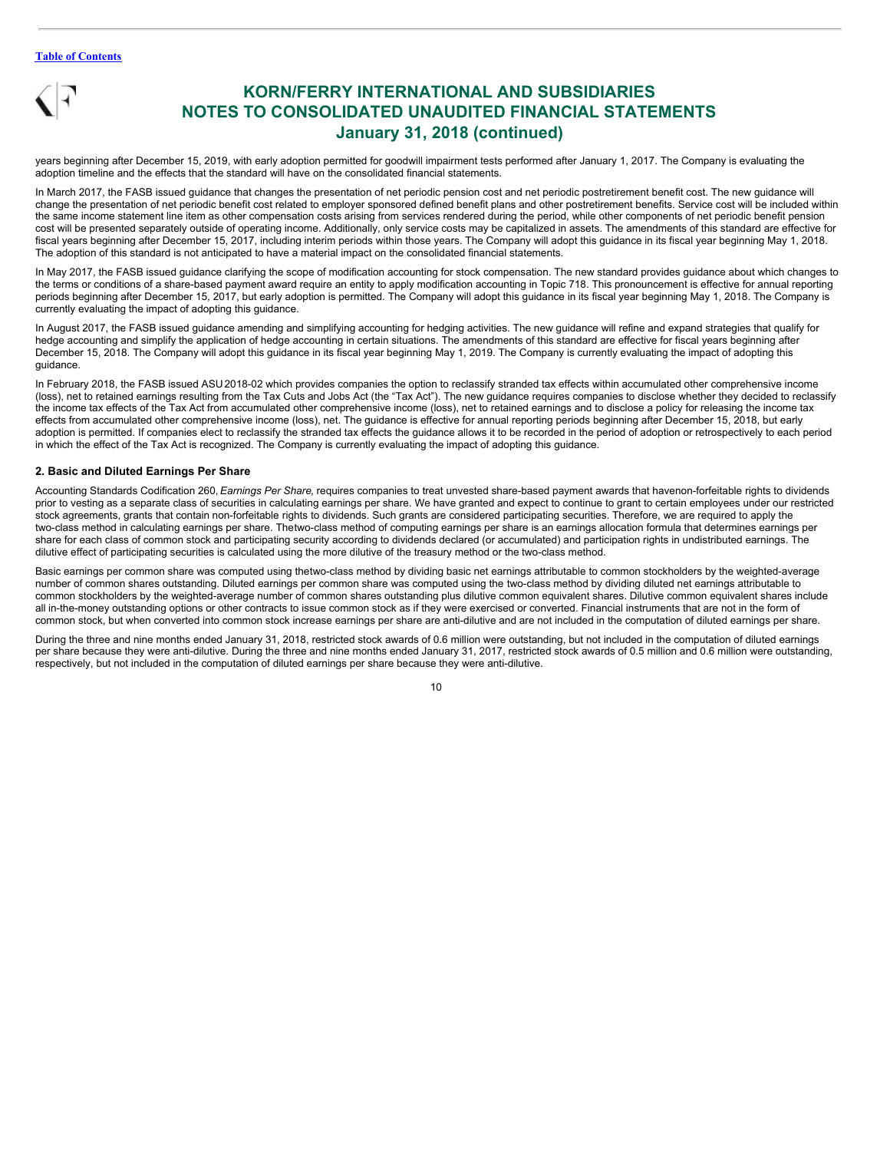

years beginning after December 15, 2019, with early adoption permitted for goodwill impairment tests performed after January 1, 2017. The Company is evaluating the adoption timeline and the effects that the standard will have on the consolidated financial statements.

In March 2017, the FASB issued guidance that changes the presentation of net periodic pension cost and net periodic postretirement benefit cost. The new guidance will change the presentation of net periodic benefit cost related to employer sponsored defined benefit plans and other postretirement benefits. Service cost will be included within the same income statement line item as other compensation costs arising from services rendered during the period, while other components of net periodic benefit pension cost will be presented separately outside of operating income. Additionally, only service costs may be capitalized in assets. The amendments of this standard are effective for fiscal years beginning after December 15, 2017, including interim periods within those years. The Company will adopt this guidance in its fiscal year beginning May 1, 2018. The adoption of this standard is not anticipated to have a material impact on the consolidated financial statements.

In May 2017, the FASB issued guidance clarifying the scope of modification accounting for stock compensation. The new standard provides guidance about which changes to the terms or conditions of a share-based payment award require an entity to apply modification accounting in Topic 718. This pronouncement is effective for annual reporting periods beginning after December 15, 2017, but early adoption is permitted. The Company will adopt this guidance in its fiscal year beginning May 1, 2018. The Company is currently evaluating the impact of adopting this guidance.

In August 2017, the FASB issued guidance amending and simplifying accounting for hedging activities. The new guidance will refine and expand strategies that qualify for hedge accounting and simplify the application of hedge accounting in certain situations. The amendments of this standard are effective for fiscal years beginning after December 15, 2018. The Company will adopt this guidance in its fiscal year beginning May 1, 2019. The Company is currently evaluating the impact of adopting this guidance.

In February 2018, the FASB issued ASU 2018-02 which provides companies the option to reclassify stranded tax effects within accumulated other comprehensive income (loss), net to retained earnings resulting from the Tax Cuts and Jobs Act (the "Tax Act"). The new guidance requires companies to disclose whether they decided to reclassify the income tax effects of the Tax Act from accumulated other comprehensive income (loss), net to retained earnings and to disclose a policy for releasing the income tax effects from accumulated other comprehensive income (loss), net. The guidance is effective for annual reporting periods beginning after December 15, 2018, but early adoption is permitted. If companies elect to reclassify the stranded tax effects the guidance allows it to be recorded in the period of adoption or retrospectively to each period in which the effect of the Tax Act is recognized. The Company is currently evaluating the impact of adopting this guidance.

#### **2. Basic and Diluted Earnings Per Share**

Accounting Standards Codification 260, *Earnings Per Share*, requires companies to treat unvested share-based payment awards that havenon-forfeitable rights to dividends prior to vesting as a separate class of securities in calculating earnings per share. We have granted and expect to continue to grant to certain employees under our restricted stock agreements, grants that contain non-forfeitable rights to dividends. Such grants are considered participating securities. Therefore, we are required to apply the two-class method in calculating earnings per share. Thetwo-class method of computing earnings per share is an earnings allocation formula that determines earnings per share for each class of common stock and participating security according to dividends declared (or accumulated) and participation rights in undistributed earnings. The dilutive effect of participating securities is calculated using the more dilutive of the treasury method or the two-class method.

Basic earnings per common share was computed using thetwo-class method by dividing basic net earnings attributable to common stockholders by the weighted-average number of common shares outstanding. Diluted earnings per common share was computed using the two-class method by dividing diluted net earnings attributable to common stockholders by the weighted-average number of common shares outstanding plus dilutive common equivalent shares. Dilutive common equivalent shares include all in-the-money outstanding options or other contracts to issue common stock as if they were exercised or converted. Financial instruments that are not in the form of common stock, but when converted into common stock increase earnings per share are anti-dilutive and are not included in the computation of diluted earnings per share.

During the three and nine months ended January 31, 2018, restricted stock awards of 0.6 million were outstanding, but not included in the computation of diluted earnings per share because they were anti-dilutive. During the three and nine months ended January 31, 2017, restricted stock awards of 0.5 million and 0.6 million were outstanding, respectively, but not included in the computation of diluted earnings per share because they were anti-dilutive.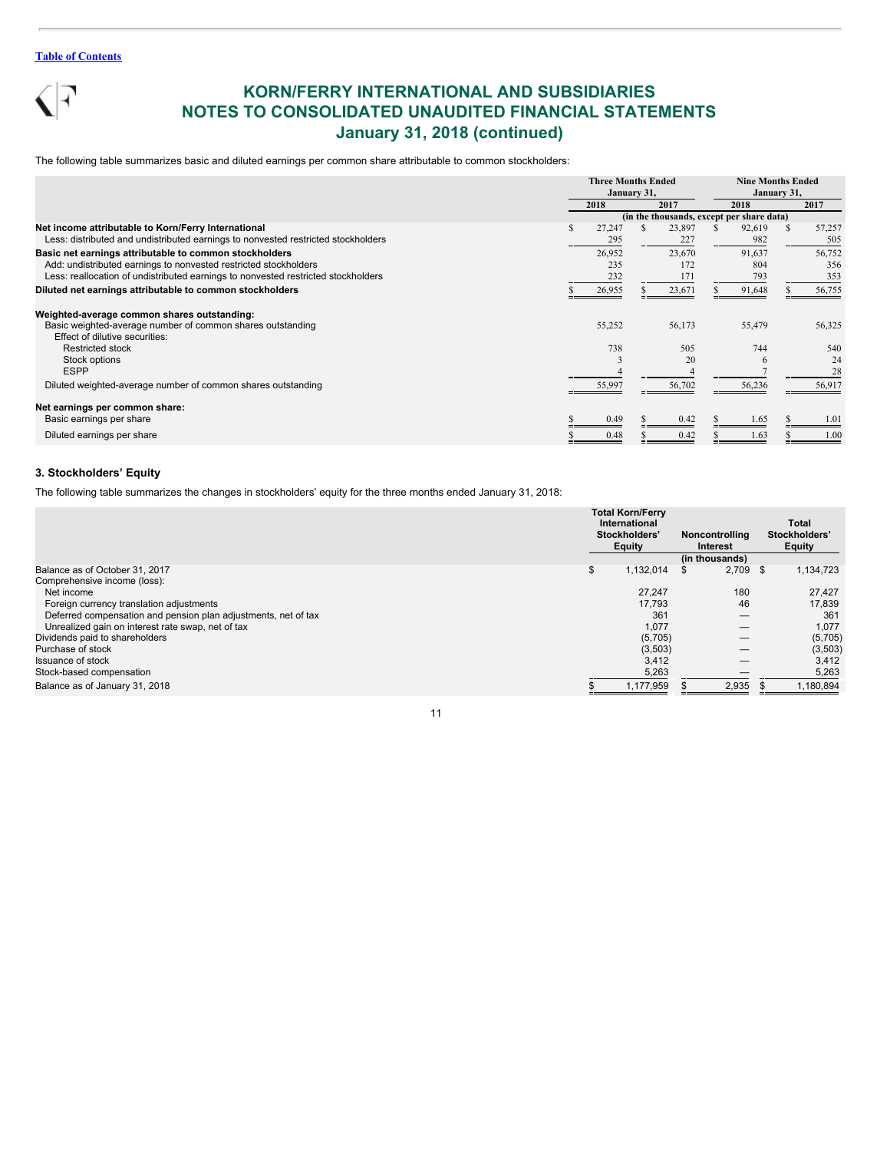

The following table summarizes basic and diluted earnings per common share attributable to common stockholders:

|                                                                                                                                               | <b>Three Months Ended</b><br>January 31, |                                           |               |      | <b>Nine Months Ended</b><br>January 31, |   |               |  |
|-----------------------------------------------------------------------------------------------------------------------------------------------|------------------------------------------|-------------------------------------------|---------------|------|-----------------------------------------|---|---------------|--|
|                                                                                                                                               | 2018                                     |                                           | 2017          | 2018 |                                         |   | 2017          |  |
|                                                                                                                                               |                                          | (in the thousands, except per share data) |               |      |                                         |   |               |  |
| Net income attributable to Korn/Ferry International<br>Less: distributed and undistributed earnings to nonvested restricted stockholders      | 27,247<br>295                            |                                           | 23,897<br>227 |      | 92,619<br>982                           | S | 57,257<br>505 |  |
| Basic net earnings attributable to common stockholders<br>Add: undistributed earnings to nonvested restricted stockholders                    | 26,952<br>235                            |                                           | 23,670<br>172 |      | 91,637<br>804                           |   | 56,752<br>356 |  |
| Less: reallocation of undistributed earnings to nonvested restricted stockholders<br>Diluted net earnings attributable to common stockholders | 232<br>26,955                            |                                           | 171<br>23,671 |      | 793<br>91,648                           |   | 353<br>56,755 |  |
| Weighted-average common shares outstanding:                                                                                                   |                                          |                                           |               |      |                                         |   |               |  |
| Basic weighted-average number of common shares outstanding<br>Effect of dilutive securities:                                                  | 55,252                                   |                                           | 56,173        |      | 55,479                                  |   | 56,325        |  |
| <b>Restricted stock</b>                                                                                                                       | 738                                      |                                           | 505           |      | 744                                     |   | 540           |  |
| Stock options<br><b>ESPP</b>                                                                                                                  |                                          |                                           | 20            |      |                                         |   | 24<br>28      |  |
| Diluted weighted-average number of common shares outstanding                                                                                  | 55,997                                   |                                           | 56,702        |      | 56,236                                  |   | 56,917        |  |
| Net earnings per common share:                                                                                                                |                                          |                                           |               |      |                                         |   |               |  |
| Basic earnings per share                                                                                                                      | 0.49                                     |                                           | 0.42          |      | 1.65                                    |   | 1.01          |  |
| Diluted earnings per share                                                                                                                    | 0.48                                     |                                           | 0.42          |      | 1.63                                    |   | 1.00          |  |

### **3. Stockholders' Equity**

The following table summarizes the changes in stockholders' equity for the three months ended January 31, 2018:

|                                                                |    | <b>Total Korn/Ferry</b><br>International |                |       |      | <b>Total</b> |  |  |  |               |  |  |  |  |  |  |  |  |  |  |  |  |  |  |  |  |  |  |  |                            |  |                                |
|----------------------------------------------------------------|----|------------------------------------------|----------------|-------|------|--------------|--|--|--|---------------|--|--|--|--|--|--|--|--|--|--|--|--|--|--|--|--|--|--|--|----------------------------|--|--------------------------------|
|                                                                |    | <b>Equity</b>                            |                |       |      |              |  |  |  | Stockholders' |  |  |  |  |  |  |  |  |  |  |  |  |  |  |  |  |  |  |  | Noncontrolling<br>Interest |  | Stockholders'<br><b>Equity</b> |
|                                                                |    |                                          | (in thousands) |       |      |              |  |  |  |               |  |  |  |  |  |  |  |  |  |  |  |  |  |  |  |  |  |  |  |                            |  |                                |
| Balance as of October 31, 2017                                 | \$ | 1,132,014                                |                | 2,709 | - \$ | 1,134,723    |  |  |  |               |  |  |  |  |  |  |  |  |  |  |  |  |  |  |  |  |  |  |  |                            |  |                                |
| Comprehensive income (loss):                                   |    |                                          |                |       |      |              |  |  |  |               |  |  |  |  |  |  |  |  |  |  |  |  |  |  |  |  |  |  |  |                            |  |                                |
| Net income                                                     |    | 27.247                                   |                | 180   |      | 27,427       |  |  |  |               |  |  |  |  |  |  |  |  |  |  |  |  |  |  |  |  |  |  |  |                            |  |                                |
| Foreign currency translation adjustments                       |    | 17.793                                   |                | 46    |      | 17.839       |  |  |  |               |  |  |  |  |  |  |  |  |  |  |  |  |  |  |  |  |  |  |  |                            |  |                                |
| Deferred compensation and pension plan adjustments, net of tax |    | 361                                      |                |       |      | 361          |  |  |  |               |  |  |  |  |  |  |  |  |  |  |  |  |  |  |  |  |  |  |  |                            |  |                                |
| Unrealized gain on interest rate swap, net of tax              |    | 1,077                                    |                |       |      | 1,077        |  |  |  |               |  |  |  |  |  |  |  |  |  |  |  |  |  |  |  |  |  |  |  |                            |  |                                |
| Dividends paid to shareholders                                 |    | (5,705)                                  |                |       |      | (5,705)      |  |  |  |               |  |  |  |  |  |  |  |  |  |  |  |  |  |  |  |  |  |  |  |                            |  |                                |
| Purchase of stock                                              |    | (3,503)                                  |                |       |      | (3,503)      |  |  |  |               |  |  |  |  |  |  |  |  |  |  |  |  |  |  |  |  |  |  |  |                            |  |                                |
| <b>Issuance of stock</b>                                       |    | 3,412                                    |                |       |      | 3,412        |  |  |  |               |  |  |  |  |  |  |  |  |  |  |  |  |  |  |  |  |  |  |  |                            |  |                                |
| Stock-based compensation                                       |    | 5,263                                    |                |       |      | 5,263        |  |  |  |               |  |  |  |  |  |  |  |  |  |  |  |  |  |  |  |  |  |  |  |                            |  |                                |
| Balance as of January 31, 2018                                 |    | 1.177.959                                |                | 2,935 |      | 1,180,894    |  |  |  |               |  |  |  |  |  |  |  |  |  |  |  |  |  |  |  |  |  |  |  |                            |  |                                |

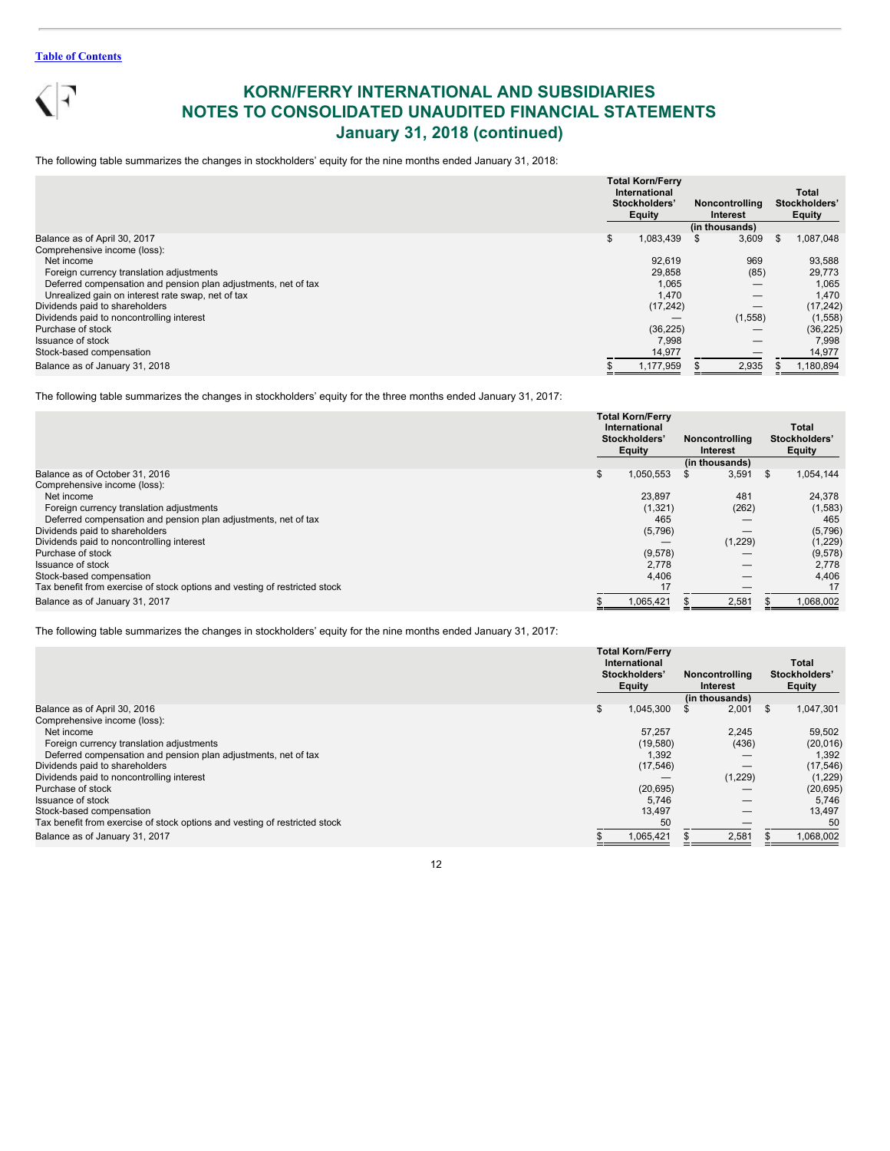

The following table summarizes the changes in stockholders' equity for the nine months ended January 31, 2018:

|                                                                |    | <b>Total Korn/Ferry</b><br>International |                |    | Total         |
|----------------------------------------------------------------|----|------------------------------------------|----------------|----|---------------|
|                                                                |    | Stockholders'                            | Noncontrolling |    | Stockholders' |
|                                                                |    | <b>Equity</b>                            | Interest       |    | <b>Equity</b> |
|                                                                |    |                                          | (in thousands) |    |               |
| Balance as of April 30, 2017                                   | æ, | 1,083,439                                | 3,609          | S. | 1,087,048     |
| Comprehensive income (loss):                                   |    |                                          |                |    |               |
| Net income                                                     |    | 92,619                                   | 969            |    | 93,588        |
| Foreign currency translation adjustments                       |    | 29,858                                   | (85)           |    | 29,773        |
| Deferred compensation and pension plan adjustments, net of tax |    | 1.065                                    |                |    | 1,065         |
| Unrealized gain on interest rate swap, net of tax              |    | 1,470                                    |                |    | 1,470         |
| Dividends paid to shareholders                                 |    | (17, 242)                                |                |    | (17, 242)     |
| Dividends paid to noncontrolling interest                      |    |                                          | (1,558)        |    | (1,558)       |
| Purchase of stock                                              |    | (36, 225)                                |                |    | (36, 225)     |
| Issuance of stock                                              |    | 7,998                                    |                |    | 7,998         |
| Stock-based compensation                                       |    | 14,977                                   |                |    | 14,977        |
| Balance as of January 31, 2018                                 |    | 1,177,959                                | 2,935          |    | 1,180,894     |

The following table summarizes the changes in stockholders' equity for the three months ended January 31, 2017:

|                                                                            |    | <b>Total Korn/Ferry</b><br>International<br>Stockholders'<br>Noncontrolling<br><b>Equity</b><br>Interest |  |         | (in thousands) |           |  |  |  |  |  | <b>Total</b><br>Stockholders'<br><b>Equity</b> |
|----------------------------------------------------------------------------|----|----------------------------------------------------------------------------------------------------------|--|---------|----------------|-----------|--|--|--|--|--|------------------------------------------------|
| Balance as of October 31, 2016                                             | \$ | 1.050.553                                                                                                |  | 3,591   | -S             | 1,054,144 |  |  |  |  |  |                                                |
| Comprehensive income (loss):                                               |    |                                                                                                          |  |         |                |           |  |  |  |  |  |                                                |
| Net income                                                                 |    | 23,897                                                                                                   |  | 481     |                | 24,378    |  |  |  |  |  |                                                |
| Foreign currency translation adjustments                                   |    | (1,321)                                                                                                  |  | (262)   |                | (1,583)   |  |  |  |  |  |                                                |
| Deferred compensation and pension plan adjustments, net of tax             |    | 465                                                                                                      |  |         |                | 465       |  |  |  |  |  |                                                |
| Dividends paid to shareholders                                             |    | (5,796)                                                                                                  |  |         |                | (5,796)   |  |  |  |  |  |                                                |
| Dividends paid to noncontrolling interest                                  |    |                                                                                                          |  | (1,229) |                | (1,229)   |  |  |  |  |  |                                                |
| Purchase of stock                                                          |    | (9,578)                                                                                                  |  |         |                | (9,578)   |  |  |  |  |  |                                                |
| <b>Issuance of stock</b>                                                   |    | 2,778                                                                                                    |  |         |                | 2,778     |  |  |  |  |  |                                                |
| Stock-based compensation                                                   |    | 4.406                                                                                                    |  |         |                | 4,406     |  |  |  |  |  |                                                |
| Tax benefit from exercise of stock options and vesting of restricted stock |    | 17                                                                                                       |  |         |                | 17        |  |  |  |  |  |                                                |
| Balance as of January 31, 2017                                             |    | 1,065,421                                                                                                |  | 2,581   |                | 1,068,002 |  |  |  |  |  |                                                |

The following table summarizes the changes in stockholders' equity for the nine months ended January 31, 2017:

|                                                                            | <b>Total Korn/Ferry</b><br>International |                            |      | Total                          |
|----------------------------------------------------------------------------|------------------------------------------|----------------------------|------|--------------------------------|
|                                                                            | Stockholders'<br>Equity                  | Noncontrolling<br>Interest |      | Stockholders'<br><b>Equity</b> |
|                                                                            |                                          | (in thousands)             |      |                                |
| Balance as of April 30, 2016                                               | \$<br>1,045,300                          | 2,001                      | - \$ | 1.047.301                      |
| Comprehensive income (loss):                                               |                                          |                            |      |                                |
| Net income                                                                 | 57.257                                   | 2,245                      |      | 59,502                         |
| Foreign currency translation adjustments                                   | (19,580)                                 | (436)                      |      | (20,016)                       |
| Deferred compensation and pension plan adjustments, net of tax             | 1.392                                    |                            |      | 1.392                          |
| Dividends paid to shareholders                                             | (17, 546)                                |                            |      | (17, 546)                      |
| Dividends paid to noncontrolling interest                                  |                                          | (1,229)                    |      | (1,229)                        |
| Purchase of stock                                                          | (20, 695)                                |                            |      | (20, 695)                      |
| <b>Issuance of stock</b>                                                   | 5.746                                    |                            |      | 5.746                          |
| Stock-based compensation                                                   | 13,497                                   |                            |      | 13,497                         |
| Tax benefit from exercise of stock options and vesting of restricted stock | 50                                       |                            |      | 50                             |
| Balance as of January 31, 2017                                             | 1.065.421                                | 2,581                      |      | 1,068,002                      |

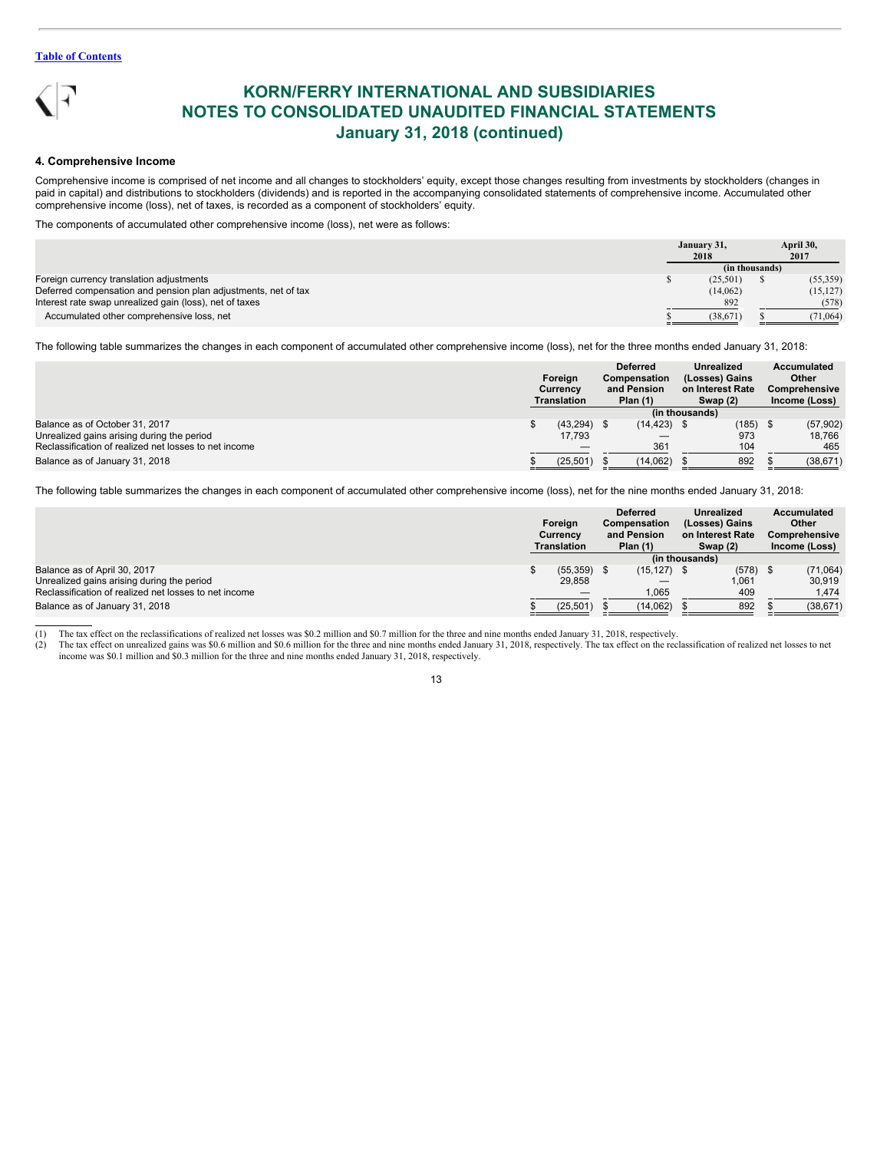

#### **4. Comprehensive Income**

Comprehensive income is comprised of net income and all changes to stockholders' equity, except those changes resulting from investments by stockholders (changes in paid in capital) and distributions to stockholders (dividends) and is reported in the accompanying consolidated statements of comprehensive income. Accumulated other comprehensive income (loss), net of taxes, is recorded as a component of stockholders' equity.

The components of accumulated other comprehensive income (loss), net were as follows:

|                                                                | January 31,<br>2018 |                | April 30,<br>2017 |
|----------------------------------------------------------------|---------------------|----------------|-------------------|
|                                                                |                     | (in thousands) |                   |
| Foreign currency translation adjustments                       | (25.501)            |                | (55,359)          |
| Deferred compensation and pension plan adjustments, net of tax | (14.062)            |                | (15, 127)         |
| Interest rate swap unrealized gain (loss), net of taxes        | 892                 |                | (578)             |
| Accumulated other comprehensive loss, net                      | (38.671)            |                | (71,064)          |

The following table summarizes the changes in each component of accumulated other comprehensive income (loss), net for the three months ended January 31, 2018:

|                                                       | Foreian<br>Currency |                    |  |                |  |            |               |  |  |  |  |  |  | <b>Deferred</b><br>Compensation<br>and Pension |  | Unrealized<br>(Losses) Gains<br>on Interest Rate | Accumulated<br>Other<br><b>Comprehensive</b> |
|-------------------------------------------------------|---------------------|--------------------|--|----------------|--|------------|---------------|--|--|--|--|--|--|------------------------------------------------|--|--------------------------------------------------|----------------------------------------------|
|                                                       |                     | <b>Translation</b> |  | Plan $(1)$     |  | Swap $(2)$ | Income (Loss) |  |  |  |  |  |  |                                                |  |                                                  |                                              |
|                                                       |                     |                    |  | (in thousands) |  |            |               |  |  |  |  |  |  |                                                |  |                                                  |                                              |
| Balance as of October 31, 2017                        |                     | (43, 294)          |  | $(14, 423)$ \$ |  | (185)      | (57, 902)     |  |  |  |  |  |  |                                                |  |                                                  |                                              |
| Unrealized gains arising during the period            |                     | 17.793             |  |                |  | 973        | 18.766        |  |  |  |  |  |  |                                                |  |                                                  |                                              |
| Reclassification of realized net losses to net income |                     |                    |  | 361            |  | 104        | 465           |  |  |  |  |  |  |                                                |  |                                                  |                                              |
| Balance as of January 31, 2018                        |                     | (25, 501)          |  | (14.062)       |  | 892        | (38, 671)     |  |  |  |  |  |  |                                                |  |                                                  |                                              |

The following table summarizes the changes in each component of accumulated other comprehensive income (loss), net for the nine months ended January 31, 2018:

|                                                       | Foreign                                                     |  | <b>Deferred</b><br><b>Unrealized</b><br>(Losses) Gains<br>Compensation |                              |       | Accumulated<br>Other                  |
|-------------------------------------------------------|-------------------------------------------------------------|--|------------------------------------------------------------------------|------------------------------|-------|---------------------------------------|
|                                                       | and Pension<br>Currencv<br><b>Translation</b><br>Plan $(1)$ |  |                                                                        | on Interest Rate<br>Swap (2) |       | <b>Comprehensive</b><br>Income (Loss) |
|                                                       |                                                             |  |                                                                        | (in thousands)               |       |                                       |
| Balance as of April 30, 2017                          | $(55,359)$ \$                                               |  | $(15, 127)$ \$                                                         |                              | (578) | (71,064)                              |
| Unrealized gains arising during the period            | 29.858                                                      |  |                                                                        |                              | 1.061 | 30.919                                |
| Reclassification of realized net losses to net income |                                                             |  | 1.065                                                                  |                              | 409   | 1,474                                 |
| Balance as of January 31, 2018                        | (25, 501)                                                   |  | (14,062)                                                               |                              | 892   | (38, 671)                             |

(1) The tax effect on the reclassifications of realized net losses was \$0.2 million and \$0.7 million for the three and nine months ended January 31, 2018, respectively.

(2) The tax effect on unrealized gains was \$0.6 million and \$0.6 million for the three and nine months ended January 31, 2018, respectively. The tax effect on the reclassification of realized net losses to net income was \$0.1 million and \$0.3 million for the three and nine months ended January 31, 2018, respectively.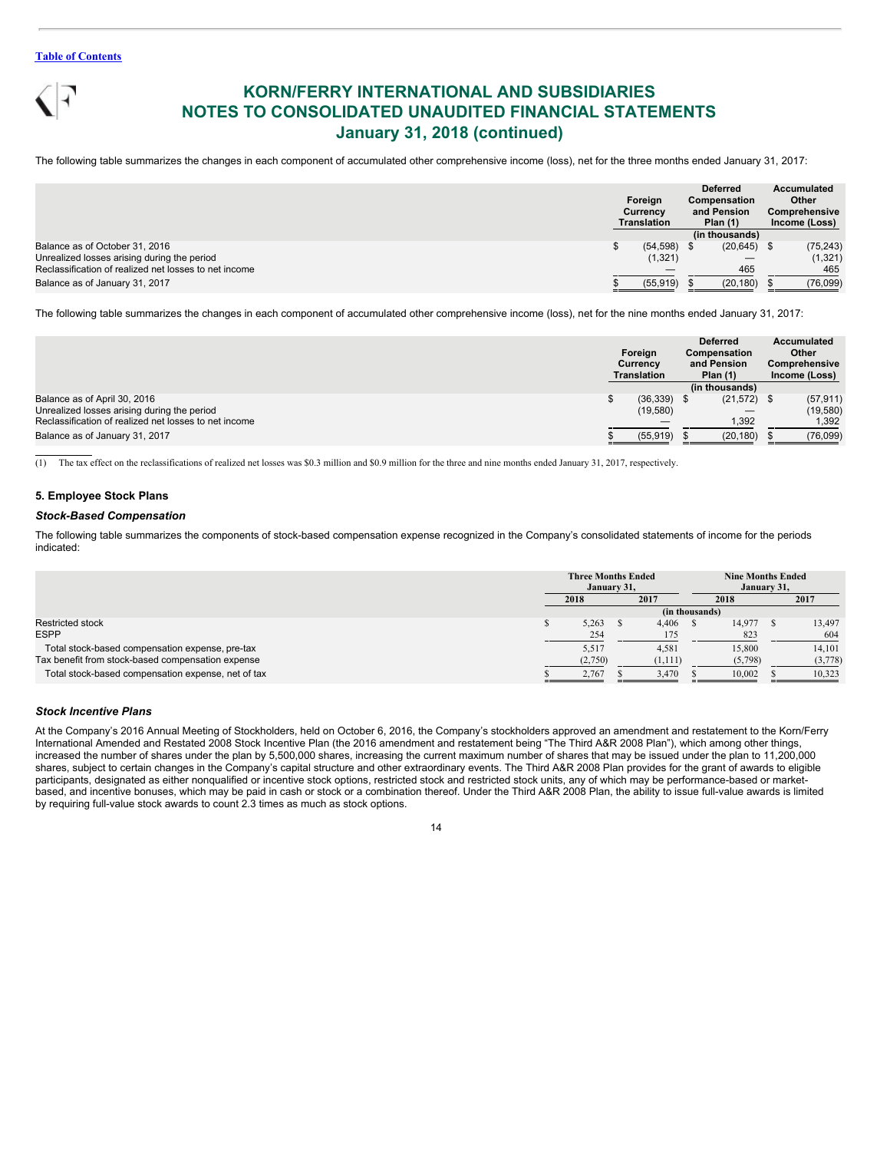

The following table summarizes the changes in each component of accumulated other comprehensive income (loss), net for the three months ended January 31, 2017:

|                                                       | Foreign<br>Currency<br>Translation |                |                |  | <b>Deferred</b><br>Compensation<br>and Pension<br>Plan $(1)$ |  | <b>Accumulated</b><br>Other<br>Comprehensive<br>Income (Loss) |
|-------------------------------------------------------|------------------------------------|----------------|----------------|--|--------------------------------------------------------------|--|---------------------------------------------------------------|
|                                                       |                                    |                | (in thousands) |  |                                                              |  |                                                               |
| Balance as of October 31, 2016                        |                                    | $(54, 598)$ \$ | (20, 645)      |  | (75, 243)                                                    |  |                                                               |
| Unrealized losses arising during the period           |                                    | (1, 321)       |                |  | (1,321)                                                      |  |                                                               |
| Reclassification of realized net losses to net income |                                    |                | 465            |  | 465                                                          |  |                                                               |
| Balance as of January 31, 2017                        |                                    | (55, 919)      | (20, 180)      |  | (76,099)                                                     |  |                                                               |

The following table summarizes the changes in each component of accumulated other comprehensive income (loss), net for the nine months ended January 31, 2017:

|                                                       | Foreign<br>Currency<br><b>Translation</b> |           |  |                | and Pension | <b>Deferred</b><br>Compensation<br>Plan $(1)$ | Accumulated<br>Other<br>Comprehensive<br>Income (Loss) |
|-------------------------------------------------------|-------------------------------------------|-----------|--|----------------|-------------|-----------------------------------------------|--------------------------------------------------------|
|                                                       |                                           |           |  | (in thousands) |             |                                               |                                                        |
| Balance as of April 30, 2016                          |                                           | (36, 339) |  | $(21,572)$ \$  | (57, 911)   |                                               |                                                        |
| Unrealized losses arising during the period           |                                           | (19,580)  |  |                | (19, 580)   |                                               |                                                        |
| Reclassification of realized net losses to net income |                                           |           |  | 1.392          | 1,392       |                                               |                                                        |
| Balance as of January 31, 2017                        |                                           | (55, 919) |  | (20, 180)      | (76,099)    |                                               |                                                        |

(1) The tax effect on the reclassifications of realized net losses was \$0.3 million and \$0.9 million for the three and nine months ended January 31, 2017, respectively.

#### **5. Employee Stock Plans**

#### *Stock-Based Compensation*

The following table summarizes the components of stock-based compensation expense recognized in the Company's consolidated statements of income for the periods indicated:

|                                                    | <b>Three Months Ended</b> |             |         | <b>Nine Months Ended</b> |  |         |
|----------------------------------------------------|---------------------------|-------------|---------|--------------------------|--|---------|
|                                                    |                           | January 31, |         | January 31,              |  |         |
|                                                    | 2018                      |             | 2017    | 2018                     |  | 2017    |
|                                                    |                           |             |         | (in thousands)           |  |         |
| <b>Restricted stock</b>                            | 5.263                     |             | 4.406   | 14.977                   |  | 13,497  |
| <b>ESPP</b>                                        | 254                       |             | 175     | 823                      |  | 604     |
| Total stock-based compensation expense, pre-tax    | 5,517                     |             | 4,581   | 15,800                   |  | 14,101  |
| Tax benefit from stock-based compensation expense  | (2,750)                   |             | (1,111) | (5,798)                  |  | (3,778) |
| Total stock-based compensation expense, net of tax | 2.767                     |             | 3.470   | 10.002                   |  | 10,323  |

#### *Stock Incentive Plans*

At the Company's 2016 Annual Meeting of Stockholders, held on October 6, 2016, the Company's stockholders approved an amendment and restatement to the Korn/Ferry International Amended and Restated 2008 Stock Incentive Plan (the 2016 amendment and restatement being "The Third A&R 2008 Plan"), which among other things, increased the number of shares under the plan by 5,500,000 shares, increasing the current maximum number of shares that may be issued under the plan to 11,200,000 shares, subject to certain changes in the Company's capital structure and other extraordinary events. The Third A&R 2008 Plan provides for the grant of awards to eligible participants, designated as either nonqualified or incentive stock options, restricted stock and restricted stock units, any of which may be performance-based or marketbased, and incentive bonuses, which may be paid in cash or stock or a combination thereof. Under the Third A&R 2008 Plan, the ability to issue full-value awards is limited by requiring full-value stock awards to count 2.3 times as much as stock options.

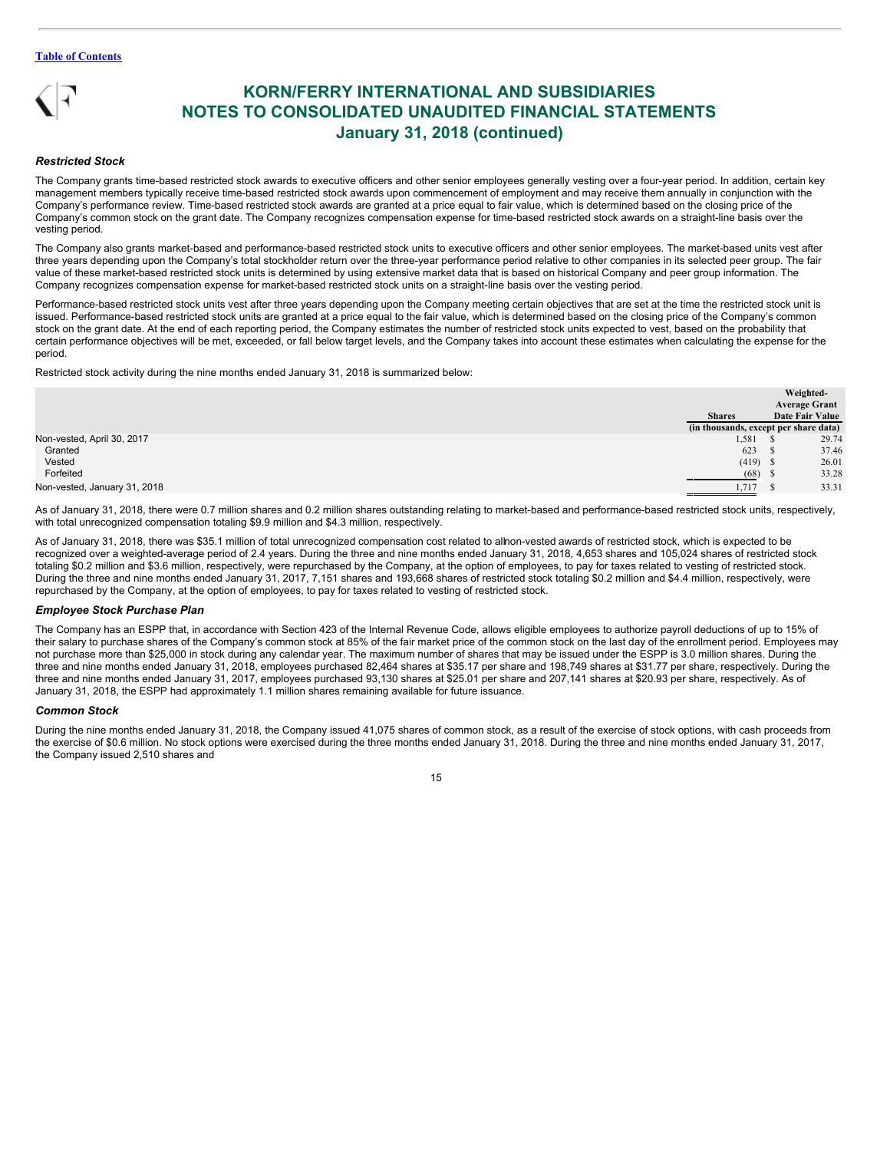

#### *Restricted Stock*

The Company grants time-based restricted stock awards to executive officers and other senior employees generally vesting over a four-year period. In addition, certain key management members typically receive time-based restricted stock awards upon commencement of employment and may receive them annually in conjunction with the Company's performance review. Time-based restricted stock awards are granted at a price equal to fair value, which is determined based on the closing price of the Company's common stock on the grant date. The Company recognizes compensation expense for time-based restricted stock awards on a straight-line basis over the vesting period.

The Company also grants market-based and performance-based restricted stock units to executive officers and other senior employees. The market-based units vest after three years depending upon the Company's total stockholder return over the three-year performance period relative to other companies in its selected peer group. The fair value of these market-based restricted stock units is determined by using extensive market data that is based on historical Company and peer group information. The Company recognizes compensation expense for market-based restricted stock units on a straight-line basis over the vesting period.

Performance-based restricted stock units vest after three years depending upon the Company meeting certain objectives that are set at the time the restricted stock unit is issued. Performance-based restricted stock units are granted at a price equal to the fair value, which is determined based on the closing price of the Company's common stock on the grant date. At the end of each reporting period, the Company estimates the number of restricted stock units expected to vest, based on the probability that certain performance objectives will be met, exceeded, or fall below target levels, and the Company takes into account these estimates when calculating the expense for the period.

Restricted stock activity during the nine months ended January 31, 2018 is summarized below:

|                              |                                       |   | Weighted-            |
|------------------------------|---------------------------------------|---|----------------------|
|                              |                                       |   | <b>Average Grant</b> |
|                              | <b>Shares</b>                         |   | Date Fair Value      |
|                              | (in thousands, except per share data) |   |                      |
| Non-vested, April 30, 2017   | 1,581                                 |   | 29.74                |
| Granted                      | 623                                   |   | 37.46                |
| Vested                       | $(419)$ \$                            |   | 26.01                |
| Forfeited                    | (68)                                  | ക | 33.28                |
| Non-vested, January 31, 2018 | 1,717                                 |   | 33.31                |

As of January 31, 2018, there were 0.7 million shares and 0.2 million shares outstanding relating to market-based and performance-based restricted stock units, respectively, with total unrecognized compensation totaling \$9.9 million and \$4.3 million, respectively.

As of January 31, 2018, there was \$35.1 million of total unrecognized compensation cost related to allnon-vested awards of restricted stock, which is expected to be recognized over a weighted-average period of 2.4 years. During the three and nine months ended January 31, 2018, 4,653 shares and 105,024 shares of restricted stock totaling \$0.2 million and \$3.6 million, respectively, were repurchased by the Company, at the option of employees, to pay for taxes related to vesting of restricted stock. During the three and nine months ended January 31, 2017, 7,151 shares and 193,668 shares of restricted stock totaling \$0.2 million and \$4.4 million, respectively, were repurchased by the Company, at the option of employees, to pay for taxes related to vesting of restricted stock.

#### *Employee Stock Purchase Plan*

The Company has an ESPP that, in accordance with Section 423 of the Internal Revenue Code, allows eligible employees to authorize payroll deductions of up to 15% of their salary to purchase shares of the Company's common stock at 85% of the fair market price of the common stock on the last day of the enrollment period. Employees may not purchase more than \$25,000 in stock during any calendar year. The maximum number of shares that may be issued under the ESPP is 3.0 million shares. During the three and nine months ended January 31, 2018, employees purchased 82,464 shares at \$35.17 per share and 198,749 shares at \$31.77 per share, respectively. During the three and nine months ended January 31, 2017, employees purchased 93,130 shares at \$25.01 per share and 207,141 shares at \$20.93 per share, respectively. As of January 31, 2018, the ESPP had approximately 1.1 million shares remaining available for future issuance.

#### *Common Stock*

During the nine months ended January 31, 2018, the Company issued 41,075 shares of common stock, as a result of the exercise of stock options, with cash proceeds from the exercise of \$0.6 million. No stock options were exercised during the three months ended January 31, 2018. During the three and nine months ended January 31, 2017, the Company issued 2,510 shares and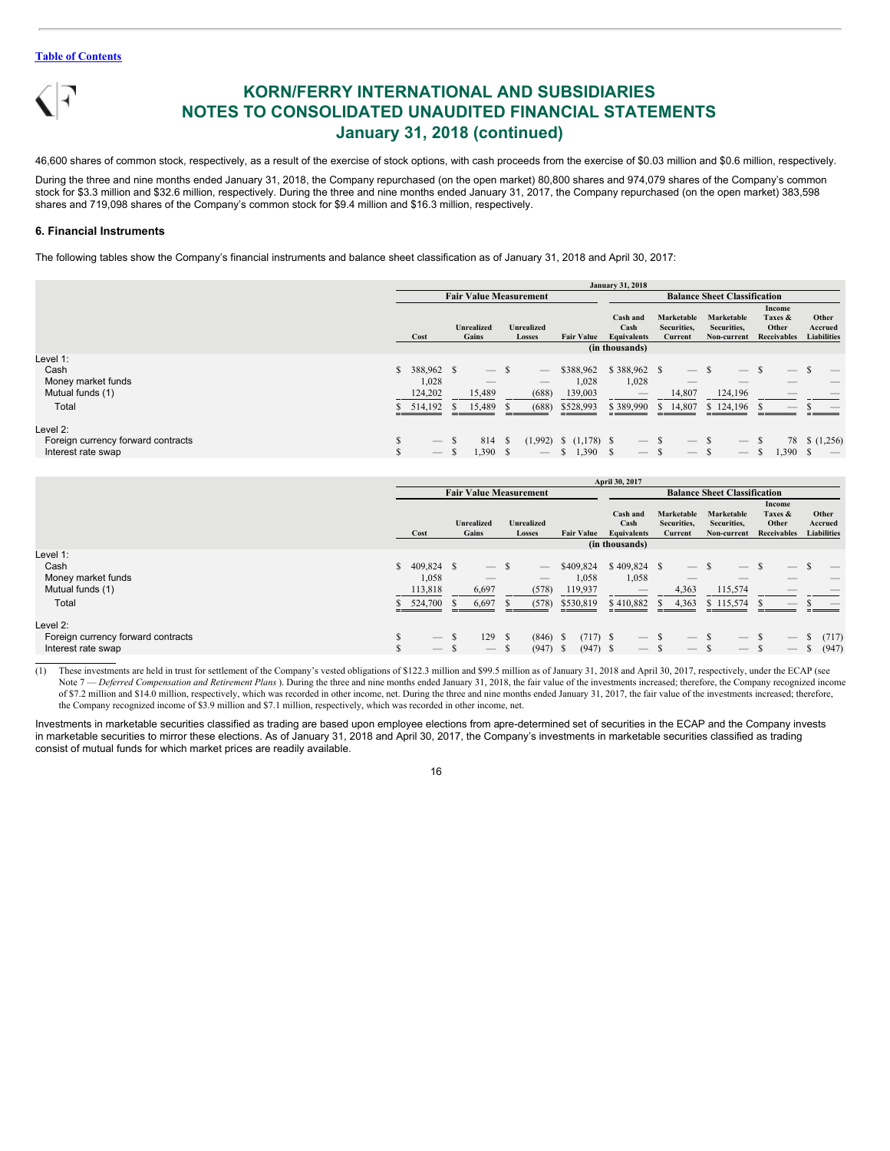

46,600 shares of common stock, respectively, as a result of the exercise of stock options, with cash proceeds from the exercise of \$0.03 million and \$0.6 million, respectively.

During the three and nine months ended January 31, 2018, the Company repurchased (on the open market) 80,800 shares and 974,079 shares of the Company's common stock for \$3.3 million and \$32.6 million, respectively. During the three and nine months ended January 31, 2017, the Company repurchased (on the open market) 383,598 shares and 719,098 shares of the Company's common stock for \$9.4 million and \$16.3 million, respectively.

#### **6. Financial Instruments**

The following tables show the Company's financial instruments and balance sheet classification as of January 31, 2018 and April 30, 2017:

|                                                                      | <b>January 31, 2018</b> |                                           |              |                                     |        |                                                   |                                             |                                                           |    |                                                                                        |                                                         |                  |                                                      |                                                 |  |  |
|----------------------------------------------------------------------|-------------------------|-------------------------------------------|--------------|-------------------------------------|--------|---------------------------------------------------|---------------------------------------------|-----------------------------------------------------------|----|----------------------------------------------------------------------------------------|---------------------------------------------------------|------------------|------------------------------------------------------|-------------------------------------------------|--|--|
|                                                                      |                         |                                           |              | <b>Fair Value Measurement</b>       |        |                                                   |                                             | <b>Balance Sheet Classification</b>                       |    |                                                                                        |                                                         |                  |                                                      |                                                 |  |  |
|                                                                      |                         | Cost                                      |              | <b>Unrealized</b><br>Gains          |        | Unrealized<br>Losses                              | <b>Fair Value</b>                           | Cash and<br>Cash<br>Equivalents                           |    | Marketable<br>Securities,<br>Current                                                   | Marketable<br>Securities,<br>Non-current                | Taxes &<br>Other | Income<br>Receivables                                | Other<br>Accrued<br><b>Liabilities</b>          |  |  |
|                                                                      |                         |                                           |              |                                     |        |                                                   |                                             | (in thousands)                                            |    |                                                                                        |                                                         |                  |                                                      |                                                 |  |  |
| Level 1:<br>Cash<br>Money market funds<br>Mutual funds (1)<br>Total  | S                       | 388,962 \$<br>1,028<br>124,202<br>514,192 |              | $\qquad \qquad$<br>15,489<br>15,489 | $-$ \$ | $\hspace{0.1mm}-\hspace{0.1mm}$<br>(688)<br>(688) | \$388,962<br>1,028<br>139,003<br>\$528,993  | $$388,962$ \$<br>1,028<br>\$389,990                       | -S | $\hspace{0.1mm}-\hspace{0.1mm}$<br>$\hspace{0.1mm}-\hspace{0.1mm}$<br>14,807<br>14,807 | $\hspace{0.1mm}-\hspace{0.1mm}$<br>124,196<br>\$124,196 | -S               | $\qquad \qquad - \qquad$<br>$\qquad \qquad - \qquad$ |                                                 |  |  |
| Level 2:<br>Foreign currency forward contracts<br>Interest rate swap | $\sigma$<br>ъ.          | $\overline{\phantom{0}}$                  | $-$ \$<br>-S | 814 \$<br>$1,390$ \$                |        | $\overline{\phantom{a}}$                          | $(1,992)$ \$ $(1,178)$ \$<br>$$1,390$ \, \$ | $\overline{\phantom{0}}$<br>$\overbrace{\phantom{13333}}$ |    | $\hspace{0.1mm}-\hspace{0.1mm}$<br>$\hspace{0.1mm}-\hspace{0.1mm}$                     | <b>S</b><br>$-$ \$<br><sup>\$</sup>                     | <sup>S</sup>     | 1,390                                                | 78 \$ (1,256)<br>-S<br>$\overline{\phantom{m}}$ |  |  |

|                                    |                               |                          |  |                            |  |                                     |                   |  | April 30, 2017                  |    |                                      |          |                                          |    |                                           |          |                                        |
|------------------------------------|-------------------------------|--------------------------|--|----------------------------|--|-------------------------------------|-------------------|--|---------------------------------|----|--------------------------------------|----------|------------------------------------------|----|-------------------------------------------|----------|----------------------------------------|
|                                    | <b>Fair Value Measurement</b> |                          |  |                            |  | <b>Balance Sheet Classification</b> |                   |  |                                 |    |                                      |          |                                          |    |                                           |          |                                        |
|                                    |                               | Cost                     |  | <b>Unrealized</b><br>Gains |  | Unrealized<br><b>Losses</b>         | <b>Fair Value</b> |  | Cash and<br>Cash<br>Equivalents |    | Marketable<br>Securities,<br>Current |          | Marketable<br>Securities,<br>Non-current |    | Income<br>Taxes &<br>Other<br>Receivables |          | Other<br>Accrued<br><b>Liabilities</b> |
|                                    |                               |                          |  |                            |  |                                     |                   |  | (in thousands)                  |    |                                      |          |                                          |    |                                           |          |                                        |
| Level 1:                           |                               |                          |  |                            |  |                                     |                   |  |                                 |    |                                      |          |                                          |    |                                           |          |                                        |
| Cash                               | S                             | 409,824 \$               |  | $-$ \$                     |  | $\overline{\phantom{a}}$            | \$409,824         |  |                                 |    | $\overline{\phantom{0}}$             | <b>S</b> | $\hspace{0.1mm}-\hspace{0.1mm}$          |    |                                           |          |                                        |
| Money market funds                 |                               | 1,058                    |  | $\qquad \qquad$            |  | $\hspace{0.1mm}-\hspace{0.1mm}$     | 1,058             |  | 1,058                           |    | $\hspace{0.1mm}-\hspace{0.1mm}$      |          |                                          |    | $-$                                       |          |                                        |
| Mutual funds (1)                   |                               | 113,818                  |  | 6,697                      |  | (578)                               | 119,937           |  |                                 |    | 4,363                                |          | 115,574                                  |    | $\qquad \qquad - \qquad$                  |          |                                        |
| Total                              |                               | 524,700                  |  | 6,697                      |  | (578)                               | \$530,819         |  | \$410,882                       | -S | 4,363                                |          | \$115,574                                |    | $\hspace{0.1mm}-\hspace{0.1mm}$           |          | $\hspace{0.1mm}-\hspace{0.1mm}$        |
| Level 2:                           |                               |                          |  |                            |  |                                     |                   |  |                                 |    |                                      |          |                                          |    |                                           |          |                                        |
| Foreign currency forward contracts |                               | $\overline{\phantom{0}}$ |  | 129S                       |  | $(846)$ \$                          | $(717)$ \$        |  |                                 |    | $\hspace{0.1mm}-\hspace{0.1mm}$      | <b>S</b> | $\hspace{0.1mm}-\hspace{0.1mm}$          | S. | $\hspace{0.1mm}-\hspace{0.1mm}$           | <b>S</b> | (717)                                  |
| Interest rate swap                 |                               | $-$ s                    |  | $\overline{\phantom{0}}$   |  | $(947)$ \$                          | $(947)$ \$        |  |                                 |    | $\hspace{0.1mm}-\hspace{0.1mm}$      |          | $\overline{\phantom{0}}$                 |    | $\hspace{0.1mm}-\hspace{0.1mm}$           | S        | (947)                                  |

(1) These investments are held in trust for settlement of the Company's vested obligations of \$122.3 million and \$99.5 million as of January 31, 2018 and April 30, 2017, respectively, under the ECAP (see Note 7 - Deferred Compensation and Retirement Plans). During the three and nine months ended January 31, 2018, the fair value of the investments increased; therefore, the Company recognized income of \$7.2 million and \$14.0 million, respectively, which was recorded in other income, net. During the three and nine months ended January 31, 2017, the fair value of the investments increased; therefore, the Company recognized income of \$3.9 million and \$7.1 million, respectively, which was recorded in other income, net.

Investments in marketable securities classified as trading are based upon employee elections from apre-determined set of securities in the ECAP and the Company invests in marketable securities to mirror these elections. As of January 31, 2018 and April 30, 2017, the Company's investments in marketable securities classified as trading consist of mutual funds for which market prices are readily available.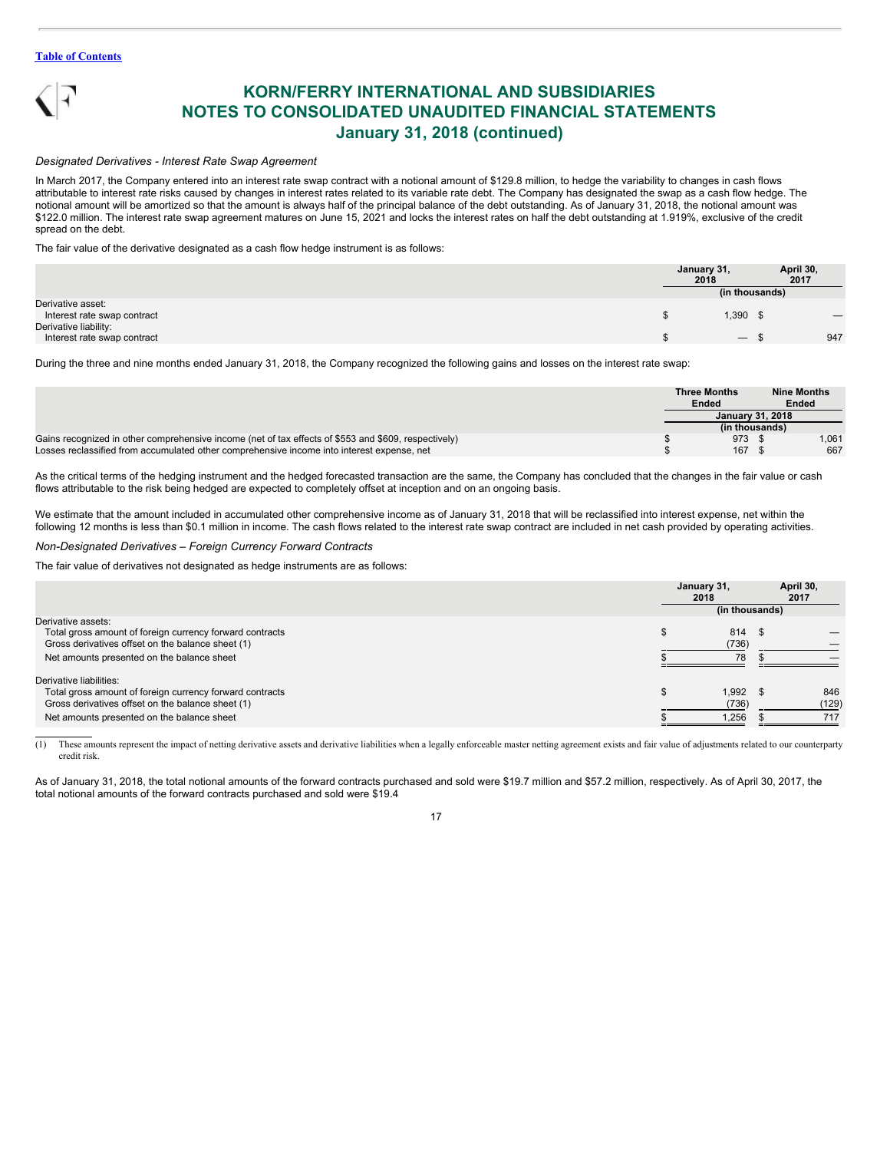

#### *Designated Derivatives - Interest Rate Swap Agreement*

In March 2017, the Company entered into an interest rate swap contract with a notional amount of \$129.8 million, to hedge the variability to changes in cash flows attributable to interest rate risks caused by changes in interest rates related to its variable rate debt. The Company has designated the swap as a cash flow hedge. The notional amount will be amortized so that the amount is always half of the principal balance of the debt outstanding. As of January 31, 2018, the notional amount was \$122.0 million. The interest rate swap agreement matures on June 15, 2021 and locks the interest rates on half the debt outstanding at 1.919%, exclusive of the credit spread on the debt.

The fair value of the derivative designated as a cash flow hedge instrument is as follows:

|                                                      | January 31,<br>2018 | April 30,<br>2017 |  |
|------------------------------------------------------|---------------------|-------------------|--|
|                                                      |                     | (in thousands)    |  |
| Derivative asset:<br>Interest rate swap contract     | 1,390               |                   |  |
| Derivative liability:<br>Interest rate swap contract |                     | 947               |  |

During the three and nine months ended January 31, 2018, the Company recognized the following gains and losses on the interest rate swap:

|                                                                                                      | <b>Three Months</b><br>Ended |  | Nine Months<br><b>Ended</b> |
|------------------------------------------------------------------------------------------------------|------------------------------|--|-----------------------------|
|                                                                                                      | <b>January 31, 2018</b>      |  |                             |
|                                                                                                      | (in thousands)               |  |                             |
| Gains recognized in other comprehensive income (net of tax effects of \$553 and \$609, respectively) | 973                          |  | 1.061                       |
| Losses reclassified from accumulated other comprehensive income into interest expense, net           | 167                          |  | 667                         |

As the critical terms of the hedging instrument and the hedged forecasted transaction are the same, the Company has concluded that the changes in the fair value or cash flows attributable to the risk being hedged are expected to completely offset at inception and on an ongoing basis.

We estimate that the amount included in accumulated other comprehensive income as of January 31, 2018 that will be reclassified into interest expense, net within the following 12 months is less than \$0.1 million in income. The cash flows related to the interest rate swap contract are included in net cash provided by operating activities.

#### *Non-Designated Derivatives – Foreign Currency Forward Contracts*

The fair value of derivatives not designated as hedge instruments are as follows:

|                                                          | January 31,<br>2018 |  | April 30,<br>2017 |  |
|----------------------------------------------------------|---------------------|--|-------------------|--|
|                                                          | (in thousands)      |  |                   |  |
| Derivative assets:                                       |                     |  |                   |  |
| Total gross amount of foreign currency forward contracts | 814                 |  |                   |  |
| Gross derivatives offset on the balance sheet (1)        | (736)               |  |                   |  |
| Net amounts presented on the balance sheet               | 78                  |  |                   |  |
| Derivative liabilities:                                  |                     |  |                   |  |
| Total gross amount of foreign currency forward contracts | 1.992               |  | 846               |  |
| Gross derivatives offset on the balance sheet (1)        | (736)               |  | (129)             |  |
| Net amounts presented on the balance sheet               | 1.256               |  | 717               |  |

(1) These amounts represent the impact of netting derivative assets and derivative liabilities when a legally enforceable master netting agreement exists and fair value of adjustments related to our counterparty credit risk.

As of January 31, 2018, the total notional amounts of the forward contracts purchased and sold were \$19.7 million and \$57.2 million, respectively. As of April 30, 2017, the total notional amounts of the forward contracts purchased and sold were \$19.4

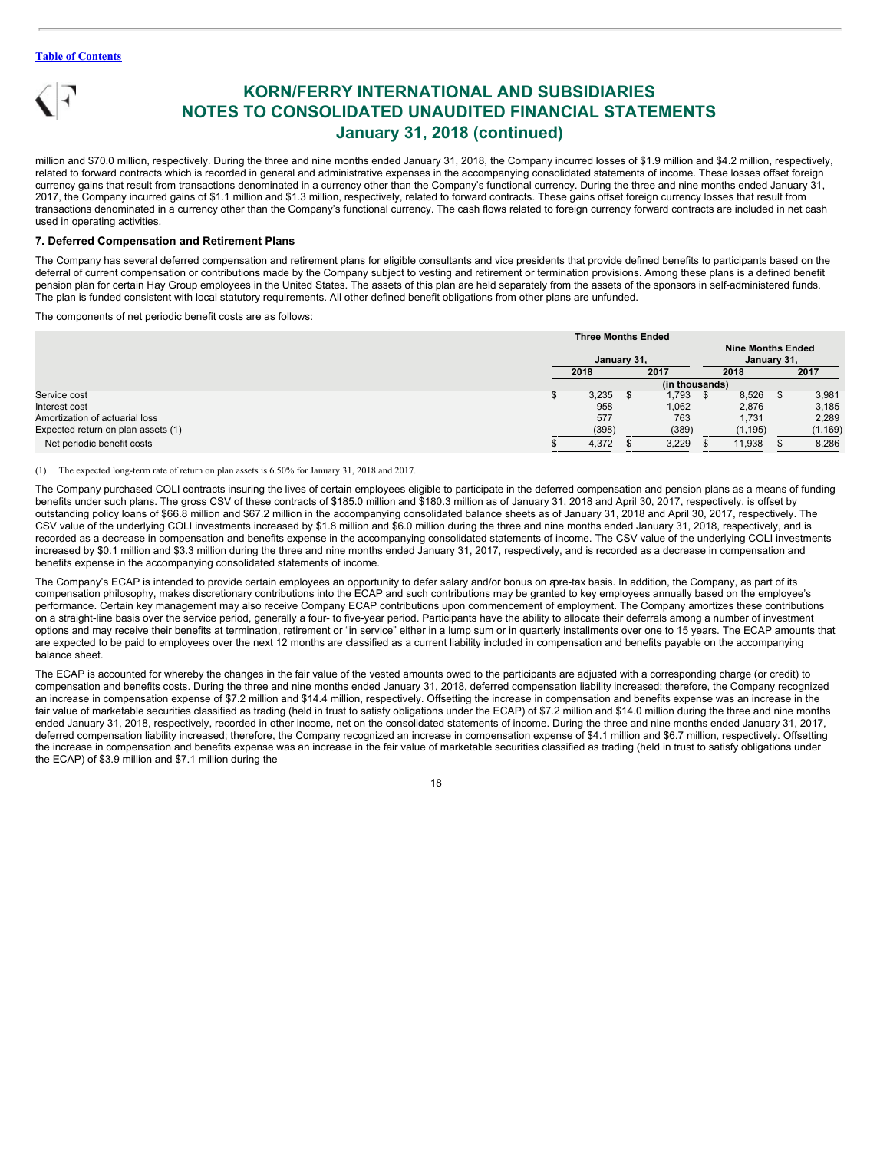

million and \$70.0 million, respectively. During the three and nine months ended January 31, 2018, the Company incurred losses of \$1.9 million and \$4.2 million, respectively, related to forward contracts which is recorded in general and administrative expenses in the accompanying consolidated statements of income. These losses offset foreign currency gains that result from transactions denominated in a currency other than the Company's functional currency. During the three and nine months ended January 31, 2017, the Company incurred gains of \$1.1 million and \$1.3 million, respectively, related to forward contracts. These gains offset foreign currency losses that result from transactions denominated in a currency other than the Company's functional currency. The cash flows related to foreign currency forward contracts are included in net cash used in operating activities.

#### **7. Deferred Compensation and Retirement Plans**

The Company has several deferred compensation and retirement plans for eligible consultants and vice presidents that provide defined benefits to participants based on the deferral of current compensation or contributions made by the Company subject to vesting and retirement or termination provisions. Among these plans is a defined benefit pension plan for certain Hay Group employees in the United States. The assets of this plan are held separately from the assets of the sponsors in self-administered funds. The plan is funded consistent with local statutory requirements. All other defined benefit obligations from other plans are unfunded.

The components of net periodic benefit costs are as follows:

|                                    | <b>Three Months Ended</b> |  |                |                                         |          |  |          |
|------------------------------------|---------------------------|--|----------------|-----------------------------------------|----------|--|----------|
|                                    | January 31,               |  |                | <b>Nine Months Ended</b><br>January 31, |          |  |          |
|                                    | 2017<br>2018              |  |                | 2018                                    |          |  | 2017     |
|                                    |                           |  | (in thousands) |                                         |          |  |          |
| Service cost                       | 3,235                     |  | .793           |                                         | 8,526    |  | 3,981    |
| Interest cost                      | 958                       |  | 1.062          |                                         | 2,876    |  | 3,185    |
| Amortization of actuarial loss     | 577                       |  | 763            |                                         | 1.731    |  | 2,289    |
| Expected return on plan assets (1) | (398)                     |  | (389)          |                                         | (1, 195) |  | (1, 169) |
| Net periodic benefit costs         | 4,372                     |  | 3,229          |                                         | 11,938   |  | 8,286    |

(1) The expected long-term rate of return on plan assets is 6.50% for January 31, 2018 and 2017.

The Company purchased COLI contracts insuring the lives of certain employees eligible to participate in the deferred compensation and pension plans as a means of funding benefits under such plans. The gross CSV of these contracts of \$185.0 million and \$180.3 million as of January 31, 2018 and April 30, 2017, respectively, is offset by outstanding policy loans of \$66.8 million and \$67.2 million in the accompanying consolidated balance sheets as of January 31, 2018 and April 30, 2017, respectively. The CSV value of the underlying COLI investments increased by \$1.8 million and \$6.0 million during the three and nine months ended January 31, 2018, respectively, and is recorded as a decrease in compensation and benefits expense in the accompanying consolidated statements of income. The CSV value of the underlying COLI investments increased by \$0.1 million and \$3.3 million during the three and nine months ended January 31, 2017, respectively, and is recorded as a decrease in compensation and benefits expense in the accompanying consolidated statements of income.

The Company's ECAP is intended to provide certain employees an opportunity to defer salary and/or bonus on apre-tax basis. In addition, the Company, as part of its compensation philosophy, makes discretionary contributions into the ECAP and such contributions may be granted to key employees annually based on the employee's performance. Certain key management may also receive Company ECAP contributions upon commencement of employment. The Company amortizes these contributions on a straight-line basis over the service period, generally a four- to five-year period. Participants have the ability to allocate their deferrals among a number of investment options and may receive their benefits at termination, retirement or "in service" either in a lump sum or in quarterly installments over one to 15 years. The ECAP amounts that are expected to be paid to employees over the next 12 months are classified as a current liability included in compensation and benefits payable on the accompanying balance sheet.

The ECAP is accounted for whereby the changes in the fair value of the vested amounts owed to the participants are adjusted with a corresponding charge (or credit) to compensation and benefits costs. During the three and nine months ended January 31, 2018, deferred compensation liability increased; therefore, the Company recognized an increase in compensation expense of \$7.2 million and \$14.4 million, respectively. Offsetting the increase in compensation and benefits expense was an increase in the fair value of marketable securities classified as trading (held in trust to satisfy obligations under the ECAP) of \$7.2 million and \$14.0 million during the three and nine months ended January 31, 2018, respectively, recorded in other income, net on the consolidated statements of income. During the three and nine months ended January 31, 2017, deferred compensation liability increased; therefore, the Company recognized an increase in compensation expense of \$4.1 million and \$6.7 million, respectively. Offsetting the increase in compensation and benefits expense was an increase in the fair value of marketable securities classified as trading (held in trust to satisfy obligations under the ECAP) of \$3.9 million and \$7.1 million during the

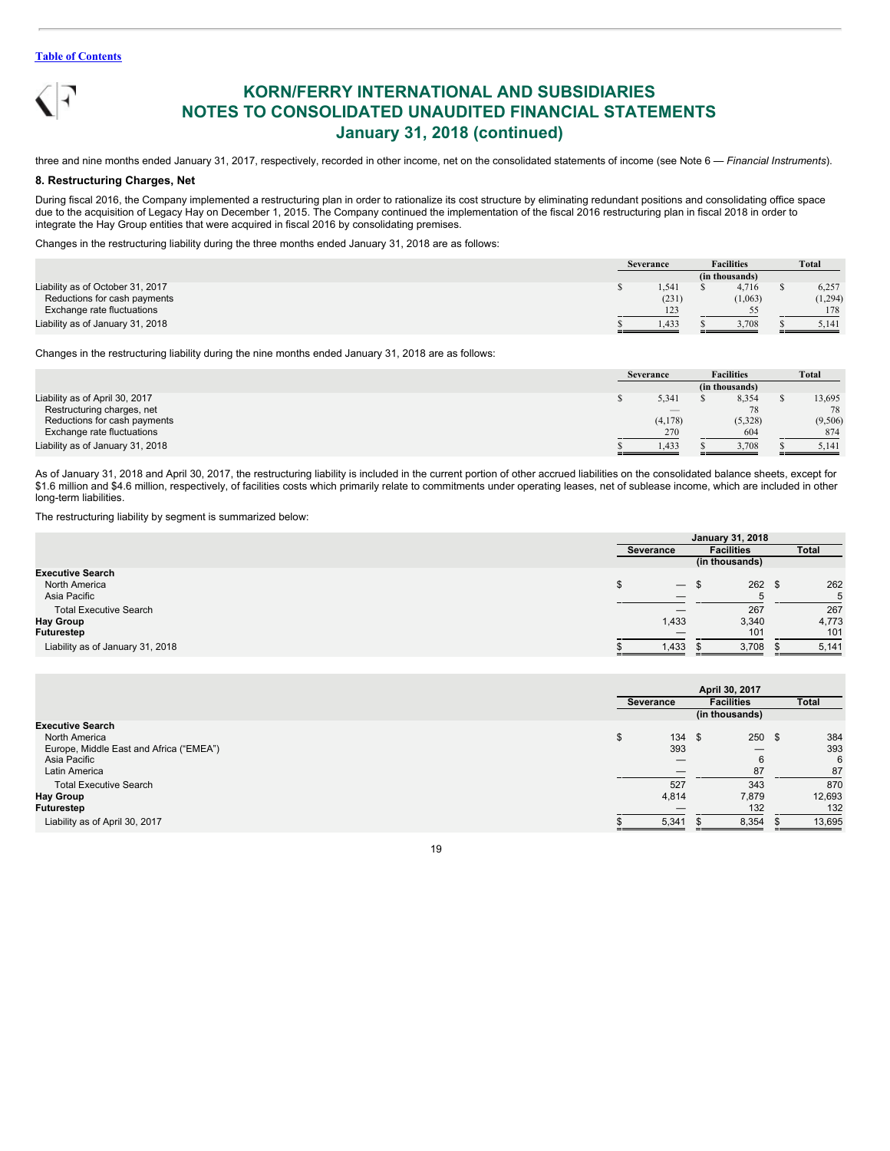

three and nine months ended January 31, 2017, respectively, recorded in other income, net on the consolidated statements of income (see Note 6 — *Financial Instruments*).

#### **8. Restructuring Charges, Net**

During fiscal 2016, the Company implemented a restructuring plan in order to rationalize its cost structure by eliminating redundant positions and consolidating office space due to the acquisition of Legacy Hay on December 1, 2015. The Company continued the implementation of the fiscal 2016 restructuring plan in fiscal 2018 in order to integrate the Hay Group entities that were acquired in fiscal 2016 by consolidating premises.

Changes in the restructuring liability during the three months ended January 31, 2018 are as follows:

|                                   | <b>Severance</b> | <b>Facilities</b> | Total |          |  |
|-----------------------------------|------------------|-------------------|-------|----------|--|
|                                   |                  |                   |       |          |  |
| Liability as of October 31, 2017  | 1.541            | 4.716             |       | 6,257    |  |
| Reductions for cash payments      | (231)            | (1,063)           |       | (1, 294) |  |
| <b>Exchange rate fluctuations</b> | 123              | 55                |       | 178      |  |
| Liability as of January 31, 2018  | 1.433            | 3.708             |       | 5.141    |  |

Changes in the restructuring liability during the nine months ended January 31, 2018 are as follows:

|                                  | <b>Severance</b> | <b>Facilities</b> |  | Total   |
|----------------------------------|------------------|-------------------|--|---------|
|                                  |                  | (in thousands)    |  |         |
| Liability as of April 30, 2017   | 5,341            | 8,354             |  | 13,695  |
| Restructuring charges, net       |                  | 78                |  | 78      |
| Reductions for cash payments     | (4,178)          | (5,328)           |  | (9,506) |
| Exchange rate fluctuations       | 270              | 604               |  | 874     |
| Liability as of January 31, 2018 | 1,433            | 3,708             |  | 5.141   |

As of January 31, 2018 and April 30, 2017, the restructuring liability is included in the current portion of other accrued liabilities on the consolidated balance sheets, except for \$1.6 million and \$4.6 million, respectively, of facilities costs which primarily relate to commitments under operating leases, net of sublease income, which are included in other long-term liabilities.

The restructuring liability by segment is summarized below:

|                                  |                                | <b>January 31, 2018</b> |       |
|----------------------------------|--------------------------------|-------------------------|-------|
|                                  | <b>Severance</b>               | <b>Facilities</b>       | Total |
|                                  |                                | (in thousands)          |       |
| <b>Executive Search</b>          |                                |                         |       |
| North America                    | \$<br>$\overline{\phantom{m}}$ | 262S<br>S               | 262   |
| Asia Pacific                     |                                |                         | 5     |
| <b>Total Executive Search</b>    |                                | 267                     | 267   |
| <b>Hay Group</b>                 | 1,433                          | 3,340                   | 4,773 |
| <b>Futurestep</b>                |                                | 101                     | 101   |
| Liability as of January 31, 2018 | 1,433                          | 3,708                   | 5,141 |

|                                         | April 30, 2017 |                   |  |        |  |  |  |  |
|-----------------------------------------|----------------|-------------------|--|--------|--|--|--|--|
|                                         | Severance      | <b>Facilities</b> |  | Total  |  |  |  |  |
|                                         |                | (in thousands)    |  |        |  |  |  |  |
| <b>Executive Search</b>                 |                |                   |  |        |  |  |  |  |
| North America                           | \$<br>134S     | $250$ \$          |  | 384    |  |  |  |  |
| Europe, Middle East and Africa ("EMEA") | 393            |                   |  | 393    |  |  |  |  |
| Asia Pacific                            |                | 6                 |  | 6      |  |  |  |  |
| Latin America                           |                | 87                |  | 87     |  |  |  |  |
| <b>Total Executive Search</b>           | 527            | 343               |  | 870    |  |  |  |  |
| <b>Hay Group</b>                        | 4,814          | 7,879             |  | 12,693 |  |  |  |  |
| Futurestep                              |                | 132               |  | 132    |  |  |  |  |
| Liability as of April 30, 2017          | 5.341          | 8,354             |  | 13,695 |  |  |  |  |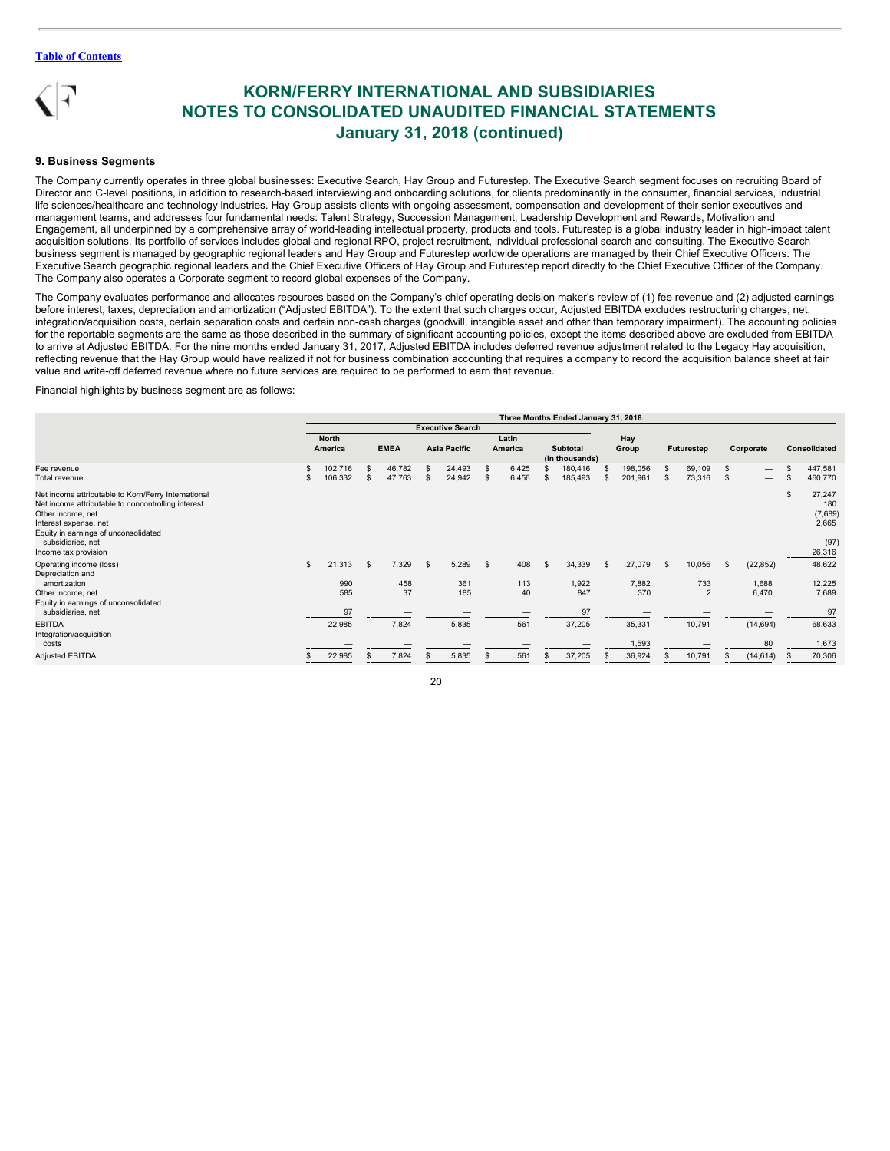

#### **9. Business Segments**

The Company currently operates in three global businesses: Executive Search, Hay Group and Futurestep. The Executive Search segment focuses on recruiting Board of Director and C-level positions, in addition to research-based interviewing and onboarding solutions, for clients predominantly in the consumer, financial services, industrial, life sciences/healthcare and technology industries. Hay Group assists clients with ongoing assessment, compensation and development of their senior executives and management teams, and addresses four fundamental needs: Talent Strategy, Succession Management, Leadership Development and Rewards, Motivation and Engagement, all underpinned by a comprehensive array of world-leading intellectual property, products and tools. Futurestep is a global industry leader in high-impact talent acquisition solutions. Its portfolio of services includes global and regional RPO, project recruitment, individual professional search and consulting. The Executive Search business segment is managed by geographic regional leaders and Hay Group and Futurestep worldwide operations are managed by their Chief Executive Officers. The Executive Search geographic regional leaders and the Chief Executive Officers of Hay Group and Futurestep report directly to the Chief Executive Officer of the Company. The Company also operates a Corporate segment to record global expenses of the Company.

The Company evaluates performance and allocates resources based on the Company's chief operating decision maker's review of (1) fee revenue and (2) adjusted earnings before interest, taxes, depreciation and amortization ("Adjusted EBITDA"). To the extent that such charges occur, Adjusted EBITDA excludes restructuring charges, net, integration/acquisition costs, certain separation costs and certain non-cash charges (goodwill, intangible asset and other than temporary impairment). The accounting policies for the reportable segments are the same as those described in the summary of significant accounting policies, except the items described above are excluded from EBITDA to arrive at Adjusted EBITDA. For the nine months ended January 31, 2017, Adjusted EBITDA includes deferred revenue adjustment related to the Legacy Hay acquisition, reflecting revenue that the Hay Group would have realized if not for business combination accounting that requires a company to record the acquisition balance sheet at fair value and write-off deferred revenue where no future services are required to be performed to earn that revenue.

#### Financial highlights by business segment are as follows:

|                                                                                                                                                                                                 | Three Months Ended January 31, 2018 |                    |                       |                  |                |                         |                |                |              |                                      |                |                    |                    |                   |          |                          |   |                                   |
|-------------------------------------------------------------------------------------------------------------------------------------------------------------------------------------------------|-------------------------------------|--------------------|-----------------------|------------------|----------------|-------------------------|----------------|----------------|--------------|--------------------------------------|----------------|--------------------|--------------------|-------------------|----------|--------------------------|---|-----------------------------------|
|                                                                                                                                                                                                 |                                     |                    |                       |                  |                | <b>Executive Search</b> |                |                |              |                                      |                |                    |                    |                   |          |                          |   |                                   |
|                                                                                                                                                                                                 |                                     | North              |                       |                  |                |                         |                | Latin          |              |                                      |                | Hay                |                    |                   |          |                          |   |                                   |
|                                                                                                                                                                                                 |                                     | America            |                       | <b>EMEA</b>      |                | <b>Asia Pacific</b>     |                | America        |              | Subtotal                             |                | Group              |                    | <b>Futurestep</b> |          | Corporate                |   | Consolidated                      |
| Fee revenue<br>Total revenue                                                                                                                                                                    | \$<br>\$                            | 102,716<br>106,332 | \$.<br>$\mathfrak{L}$ | 46,782<br>47,763 | \$<br>\$       | 24,493<br>24,942        | \$<br>\$       | 6,425<br>6,456 | S            | (in thousands)<br>180,416<br>185,493 | $\mathfrak{s}$ | 198,056<br>201,961 | -S<br>$\mathbf{s}$ | 69,109<br>73,316  | \$<br>\$ | $\overline{\phantom{0}}$ |   | 447,581<br>460,770                |
| Net income attributable to Korn/Ferry International<br>Net income attributable to noncontrolling interest<br>Other income, net<br>Interest expense, net<br>Equity in earnings of unconsolidated |                                     |                    |                       |                  |                |                         |                |                |              |                                      |                |                    |                    |                   |          |                          | S | 27,247<br>180<br>(7,689)<br>2,665 |
| subsidiaries, net<br>Income tax provision                                                                                                                                                       |                                     |                    |                       |                  |                |                         |                |                |              |                                      |                |                    |                    |                   |          |                          |   | (97)<br>26,316                    |
| Operating income (loss)<br>Depreciation and<br>amortization                                                                                                                                     | \$                                  | 21,313<br>990      | \$                    | 7,329<br>458     | $\mathfrak{s}$ | 5,289<br>361            | $\mathfrak{s}$ | 408<br>113     | $\mathbb{S}$ | 34,339<br>1,922                      | s.             | 27,079<br>7,882    | -S                 | 10,056<br>733     | s.       | (22, 852)<br>1,688       |   | 48,622<br>12,225                  |
| Other income, net<br>Equity in earnings of unconsolidated                                                                                                                                       |                                     | 585                |                       | 37               |                | 185                     |                | 40             |              | 847                                  |                | 370                |                    | $\overline{2}$    |          | 6,470                    |   | 7,689                             |
| subsidiaries, net<br><b>EBITDA</b>                                                                                                                                                              |                                     | 97<br>22,985       |                       | 7,824            |                | 5,835                   |                | 561            |              | 97<br>37,205                         |                | 35,331             |                    | 10,791            |          | (14, 694)                |   | 97<br>68,633                      |
| Integration/acquisition<br>costs                                                                                                                                                                |                                     |                    |                       |                  |                |                         |                |                |              |                                      |                | 1,593              |                    |                   |          | 80                       |   | 1,673                             |
| <b>Adjusted EBITDA</b>                                                                                                                                                                          |                                     | 22,985             |                       | 7,824            |                | 5,835                   |                | 561            |              | 37,205                               |                | 36,924             |                    | 10,791            |          | (14, 614)                |   | 70,306                            |

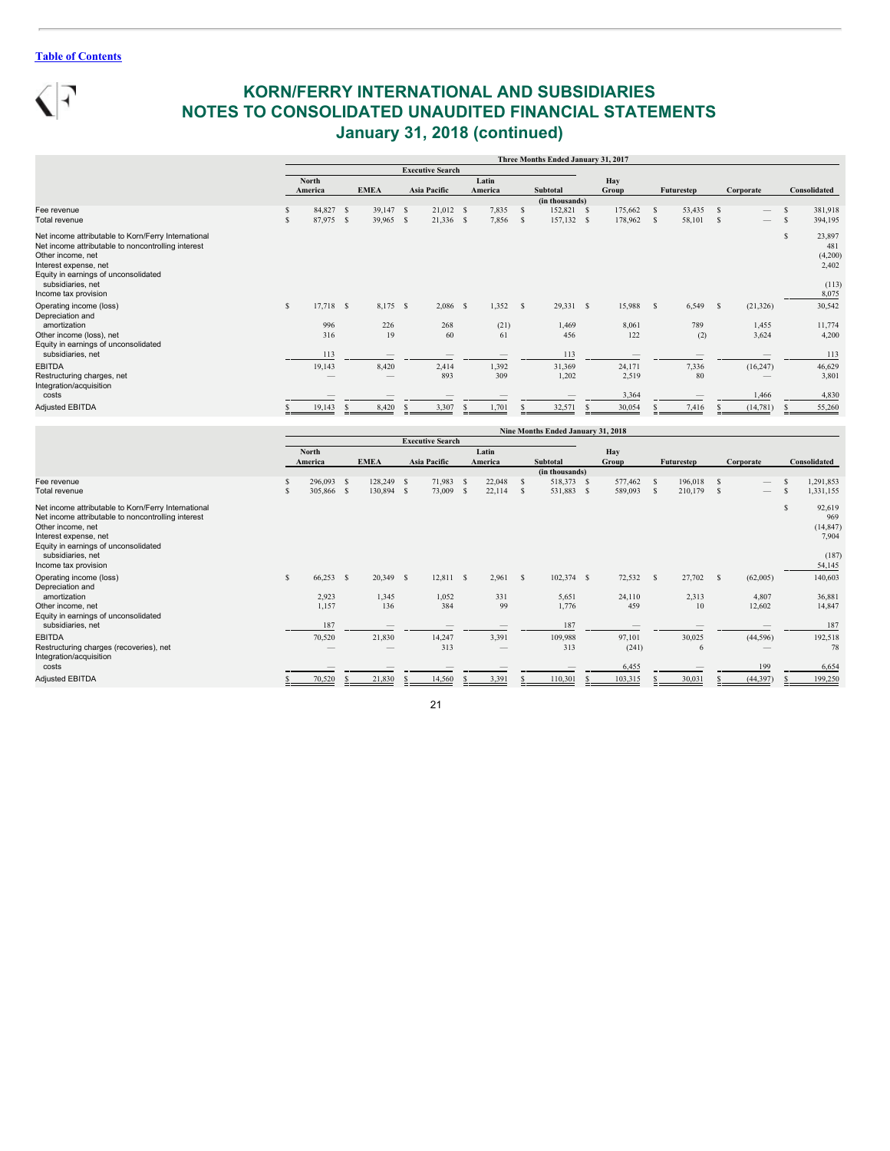#### **Table of [Contents](#page-1-0)**



## **KORN/FERRY INTERNATIONAL AND SUBSIDIARIES NOTES TO CONSOLIDATED UNAUDITED FINANCIAL STATEMENTS January 31, 2018 (continued)**

|                                                                                                                                                                                                 |             |                        |                        |               |                         |                  |                     | Three Months Ended January 31, 2017 |                    |                                |                  |                    |                               |   |                                   |
|-------------------------------------------------------------------------------------------------------------------------------------------------------------------------------------------------|-------------|------------------------|------------------------|---------------|-------------------------|------------------|---------------------|-------------------------------------|--------------------|--------------------------------|------------------|--------------------|-------------------------------|---|-----------------------------------|
|                                                                                                                                                                                                 |             |                        |                        |               | <b>Executive Search</b> |                  |                     |                                     |                    |                                |                  |                    |                               |   |                                   |
|                                                                                                                                                                                                 |             | North<br>America       | <b>EMEA</b>            |               | <b>Asia Pacific</b>     | Latin<br>America |                     | Subtotal                            | Hay<br>Group       |                                | Futurestep       |                    | Corporate                     |   | Consolidated                      |
|                                                                                                                                                                                                 |             |                        |                        |               |                         |                  |                     | (in thousands)                      |                    |                                |                  |                    |                               |   |                                   |
| Fee revenue<br>Total revenue                                                                                                                                                                    | S<br>S      | 84,827 \$<br>87,975 \$ | 39,147 \$<br>39,965 \$ |               | 21,012 \$<br>21,336 \$  | 7,835<br>7,856   | -S<br><sup>\$</sup> | 152,821 \$<br>157,132 \$            | 175,662<br>178,962 | <sup>\$</sup><br><sup>\$</sup> | 53,435<br>58,101 | S<br><sup>\$</sup> | $\overbrace{\phantom{aaaaa}}$ |   | 381,918<br>394,195                |
| Net income attributable to Korn/Ferry International<br>Net income attributable to noncontrolling interest<br>Other income, net<br>Interest expense, net<br>Equity in earnings of unconsolidated |             |                        |                        |               |                         |                  |                     |                                     |                    |                                |                  |                    |                               | S | 23,897<br>481<br>(4,200)<br>2,402 |
| subsidiaries, net<br>Income tax provision                                                                                                                                                       |             |                        |                        |               |                         |                  |                     |                                     |                    |                                |                  |                    |                               |   | (113)<br>8,075                    |
| Operating income (loss)<br>Depreciation and                                                                                                                                                     | $\mathbf S$ | 17,718 \$              | 8,175 \$               |               | $2,086$ \$              | 1,352            | <sup>S</sup>        | 29,331 \$                           | 15,988             | <sup>S</sup>                   | 6,549            | S.                 | (21, 326)                     |   | 30,542                            |
| amortization                                                                                                                                                                                    |             | 996                    | 226                    |               | 268                     | (21)             |                     | 1,469                               | 8,061              |                                | 789              |                    | 1,455                         |   | 11,774                            |
| Other income (loss), net                                                                                                                                                                        |             | 316                    | 19                     |               | 60                      | 61               |                     | 456                                 | 122                |                                | (2)              |                    | 3,624                         |   | 4,200                             |
| Equity in earnings of unconsolidated<br>subsidiaries, net                                                                                                                                       |             | 113                    |                        |               |                         |                  |                     | 113                                 |                    |                                |                  |                    |                               |   | 113                               |
| <b>EBITDA</b>                                                                                                                                                                                   |             | 19,143                 | 8,420                  |               | 2,414                   | 1,392            |                     | 31,369                              | 24,171             |                                | 7,336            |                    | (16, 247)                     |   | 46,629                            |
| Restructuring charges, net<br>Integration/acquisition<br>costs                                                                                                                                  |             |                        |                        |               | 893                     | 309              |                     | 1,202                               | 2,519<br>3,364     |                                | 80               |                    | 1,466                         |   | 3,801<br>4,830                    |
| Adjusted EBITDA                                                                                                                                                                                 |             | 19,143                 | 8,420                  | $\mathcal{S}$ | 3,307                   | 1,701            |                     | 32,571                              | 30,054             |                                | 7,416            |                    | (14, 781)                     |   | 55,260                            |

|                                                                                                                                                                                                 | Nine Months Ended January 31, 2018 |                          |  |                          |  |                         |     |                  |                                |                          |  |                    |                     |                    |                   |                                        |    |                                     |
|-------------------------------------------------------------------------------------------------------------------------------------------------------------------------------------------------|------------------------------------|--------------------------|--|--------------------------|--|-------------------------|-----|------------------|--------------------------------|--------------------------|--|--------------------|---------------------|--------------------|-------------------|----------------------------------------|----|-------------------------------------|
|                                                                                                                                                                                                 |                                    |                          |  |                          |  | <b>Executive Search</b> |     |                  |                                |                          |  |                    |                     |                    |                   |                                        |    |                                     |
|                                                                                                                                                                                                 |                                    | North                    |  |                          |  |                         |     | Latin            |                                |                          |  | Hay                |                     |                    |                   |                                        |    |                                     |
|                                                                                                                                                                                                 |                                    | America                  |  | <b>EMEA</b>              |  | <b>Asia Pacific</b>     |     | America          |                                | <b>Subtotal</b>          |  | Group              |                     | Futurestep         |                   | Corporate                              |    | Consolidated                        |
|                                                                                                                                                                                                 |                                    |                          |  |                          |  |                         |     |                  |                                | (in thousands)           |  |                    |                     |                    |                   |                                        |    |                                     |
| Fee revenue<br>Total revenue                                                                                                                                                                    | S<br><b>S</b>                      | 296,093 \$<br>305,866 \$ |  | 128,249 \$<br>130,894 \$ |  | 71,983 \$<br>73,009     | - S | 22,048<br>22,114 | <sup>\$</sup><br><sup>\$</sup> | 518,373 \$<br>531,883 \$ |  | 577,462<br>589,093 | -S<br><sup>\$</sup> | 196,018<br>210,179 | <sup>S</sup><br>S | $\qquad \qquad -$<br>$\hspace{0.05cm}$ |    | 1,291,853<br>1,331,155              |
| Net income attributable to Korn/Ferry International<br>Net income attributable to noncontrolling interest<br>Other income, net<br>Interest expense, net<br>Equity in earnings of unconsolidated |                                    |                          |  |                          |  |                         |     |                  |                                |                          |  |                    |                     |                    |                   |                                        | S. | 92,619<br>969<br>(14, 847)<br>7,904 |
| subsidiaries, net<br>Income tax provision                                                                                                                                                       |                                    |                          |  |                          |  |                         |     |                  |                                |                          |  |                    |                     |                    |                   |                                        |    | (187)<br>54,145                     |
| Operating income (loss)<br>Depreciation and                                                                                                                                                     | <sup>\$</sup>                      | 66,253 \$                |  | 20,349 \$                |  | $12,811$ \$             |     | $2,961$ \$       |                                | $102,374$ \$             |  | 72,532             | <sup>S</sup>        | 27,702             | <sup>\$</sup>     | (62,005)                               |    | 140,603                             |
| amortization<br>Other income, net<br>Equity in earnings of unconsolidated                                                                                                                       |                                    | 2,923<br>1,157           |  | 1,345<br>136             |  | 1,052<br>384            |     | 331<br>99        |                                | 5,651<br>1,776           |  | 24,110<br>459      |                     | 2,313<br>10        |                   | 4,807<br>12,602                        |    | 36,881<br>14,847                    |
| subsidiaries, net                                                                                                                                                                               |                                    | 187                      |  |                          |  |                         |     |                  |                                | 187                      |  |                    |                     |                    |                   |                                        |    | 187                                 |
| <b>EBITDA</b><br>Restructuring charges (recoveries), net<br>Integration/acquisition                                                                                                             |                                    | 70,520                   |  | 21,830                   |  | 14,247<br>313           |     | 3,391            |                                | 109,988<br>313           |  | 97,101<br>(241)    |                     | 30,025<br>-6       |                   | (44, 596)                              |    | 192,518<br>78                       |
| costs                                                                                                                                                                                           |                                    |                          |  |                          |  |                         |     |                  |                                |                          |  | 6,455              |                     |                    |                   | 199                                    |    | 6,654                               |
| <b>Adjusted EBITDA</b>                                                                                                                                                                          |                                    | 70,520                   |  | 21,830                   |  | 14,560                  |     | 3,391            |                                | 110,301                  |  | 103,315            |                     | 30,031             |                   | (44, 397)                              |    | 199,250                             |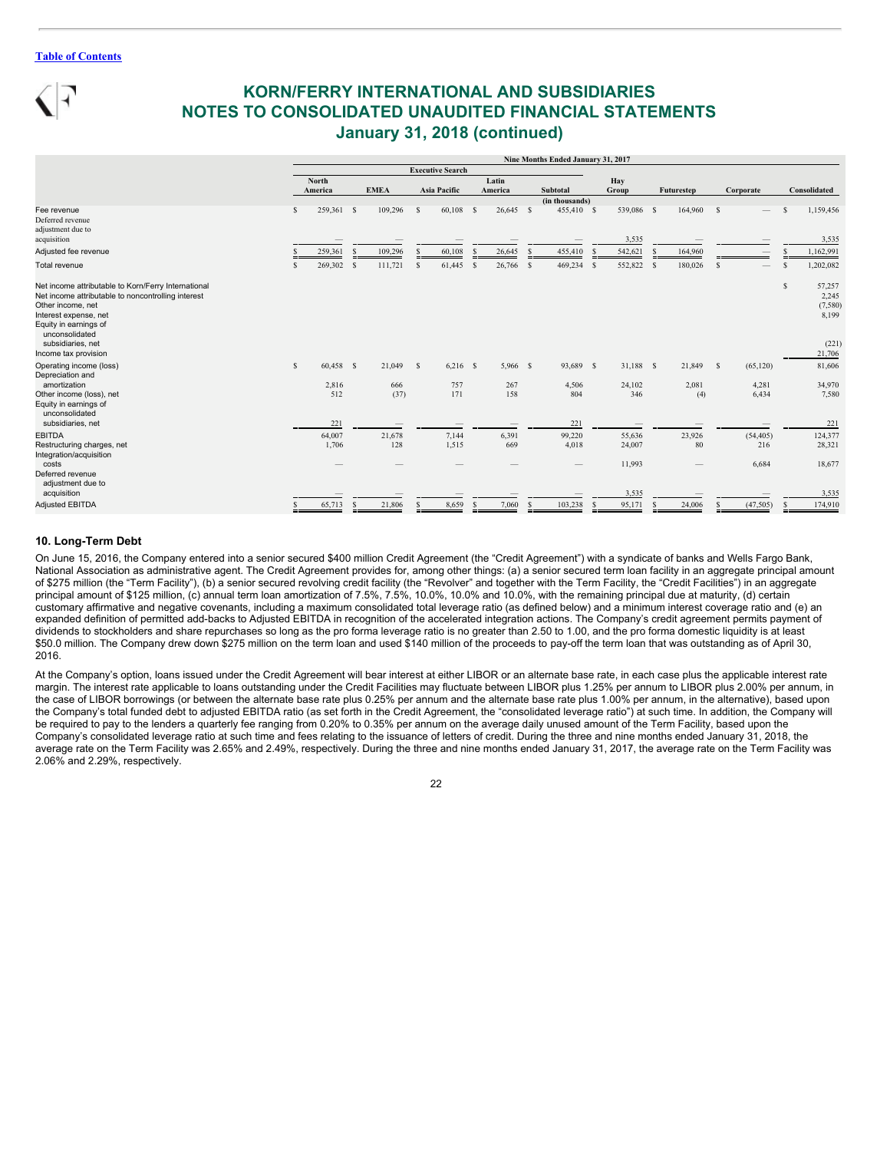

|                                                                                                                                                                                                    |    |            |     |             |              |                         |     |           |    | Nine Months Ended January 31, 2017 |            |     |                                 |              |           |   |                                     |
|----------------------------------------------------------------------------------------------------------------------------------------------------------------------------------------------------|----|------------|-----|-------------|--------------|-------------------------|-----|-----------|----|------------------------------------|------------|-----|---------------------------------|--------------|-----------|---|-------------------------------------|
|                                                                                                                                                                                                    |    |            |     |             |              | <b>Executive Search</b> |     |           |    |                                    |            |     |                                 |              |           |   |                                     |
|                                                                                                                                                                                                    |    | North      |     |             |              |                         |     | Latin     |    |                                    | Hay        |     |                                 |              |           |   |                                     |
|                                                                                                                                                                                                    |    | America    |     | <b>EMEA</b> |              | <b>Asia Pacific</b>     |     | America   |    | <b>Subtotal</b>                    | Group      |     | Futurestep                      |              | Corporate |   | Consolidated                        |
|                                                                                                                                                                                                    |    |            |     |             |              |                         |     |           |    | (in thousands)                     |            |     |                                 |              |           |   |                                     |
| Fee revenue<br>Deferred revenue<br>adjustment due to                                                                                                                                               | s  | 259,361 \$ |     | 109,296     | S.           | 60,108 \$               |     | 26,645 \$ |    | 455,410 \$                         | 539,086 \$ |     | 164,960                         | <sup>S</sup> |           | S | 1,159,456                           |
| acquisition                                                                                                                                                                                        |    |            |     |             |              |                         |     |           |    |                                    | 3,535      |     |                                 |              |           |   | 3,535                               |
| Adjusted fee revenue                                                                                                                                                                               |    | 259,361    |     | 109,296     | S            | 60,108                  | £.  | 26,645    | -S | 455,410                            | 542,621    |     | 164,960                         |              |           |   | 1,162,991                           |
| Total revenue                                                                                                                                                                                      | s  | 269,302    | - S | 111,721     | \$           | 61,445                  | - S | 26,766 \$ |    | 469,234 \$                         | 552,822    | - S | 180,026                         | <sup>S</sup> |           |   | 1,202,082                           |
| Net income attributable to Korn/Ferry International<br>Net income attributable to noncontrolling interest<br>Other income, net<br>Interest expense, net<br>Equity in earnings of<br>unconsolidated |    |            |     |             |              |                         |     |           |    |                                    |            |     |                                 |              |           | s | 57,257<br>2,245<br>(7,580)<br>8,199 |
| subsidiaries, net<br>Income tax provision                                                                                                                                                          |    |            |     |             |              |                         |     |           |    |                                    |            |     |                                 |              |           |   | (221)<br>21,706                     |
| Operating income (loss)<br>Depreciation and                                                                                                                                                        | S  | 60,458 \$  |     | 21,049      | <sup>S</sup> | $6,216$ \$              |     | 5,966 \$  |    | 93,689 \$                          | 31,188 \$  |     | 21,849                          | S            | (65, 120) |   | 81,606                              |
| amortization                                                                                                                                                                                       |    | 2,816      |     | 666         |              | 757                     |     | 267       |    | 4,506                              | 24,102     |     | 2,081                           |              | 4,281     |   | 34,970                              |
| Other income (loss), net<br>Equity in earnings of<br>unconsolidated                                                                                                                                |    | 512        |     | (37)        |              | 171                     |     | 158       |    | 804                                | 346        |     | (4)                             |              | 6,434     |   | 7,580                               |
| subsidiaries, net                                                                                                                                                                                  |    | 221        |     |             |              |                         |     |           |    | 221                                |            |     |                                 |              |           |   | 221                                 |
| <b>EBITDA</b>                                                                                                                                                                                      |    | 64,007     |     | 21,678      |              | 7,144                   |     | 6,391     |    | 99,220                             | 55,636     |     | 23,926                          |              | (54, 405) |   | 124,377                             |
| Restructuring charges, net<br>Integration/acquisition                                                                                                                                              |    | 1.706      |     | 128         |              | 1,515                   |     | 669       |    | 4,018                              | 24,007     |     | 80                              |              | 216       |   | 28,321                              |
| costs<br>Deferred revenue<br>adjustment due to                                                                                                                                                     |    |            |     |             |              |                         |     |           |    |                                    | 11,993     |     | $\hspace{0.1mm}-\hspace{0.1mm}$ |              | 6,684     |   | 18,677                              |
| acquisition                                                                                                                                                                                        |    |            |     |             |              |                         |     |           |    |                                    | 3,535      |     |                                 |              |           |   | 3,535                               |
| <b>Adjusted EBITDA</b>                                                                                                                                                                             | ÷÷ | 65,713     |     | 21,806      |              | 8,659                   | ÷-  | 7,060     |    | 103,238                            | 95,171     |     | 24,006                          |              | (47,505)  |   | 174,910                             |

#### **10. Long-Term Debt**

On June 15, 2016, the Company entered into a senior secured \$400 million Credit Agreement (the "Credit Agreement") with a syndicate of banks and Wells Fargo Bank, National Association as administrative agent. The Credit Agreement provides for, among other things: (a) a senior secured term loan facility in an aggregate principal amount of \$275 million (the "Term Facility"), (b) a senior secured revolving credit facility (the "Revolver" and together with the Term Facility, the "Credit Facilities") in an aggregate principal amount of \$125 million, (c) annual term loan amortization of 7.5%, 7.5%, 10.0%, 10.0% and 10.0%, with the remaining principal due at maturity, (d) certain customary affirmative and negative covenants, including a maximum consolidated total leverage ratio (as defined below) and a minimum interest coverage ratio and (e) an expanded definition of permitted add-backs to Adjusted EBITDA in recognition of the accelerated integration actions. The Company's credit agreement permits payment of dividends to stockholders and share repurchases so long as the pro forma leverage ratio is no greater than 2.50 to 1.00, and the pro forma domestic liquidity is at least \$50.0 million. The Company drew down \$275 million on the term loan and used \$140 million of the proceeds to pay-off the term loan that was outstanding as of April 30, 2016.

At the Company's option, loans issued under the Credit Agreement will bear interest at either LIBOR or an alternate base rate, in each case plus the applicable interest rate margin. The interest rate applicable to loans outstanding under the Credit Facilities may fluctuate between LIBOR plus 1.25% per annum to LIBOR plus 2.00% per annum, in the case of LIBOR borrowings (or between the alternate base rate plus 0.25% per annum and the alternate base rate plus 1.00% per annum, in the alternative), based upon the Company's total funded debt to adjusted EBITDA ratio (as set forth in the Credit Agreement, the "consolidated leverage ratio") at such time. In addition, the Company will be required to pay to the lenders a quarterly fee ranging from 0.20% to 0.35% per annum on the average daily unused amount of the Term Facility, based upon the Company's consolidated leverage ratio at such time and fees relating to the issuance of letters of credit. During the three and nine months ended January 31, 2018, the average rate on the Term Facility was 2.65% and 2.49%, respectively. During the three and nine months ended January 31, 2017, the average rate on the Term Facility was 2.06% and 2.29%, respectively.

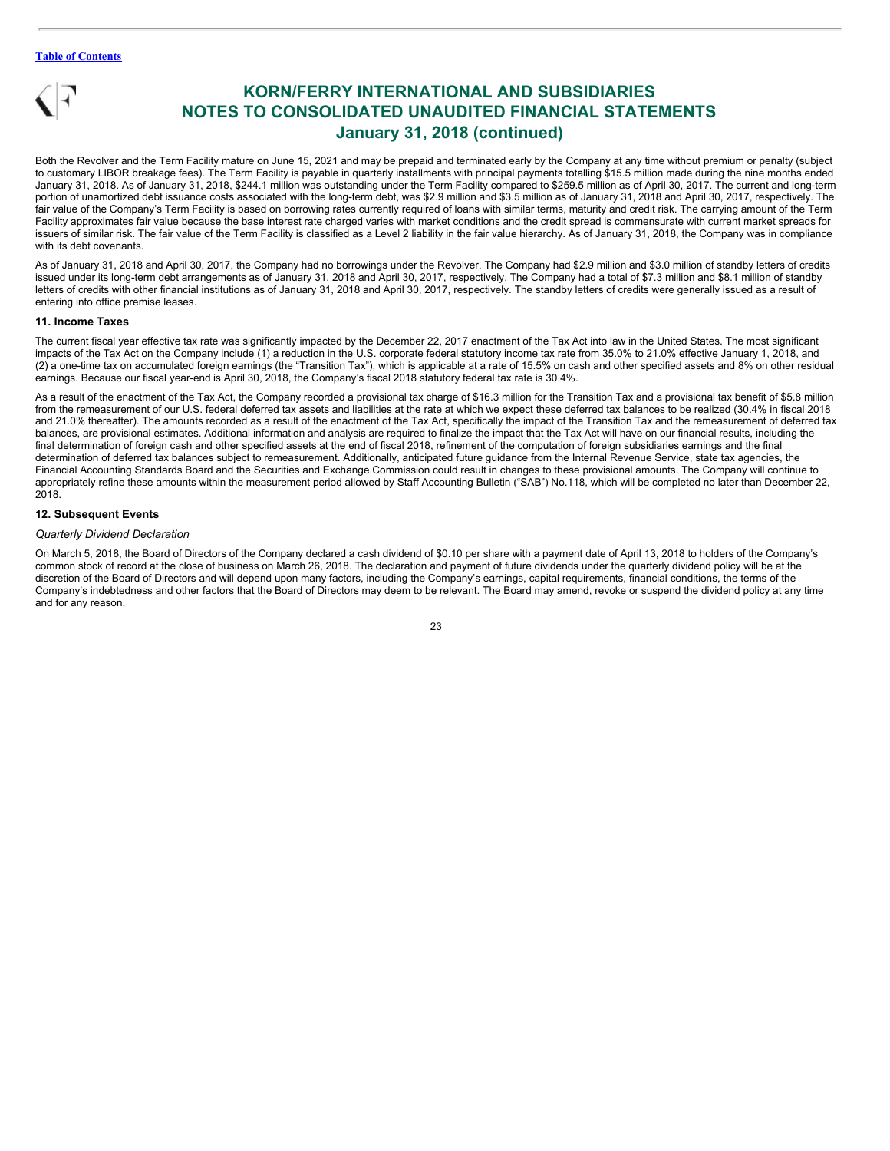

Both the Revolver and the Term Facility mature on June 15, 2021 and may be prepaid and terminated early by the Company at any time without premium or penalty (subject to customary LIBOR breakage fees). The Term Facility is payable in quarterly installments with principal payments totalling \$15.5 million made during the nine months ended January 31, 2018. As of January 31, 2018, \$244.1 million was outstanding under the Term Facility compared to \$259.5 million as of April 30, 2017. The current and long-term portion of unamortized debt issuance costs associated with the long-term debt, was \$2.9 million and \$3.5 million as of January 31, 2018 and April 30, 2017, respectively. The fair value of the Company's Term Facility is based on borrowing rates currently required of loans with similar terms, maturity and credit risk. The carrying amount of the Term Facility approximates fair value because the base interest rate charged varies with market conditions and the credit spread is commensurate with current market spreads for issuers of similar risk. The fair value of the Term Facility is classified as a Level 2 liability in the fair value hierarchy. As of January 31, 2018, the Company was in compliance with its debt covenants.

As of January 31, 2018 and April 30, 2017, the Company had no borrowings under the Revolver. The Company had \$2.9 million and \$3.0 million of standby letters of credits issued under its long-term debt arrangements as of January 31, 2018 and April 30, 2017, respectively. The Company had a total of \$7.3 million and \$8.1 million of standby letters of credits with other financial institutions as of January 31, 2018 and April 30, 2017, respectively. The standby letters of credits were generally issued as a result of entering into office premise leases.

#### **11. Income Taxes**

The current fiscal year effective tax rate was significantly impacted by the December 22, 2017 enactment of the Tax Act into law in the United States. The most significant impacts of the Tax Act on the Company include (1) a reduction in the U.S. corporate federal statutory income tax rate from 35.0% to 21.0% effective January 1, 2018, and (2) a one-time tax on accumulated foreign earnings (the "Transition Tax"), which is applicable at a rate of 15.5% on cash and other specified assets and 8% on other residual earnings. Because our fiscal year-end is April 30, 2018, the Company's fiscal 2018 statutory federal tax rate is 30.4%.

As a result of the enactment of the Tax Act, the Company recorded a provisional tax charge of \$16.3 million for the Transition Tax and a provisional tax benefit of \$5.8 million from the remeasurement of our U.S. federal deferred tax assets and liabilities at the rate at which we expect these deferred tax balances to be realized (30.4% in fiscal 2018 and 21.0% thereafter). The amounts recorded as a result of the enactment of the Tax Act, specifically the impact of the Transition Tax and the remeasurement of deferred tax balances, are provisional estimates. Additional information and analysis are required to finalize the impact that the Tax Act will have on our financial results, including the final determination of foreign cash and other specified assets at the end of fiscal 2018, refinement of the computation of foreign subsidiaries earnings and the final determination of deferred tax balances subject to remeasurement. Additionally, anticipated future guidance from the Internal Revenue Service, state tax agencies, the Financial Accounting Standards Board and the Securities and Exchange Commission could result in changes to these provisional amounts. The Company will continue to appropriately refine these amounts within the measurement period allowed by Staff Accounting Bulletin ("SAB") No.118, which will be completed no later than December 22, 2018.

#### **12. Subsequent Events**

#### *Quarterly Dividend Declaration*

On March 5, 2018, the Board of Directors of the Company declared a cash dividend of \$0.10 per share with a payment date of April 13, 2018 to holders of the Company's common stock of record at the close of business on March 26, 2018. The declaration and payment of future dividends under the quarterly dividend policy will be at the discretion of the Board of Directors and will depend upon many factors, including the Company's earnings, capital requirements, financial conditions, the terms of the Company's indebtedness and other factors that the Board of Directors may deem to be relevant. The Board may amend, revoke or suspend the dividend policy at any time and for any reason.

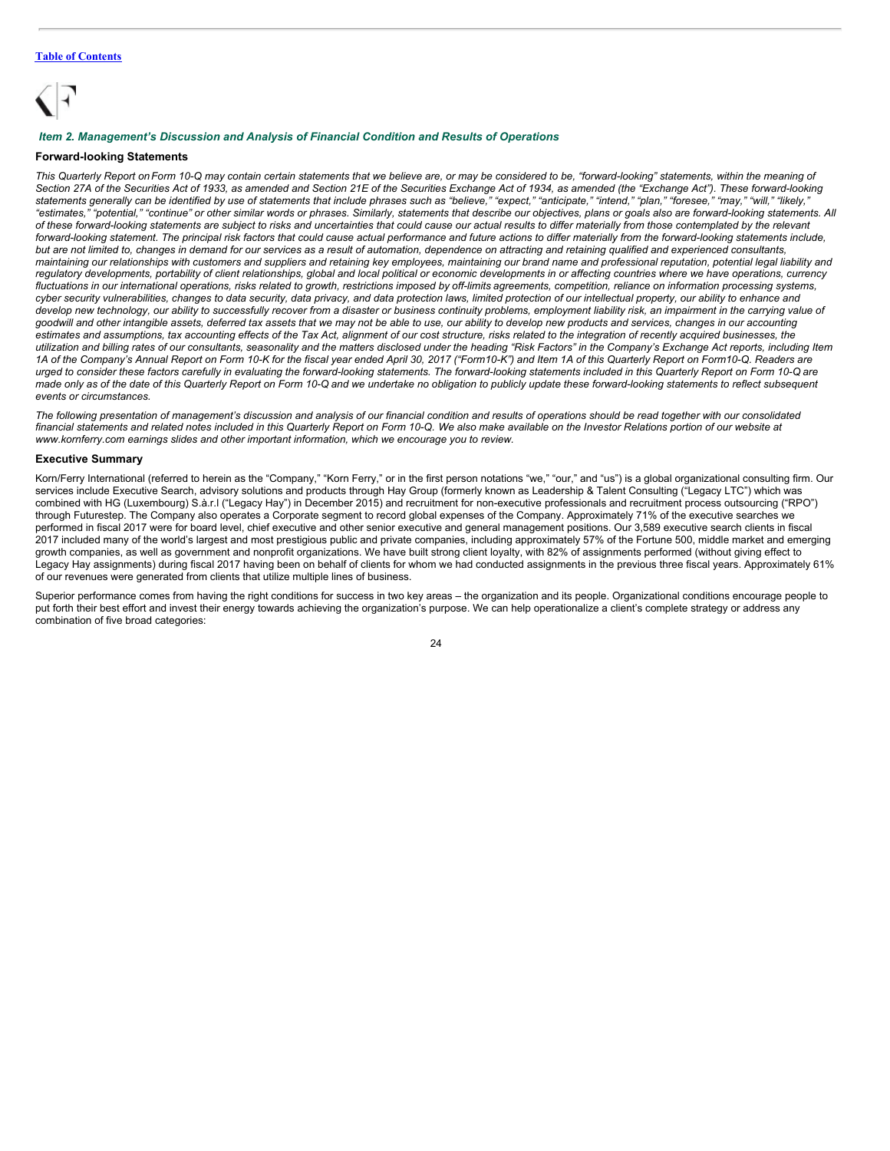#### <span id="page-25-0"></span>*Item 2. Management's Discussion and Analysis of Financial Condition and Results of Operations*

#### **Forward-looking Statements**

This Quarterly Report on Form 10-Q may contain certain statements that we believe are, or may be considered to be, "forward-looking" statements, within the meaning of Section 27A of the Securities Act of 1933, as amended and Section 21E of the Securities Exchange Act of 1934, as amended (the "Exchange Act"). These forward-looking statements generally can be identified by use of statements that include phrases such as "believe," "expect," "anticipate," "intend," "plan," "foresee," "may," "will," "likely," "estimates," "potential," "continue" or other similar words or phrases. Similarly, statements that describe our objectives, plans or goals also are forward-looking statements. All of these forward-looking statements are subject to risks and uncertainties that could cause our actual results to differ materially from those contemplated by the relevant forward-looking statement. The principal risk factors that could cause actual performance and future actions to differ materially from the forward-looking statements include, but are not limited to, changes in demand for our services as a result of automation, dependence on attracting and retaining qualified and experienced consultants, maintaining our relationships with customers and suppliers and retaining key employees, maintaining our brand name and professional reputation, potential legal liability and regulatory developments, portability of client relationships, global and local political or economic developments in or affecting countries where we have operations, currency fluctuations in our international operations, risks related to growth, restrictions imposed by off-limits agreements, competition, reliance on information processing systems, cyber security vulnerabilities, changes to data security, data privacy, and data protection laws, limited protection of our intellectual property, our ability to enhance and develop new technology, our ability to successfully recover from a disaster or business continuity problems, employment liability risk, an impairment in the carrying value of goodwill and other intangible assets, deferred tax assets that we may not be able to use, our ability to develop new products and services, changes in our accounting estimates and assumptions, tax accounting effects of the Tax Act, alignment of our cost structure, risks related to the integration of recently acquired businesses, the utilization and billing rates of our consultants, seasonality and the matters disclosed under the heading "Risk Factors" in the Company's Exchange Act reports, including Item 1A of the Company's Annual Report on Form 10-K for the fiscal year ended April 30, 2017 ("Form10-K") and Item 1A of this Quarterly Report on Form10-Q. Readers are urged to consider these factors carefully in evaluating the forward-looking statements. The forward-looking statements included in this Quarterly Report on Form 10-Q are made only as of the date of this Quarterly Report on Form 10-Q and we undertake no obligation to publicly update these forward-looking statements to reflect subsequent *events or circumstances.*

The following presentation of management's discussion and analysis of our financial condition and results of operations should be read together with our consolidated financial statements and related notes included in this Quarterly Report on Form 10-Q. We also make available on the Investor Relations portion of our website at *www.kornferry.com earnings slides and other important information, which we encourage you to review.*

#### **Executive Summary**

Korn/Ferry International (referred to herein as the "Company," "Korn Ferry," or in the first person notations "we," "our," and "us") is a global organizational consulting firm. Our services include Executive Search, advisory solutions and products through Hay Group (formerly known as Leadership & Talent Consulting ("Legacy LTC") which was combined with HG (Luxembourg) S.à.r.l ("Legacy Hay") in December 2015) and recruitment for non-executive professionals and recruitment process outsourcing ("RPO") through Futurestep. The Company also operates a Corporate segment to record global expenses of the Company. Approximately 71% of the executive searches we performed in fiscal 2017 were for board level, chief executive and other senior executive and general management positions. Our 3,589 executive search clients in fiscal 2017 included many of the world's largest and most prestigious public and private companies, including approximately 57% of the Fortune 500, middle market and emerging growth companies, as well as government and nonprofit organizations. We have built strong client loyalty, with 82% of assignments performed (without giving effect to Legacy Hay assignments) during fiscal 2017 having been on behalf of clients for whom we had conducted assignments in the previous three fiscal years. Approximately 61% of our revenues were generated from clients that utilize multiple lines of business.

Superior performance comes from having the right conditions for success in two key areas – the organization and its people. Organizational conditions encourage people to put forth their best effort and invest their energy towards achieving the organization's purpose. We can help operationalize a client's complete strategy or address any combination of five broad categories:

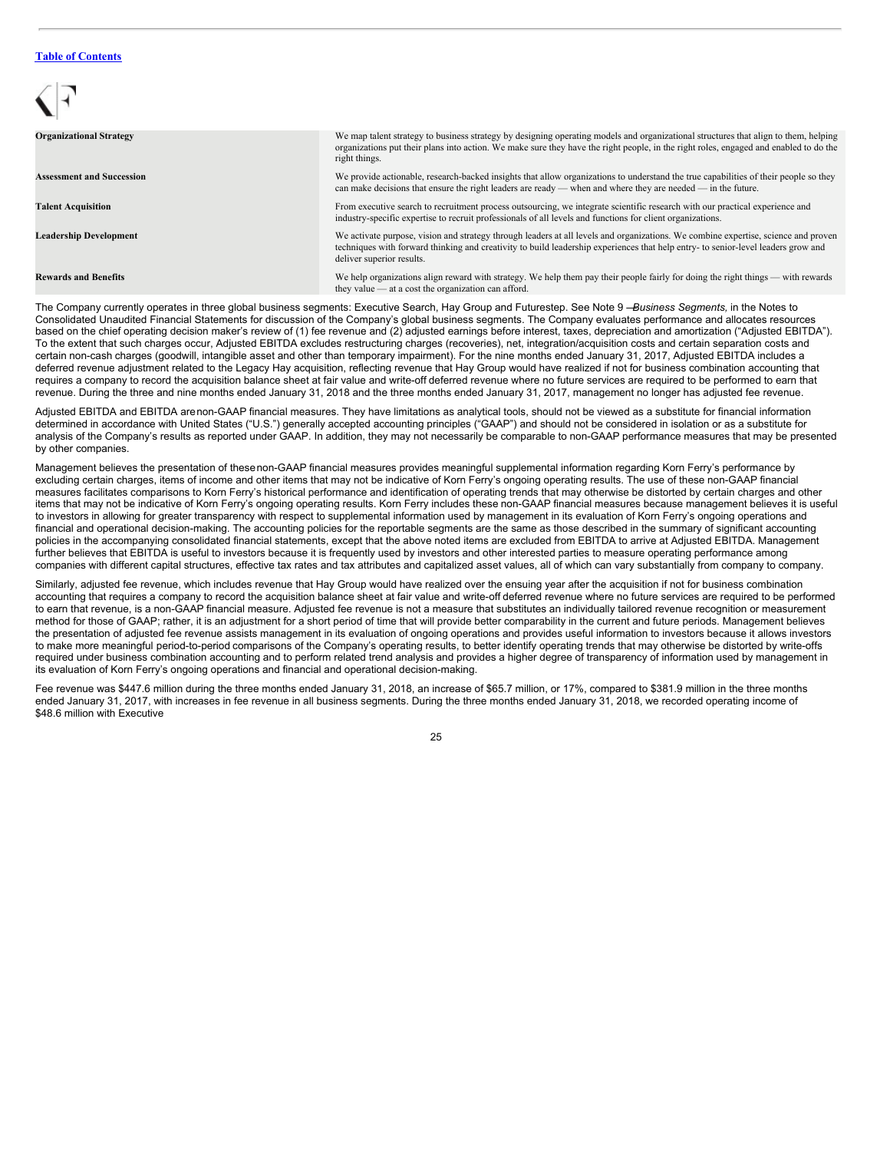#### **Table of [Contents](#page-1-0)**

| <b>Organizational Strategy</b>   | We map talent strategy to business strategy by designing operating models and organizational structures that align to them, helping<br>organizations put their plans into action. We make sure they have the right people, in the right roles, engaged and enabled to do the<br>right things.        |
|----------------------------------|------------------------------------------------------------------------------------------------------------------------------------------------------------------------------------------------------------------------------------------------------------------------------------------------------|
| <b>Assessment and Succession</b> | We provide actionable, research-backed insights that allow organizations to understand the true capabilities of their people so they<br>can make decisions that ensure the right leaders are ready — when and where they are needed — in the future.                                                 |
| <b>Talent Acquisition</b>        | From executive search to recruitment process outsourcing, we integrate scientific research with our practical experience and<br>industry-specific expertise to recruit professionals of all levels and functions for client organizations.                                                           |
| <b>Leadership Development</b>    | We activate purpose, vision and strategy through leaders at all levels and organizations. We combine expertise, science and proven<br>techniques with forward thinking and creativity to build leadership experiences that help entry- to senior-level leaders grow and<br>deliver superior results. |
| <b>Rewards and Benefits</b>      | We help organizations align reward with strategy. We help them pay their people fairly for doing the right things — with rewards<br>they value $-$ at a cost the organization can afford.                                                                                                            |

The Company currently operates in three global business segments: Executive Search, Hay Group and Futurestep. See Note 9 —*Business Segments,* in the Notes to Consolidated Unaudited Financial Statements for discussion of the Company's global business segments. The Company evaluates performance and allocates resources based on the chief operating decision maker's review of (1) fee revenue and (2) adjusted earnings before interest, taxes, depreciation and amortization ("Adjusted EBITDA"). To the extent that such charges occur, Adjusted EBITDA excludes restructuring charges (recoveries), net, integration/acquisition costs and certain separation costs and certain non-cash charges (goodwill, intangible asset and other than temporary impairment). For the nine months ended January 31, 2017, Adjusted EBITDA includes a deferred revenue adjustment related to the Legacy Hay acquisition, reflecting revenue that Hay Group would have realized if not for business combination accounting that requires a company to record the acquisition balance sheet at fair value and write-off deferred revenue where no future services are required to be performed to earn that revenue. During the three and nine months ended January 31, 2018 and the three months ended January 31, 2017, management no longer has adjusted fee revenue.

Adjusted EBITDA and EBITDA arenon-GAAP financial measures. They have limitations as analytical tools, should not be viewed as a substitute for financial information determined in accordance with United States ("U.S.") generally accepted accounting principles ("GAAP") and should not be considered in isolation or as a substitute for analysis of the Company's results as reported under GAAP. In addition, they may not necessarily be comparable to non-GAAP performance measures that may be presented by other companies.

Management believes the presentation of thesenon-GAAP financial measures provides meaningful supplemental information regarding Korn Ferry's performance by excluding certain charges, items of income and other items that may not be indicative of Korn Ferry's ongoing operating results. The use of these non-GAAP financial measures facilitates comparisons to Korn Ferry's historical performance and identification of operating trends that may otherwise be distorted by certain charges and other items that may not be indicative of Korn Ferry's ongoing operating results. Korn Ferry includes these non-GAAP financial measures because management believes it is useful to investors in allowing for greater transparency with respect to supplemental information used by management in its evaluation of Korn Ferry's ongoing operations and financial and operational decision-making. The accounting policies for the reportable segments are the same as those described in the summary of significant accounting policies in the accompanying consolidated financial statements, except that the above noted items are excluded from EBITDA to arrive at Adjusted EBITDA. Management further believes that EBITDA is useful to investors because it is frequently used by investors and other interested parties to measure operating performance among companies with different capital structures, effective tax rates and tax attributes and capitalized asset values, all of which can vary substantially from company to company.

Similarly, adjusted fee revenue, which includes revenue that Hay Group would have realized over the ensuing year after the acquisition if not for business combination accounting that requires a company to record the acquisition balance sheet at fair value and write-off deferred revenue where no future services are required to be performed to earn that revenue, is a non-GAAP financial measure. Adjusted fee revenue is not a measure that substitutes an individually tailored revenue recognition or measurement method for those of GAAP; rather, it is an adjustment for a short period of time that will provide better comparability in the current and future periods. Management believes the presentation of adjusted fee revenue assists management in its evaluation of ongoing operations and provides useful information to investors because it allows investors to make more meaningful period-to-period comparisons of the Company's operating results, to better identify operating trends that may otherwise be distorted by write-offs required under business combination accounting and to perform related trend analysis and provides a higher degree of transparency of information used by management in its evaluation of Korn Ferry's ongoing operations and financial and operational decision-making.

Fee revenue was \$447.6 million during the three months ended January 31, 2018, an increase of \$65.7 million, or 17%, compared to \$381.9 million in the three months ended January 31, 2017, with increases in fee revenue in all business segments. During the three months ended January 31, 2018, we recorded operating income of \$48.6 million with Executive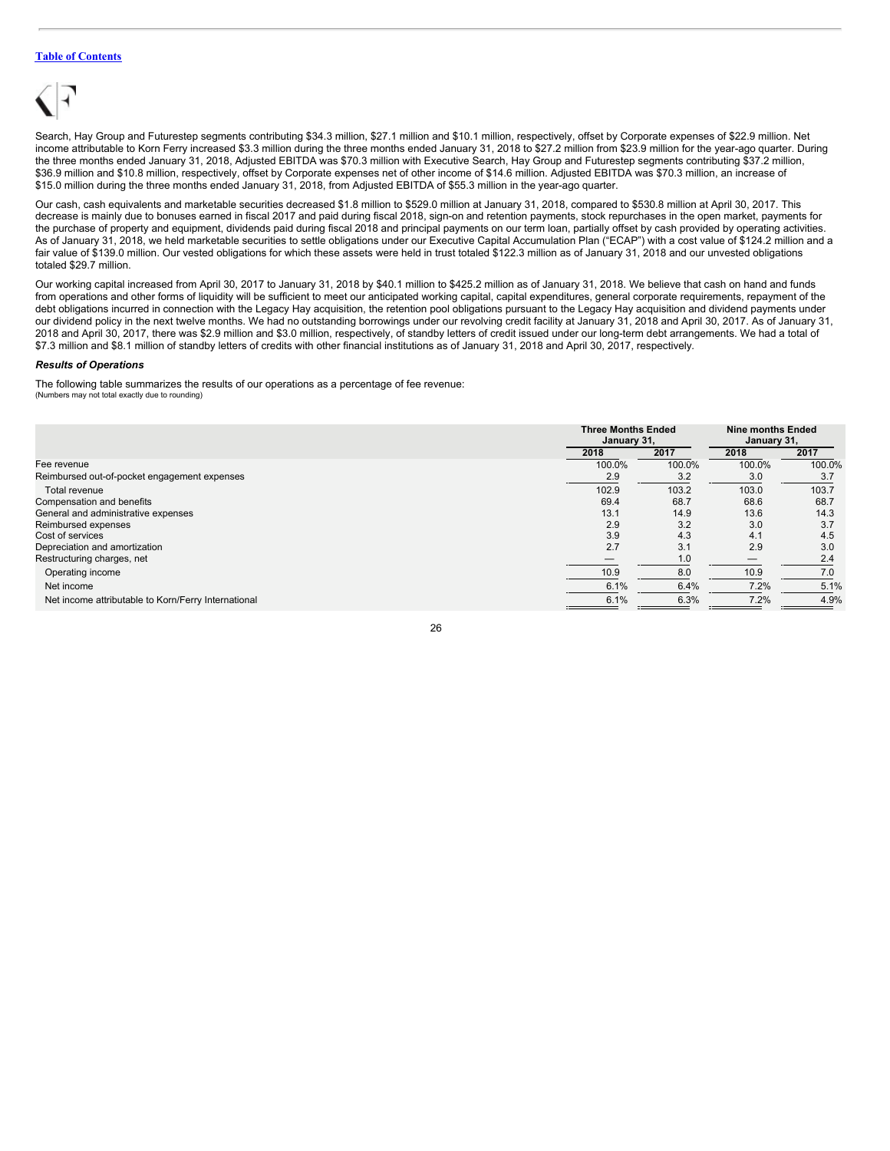

Search, Hay Group and Futurestep segments contributing \$34.3 million, \$27.1 million and \$10.1 million, respectively, offset by Corporate expenses of \$22.9 million. Net income attributable to Korn Ferry increased \$3.3 million during the three months ended January 31, 2018 to \$27.2 million from \$23.9 million for the year-ago quarter. During the three months ended January 31, 2018, Adjusted EBITDA was \$70.3 million with Executive Search, Hay Group and Futurestep segments contributing \$37.2 million, \$36.9 million and \$10.8 million, respectively, offset by Corporate expenses net of other income of \$14.6 million. Adjusted EBITDA was \$70.3 million, an increase of \$15.0 million during the three months ended January 31, 2018, from Adjusted EBITDA of \$55.3 million in the year-ago quarter.

Our cash, cash equivalents and marketable securities decreased \$1.8 million to \$529.0 million at January 31, 2018, compared to \$530.8 million at April 30, 2017. This decrease is mainly due to bonuses earned in fiscal 2017 and paid during fiscal 2018, sign-on and retention payments, stock repurchases in the open market, payments for the purchase of property and equipment, dividends paid during fiscal 2018 and principal payments on our term loan, partially offset by cash provided by operating activities. As of January 31, 2018, we held marketable securities to settle obligations under our Executive Capital Accumulation Plan ("ECAP") with a cost value of \$124.2 million and a fair value of \$139.0 million. Our vested obligations for which these assets were held in trust totaled \$122.3 million as of January 31, 2018 and our unvested obligations totaled \$29.7 million.

Our working capital increased from April 30, 2017 to January 31, 2018 by \$40.1 million to \$425.2 million as of January 31, 2018. We believe that cash on hand and funds from operations and other forms of liquidity will be sufficient to meet our anticipated working capital, capital expenditures, general corporate requirements, repayment of the debt obligations incurred in connection with the Legacy Hay acquisition, the retention pool obligations pursuant to the Legacy Hay acquisition and dividend payments under our dividend policy in the next twelve months. We had no outstanding borrowings under our revolving credit facility at January 31, 2018 and April 30, 2017. As of January 31, 2018 and April 30, 2017, there was \$2.9 million and \$3.0 million, respectively, of standby letters of credit issued under our long-term debt arrangements. We had a total of \$7.3 million and \$8.1 million of standby letters of credits with other financial institutions as of January 31, 2018 and April 30, 2017, respectively*.*

#### *Results of Operations*

The following table summarizes the results of our operations as a percentage of fee revenue: (Numbers may not total exactly due to rounding)

|                                                     | <b>Three Months Ended</b><br>January 31, |        | <b>Nine months Ended</b><br>January 31, |        |
|-----------------------------------------------------|------------------------------------------|--------|-----------------------------------------|--------|
|                                                     | 2018                                     | 2017   | 2018                                    | 2017   |
| Fee revenue                                         | 100.0%                                   | 100.0% | 100.0%                                  | 100.0% |
| Reimbursed out-of-pocket engagement expenses        | 2.9                                      | 3.2    | 3.0                                     | 3.7    |
| Total revenue                                       | 102.9                                    | 103.2  | 103.0                                   | 103.7  |
| Compensation and benefits                           | 69.4                                     | 68.7   | 68.6                                    | 68.7   |
| General and administrative expenses                 | 13.1                                     | 14.9   | 13.6                                    | 14.3   |
| Reimbursed expenses                                 | 2.9                                      | 3.2    | 3.0                                     | 3.7    |
| Cost of services                                    | 3.9                                      | 4.3    | 4.1                                     | 4.5    |
| Depreciation and amortization                       | 2.7                                      | 3.1    | 2.9                                     | 3.0    |
| Restructuring charges, net                          |                                          | 1.0    |                                         | 2.4    |
| Operating income                                    | 10.9                                     | 8.0    | 10.9                                    | 7.0    |
| Net income                                          | 6.1%                                     | 6.4%   | 7.2%                                    | 5.1%   |
| Net income attributable to Korn/Ferry International | 6.1%                                     | 6.3%   | 7.2%                                    | 4.9%   |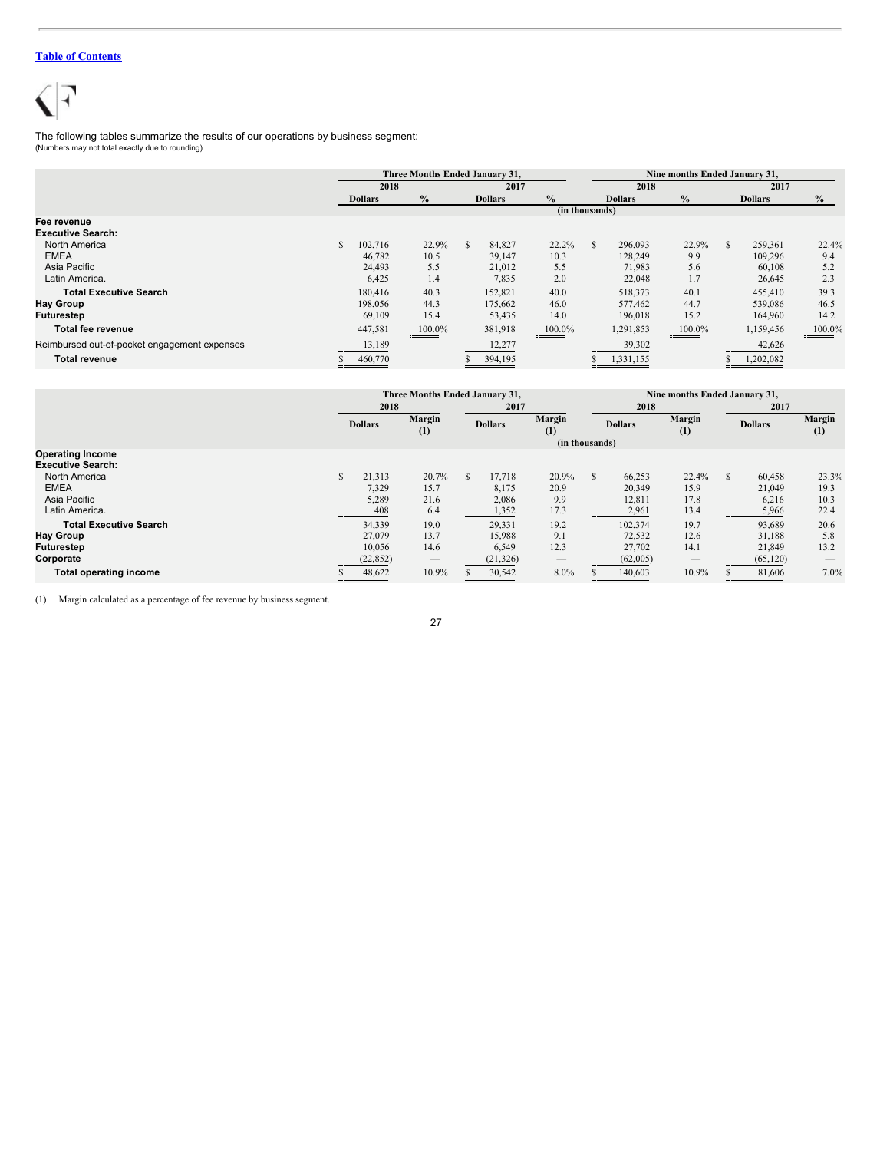

The following tables summarize the results of our operations by business segment: (Numbers may not total exactly due to rounding)

|                                              |                |               | Three Months Ended January 31. |               | Nine months Ended January 31. |               |                |        |  |  |  |  |
|----------------------------------------------|----------------|---------------|--------------------------------|---------------|-------------------------------|---------------|----------------|--------|--|--|--|--|
|                                              |                | 2018          | 2017                           |               | 2018                          |               | 2017           |        |  |  |  |  |
|                                              | <b>Dollars</b> | $\frac{0}{0}$ | <b>Dollars</b>                 | $\frac{0}{0}$ | <b>Dollars</b>                | $\frac{0}{0}$ | <b>Dollars</b> | $\%$   |  |  |  |  |
|                                              |                |               |                                |               | (in thousands)                |               |                |        |  |  |  |  |
| Fee revenue<br><b>Executive Search:</b>      |                |               |                                |               |                               |               |                |        |  |  |  |  |
| North America                                | 102.716        | 22.9%         | 84,827                         | 22.2%         | 296,093                       | 22.9%         | 259,361        | 22.4%  |  |  |  |  |
| <b>EMEA</b>                                  | 46,782         | 10.5          | 39,147                         | 10.3          | 128,249                       | 9.9           | 109,296        | 9.4    |  |  |  |  |
| Asia Pacific                                 | 24,493         | 5.5           | 21,012                         | 5.5           | 71,983                        | 5.6           | 60,108         | 5.2    |  |  |  |  |
| Latin America.                               | 6,425          | 1.4           | 7,835                          | 2.0           | 22,048                        | 1.7           | 26,645         | 2.3    |  |  |  |  |
| <b>Total Executive Search</b>                | 180,416        | 40.3          | 152,821                        | 40.0          | 518,373                       | 40.1          | 455,410        | 39.3   |  |  |  |  |
| <b>Hay Group</b>                             | 198,056        | 44.3          | 175,662                        | 46.0          | 577,462                       | 44.7          | 539,086        | 46.5   |  |  |  |  |
| <b>Futurestep</b>                            | 69,109         | 15.4          | 53,435                         | 14.0          | 196,018                       | 15.2          | 164,960        | 14.2   |  |  |  |  |
| <b>Total fee revenue</b>                     | 447,581        | 100.0%        | 381,918                        | 100.0%        | 1,291,853                     | 100.0%        | 1,159,456      | 100.0% |  |  |  |  |
| Reimbursed out-of-pocket engagement expenses | 13,189         |               | 12,277                         |               | 39,302                        |               | 42,626         |        |  |  |  |  |
| <b>Total revenue</b>                         | 460,770        |               | 394,195                        |               | 1,331,155                     |               | 1,202,082      |        |  |  |  |  |

|                               |    |                | Three Months Ended January 31, |                |                |               |                |                                 |    |                |               |
|-------------------------------|----|----------------|--------------------------------|----------------|----------------|---------------|----------------|---------------------------------|----|----------------|---------------|
|                               |    | 2018           |                                | 2017           |                |               | 2018           |                                 |    | 2017           |               |
|                               |    | <b>Dollars</b> | Margin<br>(1)                  | <b>Dollars</b> | Margin<br>(1)  |               | <b>Dollars</b> | Margin<br>$\left(1\right)$      |    | <b>Dollars</b> | Margin<br>(1) |
|                               |    |                |                                |                | (in thousands) |               |                |                                 |    |                |               |
| <b>Operating Income</b>       |    |                |                                |                |                |               |                |                                 |    |                |               |
| <b>Executive Search:</b>      |    |                |                                |                |                |               |                |                                 |    |                |               |
| North America                 | S. | 21,313         | 20.7%                          | 17,718         | 20.9%          | $\mathcal{S}$ | 66,253         | 22.4%                           | -S | 60,458         | 23.3%         |
| <b>EMEA</b>                   |    | 7,329          | 15.7                           | 8,175          | 20.9           |               | 20,349         | 15.9                            |    | 21,049         | 19.3          |
| Asia Pacific                  |    | 5,289          | 21.6                           | 2,086          | 9.9            |               | 12,811         | 17.8                            |    | 6,216          | 10.3          |
| Latin America.                |    | 408            | 6.4                            | 1,352          | 17.3           |               | 2,961          | 13.4                            |    | 5,966          | 22.4          |
| <b>Total Executive Search</b> |    | 34,339         | 19.0                           | 29,331         | 19.2           |               | 102,374        | 19.7                            |    | 93,689         | 20.6          |
| <b>Hay Group</b>              |    | 27,079         | 13.7                           | 15,988         | 9.1            |               | 72,532         | 12.6                            |    | 31,188         | 5.8           |
| <b>Futurestep</b>             |    | 10,056         | 14.6                           | 6,549          | 12.3           |               | 27,702         | 14.1                            |    | 21,849         | 13.2          |
| Corporate                     |    | (22, 852)      | $\overbrace{\hspace{25mm}}^{}$ | (21, 326)      |                |               | (62,005)       | $\hspace{0.1mm}-\hspace{0.1mm}$ |    | (65, 120)      |               |
| <b>Total operating income</b> |    | 48,622         | 10.9%                          | 30,542         | $8.0\%$        |               | 140,603        | 10.9%                           |    | 81,606         | $7.0\%$       |

(1) Margin calculated as a percentage of fee revenue by business segment.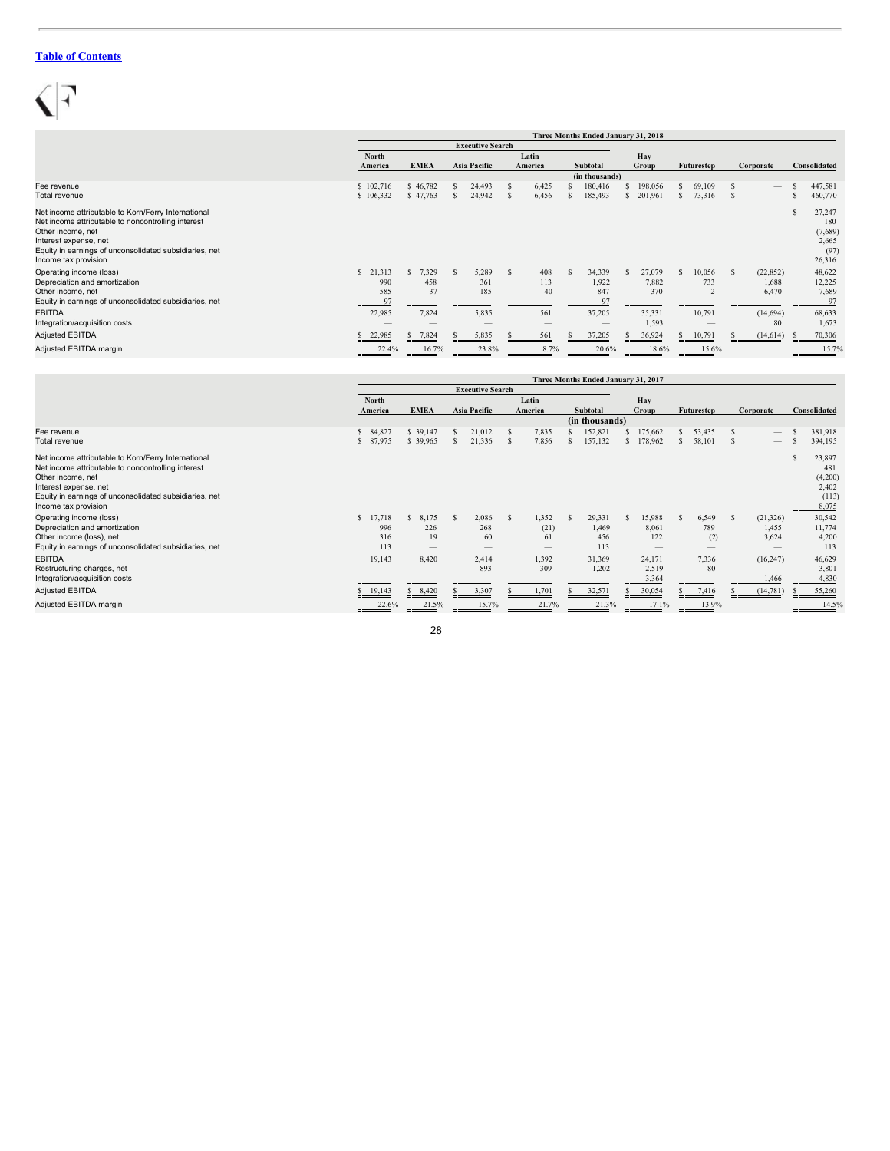### **Table of [Contents](#page-1-0)**



|                                                                                                                                                                                                                                           | Three Months Ended January 31, 2018                                             |                                                                  |     |                                       |              |                                                                                        |    |                                                                              |  |                                                                                 |    |                                                                                 |              |                                                                                                                                                                                                                                                                                                                                                                                                                                                              |                                                              |
|-------------------------------------------------------------------------------------------------------------------------------------------------------------------------------------------------------------------------------------------|---------------------------------------------------------------------------------|------------------------------------------------------------------|-----|---------------------------------------|--------------|----------------------------------------------------------------------------------------|----|------------------------------------------------------------------------------|--|---------------------------------------------------------------------------------|----|---------------------------------------------------------------------------------|--------------|--------------------------------------------------------------------------------------------------------------------------------------------------------------------------------------------------------------------------------------------------------------------------------------------------------------------------------------------------------------------------------------------------------------------------------------------------------------|--------------------------------------------------------------|
|                                                                                                                                                                                                                                           |                                                                                 |                                                                  |     | <b>Executive Search</b>               |              |                                                                                        |    |                                                                              |  |                                                                                 |    |                                                                                 |              |                                                                                                                                                                                                                                                                                                                                                                                                                                                              |                                                              |
|                                                                                                                                                                                                                                           | North                                                                           |                                                                  |     |                                       |              | Latin                                                                                  |    |                                                                              |  | Hay                                                                             |    |                                                                                 |              |                                                                                                                                                                                                                                                                                                                                                                                                                                                              |                                                              |
|                                                                                                                                                                                                                                           | America                                                                         | <b>EMEA</b>                                                      |     | Asia Pacific                          |              | America                                                                                |    | <b>Subtotal</b>                                                              |  | Group                                                                           |    | Futurestep                                                                      |              | Corporate                                                                                                                                                                                                                                                                                                                                                                                                                                                    | Consolidated                                                 |
|                                                                                                                                                                                                                                           |                                                                                 |                                                                  |     |                                       |              |                                                                                        |    | (in thousands)                                                               |  |                                                                                 |    |                                                                                 |              |                                                                                                                                                                                                                                                                                                                                                                                                                                                              |                                                              |
| Fee revenue                                                                                                                                                                                                                               | \$102,716                                                                       | \$46,782                                                         |     | 24,493                                | -S           | 6,425                                                                                  |    | 180,416                                                                      |  | 198,056                                                                         |    | 69,109                                                                          | s            | $\overline{\phantom{0}}$                                                                                                                                                                                                                                                                                                                                                                                                                                     | 447,581                                                      |
| Total revenue                                                                                                                                                                                                                             | \$106,332                                                                       | \$47,763                                                         |     | 24,942                                | -S           | 6,456                                                                                  |    | 185,493                                                                      |  | 201,961                                                                         |    | 73,316                                                                          | s            |                                                                                                                                                                                                                                                                                                                                                                                                                                                              | 460,770                                                      |
| Net income attributable to Korn/Ferry International<br>Net income attributable to noncontrolling interest<br>Other income, net<br>Interest expense, net<br>Equity in earnings of unconsolidated subsidiaries, net<br>Income tax provision |                                                                                 |                                                                  |     |                                       |              |                                                                                        |    |                                                                              |  |                                                                                 |    |                                                                                 |              |                                                                                                                                                                                                                                                                                                                                                                                                                                                              | 27,247<br>180<br>(7,689)<br>2,665<br>(97)<br>26,316          |
| Operating income (loss)<br>Depreciation and amortization<br>Other income, net<br>Equity in earnings of unconsolidated subsidiaries, net<br><b>EBITDA</b><br>Integration/acquisition costs<br><b>Adjusted EBITDA</b>                       | \$21,313<br>990<br>585<br>97<br>22,985<br>$\overline{\phantom{m}}$<br>\$ 22,985 | 7,329<br>458<br>37<br>$\overline{\phantom{a}}$<br>7,824<br>7,824 | - S | 5,289<br>361<br>185<br>5,835<br>5,835 | <sup>S</sup> | 408<br>113<br>40<br>$\overline{\phantom{a}}$<br>561<br>$\overline{\phantom{a}}$<br>561 | s. | 34,339<br>1,922<br>847<br>97<br>37,205<br>$\overline{\phantom{a}}$<br>37,205 |  | 27,079<br>7,882<br>370<br>$\overline{\phantom{m}}$<br>35,331<br>1,593<br>36,924 | S. | 10,056<br>733<br>$\overline{2}$<br>10,791<br>$\overline{\phantom{a}}$<br>10,791 | $\mathbf{s}$ | (22, 852)<br>1,688<br>6,470<br>$\hspace{1.0cm} \overline{\hspace{1.0cm} \hspace{1.0cm} \hspace{1.0cm} } \hspace{1.0cm} \hspace{1.0cm} \overline{\hspace{1.0cm} \hspace{1.0cm} \hspace{1.0cm} } \hspace{1.0cm} \hspace{1.0cm} \overline{\hspace{1.0cm} \hspace{1.0cm} \hspace{1.0cm} } \hspace{1.0cm} \hspace{1.0cm} \overline{\hspace{1.0cm} \hspace{1.0cm} \hspace{1.0cm} } \hspace{1.0cm} \hspace{1.0cm} \hspace{1.0cm} }$<br>(14, 694)<br>80<br>(14, 614) | 48,622<br>12,225<br>7,689<br>97<br>68,633<br>1,673<br>70,306 |
| Adjusted EBITDA margin                                                                                                                                                                                                                    | 22.4%                                                                           | 16.7%                                                            |     | 23.8%                                 |              | 8.7%                                                                                   |    | 20.6%                                                                        |  | 18.6%                                                                           |    | 15.6%                                                                           |              |                                                                                                                                                                                                                                                                                                                                                                                                                                                              | 15.7%                                                        |

|                                                                                                                                                                                                                                           |                                         |                                   |      |                             |     |                              |   | Three Months Ended January 31, 2017     |    |                                  |     |                              |   |                                         |                                                     |
|-------------------------------------------------------------------------------------------------------------------------------------------------------------------------------------------------------------------------------------------|-----------------------------------------|-----------------------------------|------|-----------------------------|-----|------------------------------|---|-----------------------------------------|----|----------------------------------|-----|------------------------------|---|-----------------------------------------|-----------------------------------------------------|
|                                                                                                                                                                                                                                           |                                         |                                   |      | <b>Executive Search</b>     |     |                              |   |                                         |    |                                  |     |                              |   |                                         |                                                     |
|                                                                                                                                                                                                                                           | North                                   |                                   |      |                             |     | Latin                        |   |                                         |    | Hay                              |     |                              |   |                                         |                                                     |
|                                                                                                                                                                                                                                           | America                                 | <b>EMEA</b>                       |      | <b>Asia Pacific</b>         |     | America                      |   | Subtotal                                |    | Group                            |     | Futurestep                   |   | Corporate                               | Consolidated                                        |
|                                                                                                                                                                                                                                           |                                         |                                   |      |                             |     |                              |   | (in thousands)                          |    |                                  |     |                              |   |                                         |                                                     |
| Fee revenue                                                                                                                                                                                                                               | \$ 84,827                               | \$ 39,147                         |      | 21,012                      | - S | 7,835                        |   | 152,821                                 |    | 175,662                          |     | 53,435                       | s | $\qquad \qquad -$                       | 381,918                                             |
| Total revenue                                                                                                                                                                                                                             | \$ 87,975                               | \$ 39,965                         |      | 21,336                      | -S  | 7,856                        | S | 157,132                                 | S. | 178,962                          | \$. | 58,101                       | s | $\hspace{1.0cm} \rule{1.5cm}{0.15cm}$   | 394,195                                             |
| Net income attributable to Korn/Ferry International<br>Net income attributable to noncontrolling interest<br>Other income, net<br>Interest expense, net<br>Equity in earnings of unconsolidated subsidiaries, net<br>Income tax provision |                                         |                                   |      |                             |     |                              |   |                                         |    |                                  |     |                              |   |                                         | 23,897<br>481<br>(4,200)<br>2,402<br>(113)<br>8,075 |
| Operating income (loss)<br>Depreciation and amortization<br>Other income (loss), net<br>Equity in earnings of unconsolidated subsidiaries, net<br><b>EBITDA</b>                                                                           | \$17,718<br>996<br>316<br>113<br>19,143 | S.<br>8,175<br>226<br>19<br>8,420 | - \$ | 2,086<br>268<br>60<br>2,414 | - S | 1,352<br>(21)<br>61<br>1,392 | S | 29,331<br>1,469<br>456<br>113<br>31,369 |    | 15,988<br>8,061<br>122<br>24,171 | \$. | 6,549<br>789<br>(2)<br>7,336 | S | (21, 326)<br>1,455<br>3,624<br>(16,247) | 30,542<br>11,774<br>4,200<br>113<br>46,629          |
| Restructuring charges, net<br>Integration/acquisition costs                                                                                                                                                                               |                                         |                                   |      | 893                         |     | 309                          |   | 1,202                                   |    | 2,519<br>3,364                   |     | 80                           |   | 1,466                                   | 3,801<br>4,830                                      |
| <b>Adjusted EBITDA</b>                                                                                                                                                                                                                    | \$19,143                                | 8,420                             |      | 3,307                       |     | 1,701                        |   | 32,571                                  |    | 30,054                           |     | 7,416                        |   | (14, 781)                               | 55,260                                              |
| Adjusted EBITDA margin                                                                                                                                                                                                                    | 22.6%                                   | 21.5%                             |      | 15.7%                       |     | 21.7%                        |   | 21.3%                                   |    | 17.1%                            |     | 13.9%                        |   |                                         | 14.5%                                               |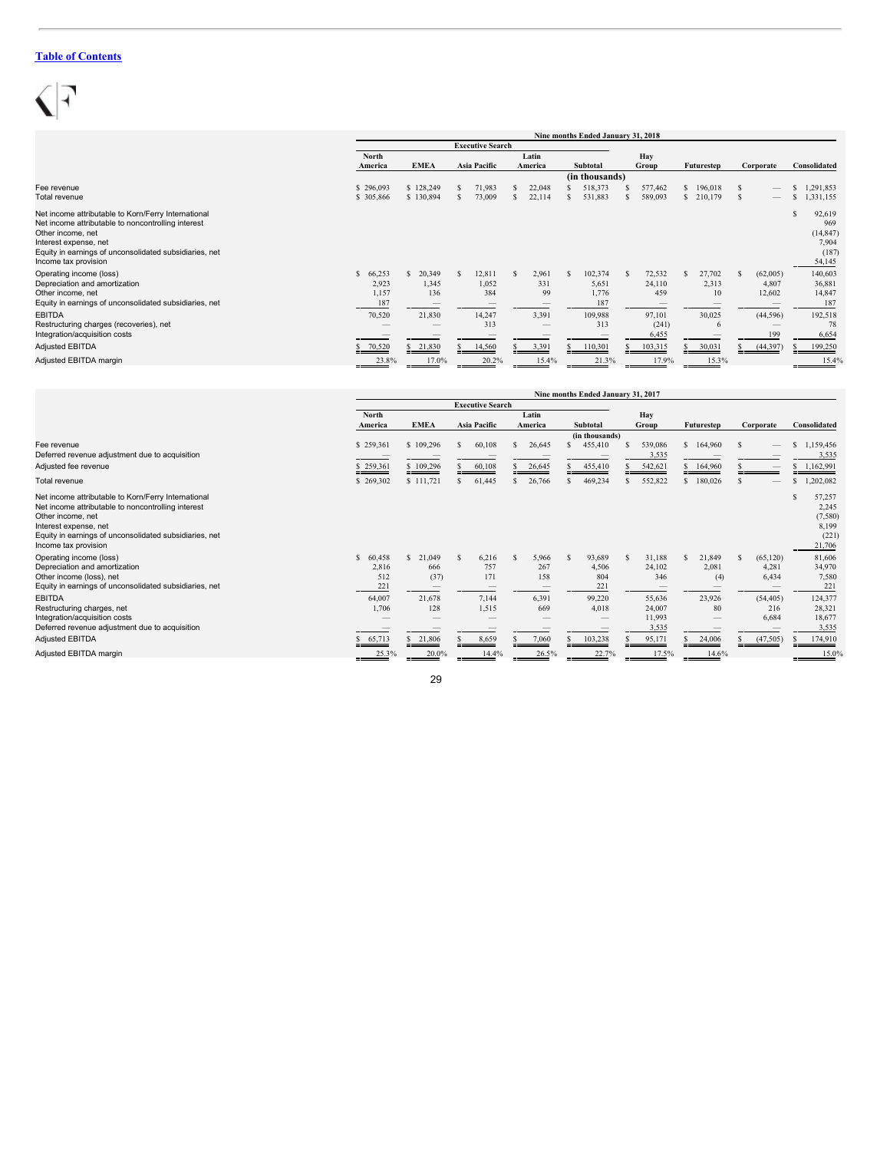## **Table of [Contents](#page-1-0)**

## $\overline{\left\langle \mathbf{r}\right\rangle }$

|                                                                                                                                                                                                                                           |                                |                        |                         |                    |          | Nine months Ended January 31, 2018 |                         |                       |    |                                 |   |                                                        |
|-------------------------------------------------------------------------------------------------------------------------------------------------------------------------------------------------------------------------------------------|--------------------------------|------------------------|-------------------------|--------------------|----------|------------------------------------|-------------------------|-----------------------|----|---------------------------------|---|--------------------------------------------------------|
|                                                                                                                                                                                                                                           |                                |                        | <b>Executive Search</b> |                    |          |                                    |                         |                       |    |                                 |   |                                                        |
|                                                                                                                                                                                                                                           | North                          |                        |                         | Latin              |          |                                    | Hay                     |                       |    |                                 |   |                                                        |
|                                                                                                                                                                                                                                           | America                        | <b>EMEA</b>            | <b>Asia Pacific</b>     | America            |          | Subtotal                           | Group                   | Futurestep            |    | Corporate                       |   | Consolidated                                           |
|                                                                                                                                                                                                                                           |                                |                        |                         |                    |          | (in thousands)                     |                         |                       |    |                                 |   |                                                        |
| Fee revenue                                                                                                                                                                                                                               | \$296,093                      | \$128,249              | 71,983                  | 22,048             |          | 518,373                            | 577,462                 | \$196,018             | S  |                                 |   | 1,291,853                                              |
| Total revenue                                                                                                                                                                                                                             | \$ 305,866                     | \$130,894              | 73,009                  | 22,114             | s        | 531,883                            | 589,093                 | \$210,179             | s  |                                 |   | 1,331,155                                              |
| Net income attributable to Korn/Ferry International<br>Net income attributable to noncontrolling interest<br>Other income, net<br>Interest expense, net<br>Equity in earnings of unconsolidated subsidiaries, net<br>Income tax provision |                                |                        |                         |                    |          |                                    |                         |                       |    |                                 | S | 92,619<br>969<br>(14, 847)<br>7,904<br>(187)<br>54,145 |
| Operating income (loss)<br>Depreciation and amortization<br>Other income, net                                                                                                                                                             | 66,253<br>S.<br>2,923<br>1,157 | 20,349<br>1,345<br>136 | 12,811<br>1,052<br>384  | 2,961<br>331<br>99 | <b>S</b> | 102,374<br>5,651<br>1,776          | 72,532<br>24,110<br>459 | 27,702<br>2,313<br>10 |    | (62,005)<br>4,807<br>12,602     |   | 140,603<br>36,881<br>14,847                            |
| Equity in earnings of unconsolidated subsidiaries, net                                                                                                                                                                                    | 187                            |                        |                         |                    |          | 187                                |                         |                       |    |                                 |   | 187                                                    |
| <b>EBITDA</b>                                                                                                                                                                                                                             | 70,520                         | 21,830                 | 14,247                  | 3,391              |          | 109,988                            | 97,101                  | 30,025                |    | (44,596)                        |   | 192,518                                                |
| Restructuring charges (recoveries), net<br>Integration/acquisition costs                                                                                                                                                                  | $\overline{\phantom{a}}$       | _                      | 313                     | $\qquad \qquad$    |          | 313                                | (241)<br>6,455          | 6                     |    | $\overline{\phantom{a}}$<br>199 |   | 78<br>6,654                                            |
| Adjusted EBITDA                                                                                                                                                                                                                           | 70,520                         | 21,830                 | 14,560                  | 3,391              |          | 110,301                            | 103,315                 | 30,031                | -- | (44, 397)                       |   | 199,250                                                |
| Adjusted EBITDA margin                                                                                                                                                                                                                    | 23.8%                          | 17.0%                  | 20.2%                   | 15.4%              |          | 21.3%                              | 17.9%                   | 15.3%                 |    |                                 |   | 15.4%                                                  |

|                                                        |              |              |    |                         |    |         |    | Nine months Ended January 31, 2017 |         |   |            |     |                   |    |              |
|--------------------------------------------------------|--------------|--------------|----|-------------------------|----|---------|----|------------------------------------|---------|---|------------|-----|-------------------|----|--------------|
|                                                        |              |              |    | <b>Executive Search</b> |    |         |    |                                    |         |   |            |     |                   |    |              |
|                                                        | North        |              |    |                         |    | Latin   |    |                                    | Hay     |   |            |     |                   |    |              |
|                                                        | America      | <b>EMEA</b>  |    | <b>Asia Pacific</b>     |    | America |    | Subtotal                           | Group   |   | Futurestep |     | Corporate         |    | Consolidated |
|                                                        |              |              |    |                         |    |         |    | (in thousands)                     |         |   |            |     |                   |    |              |
| Fee revenue                                            | \$259,361    | \$109,296    | S  | 60,108                  |    | 26,645  |    | 455,410                            | 539,086 |   | \$164,960  | \$. | _                 | S  | 159,456      |
| Deferred revenue adjustment due to acquisition         |              |              |    |                         |    |         |    | $\overline{\phantom{m}}$           | 3,535   |   |            |     |                   |    | 3,535        |
| Adjusted fee revenue                                   | \$259,361    | \$109,296    |    | 60,108                  |    | 26,645  |    | 455,410                            | 542,621 |   | \$164,960  |     | $\qquad \qquad -$ | S. | 1,162,991    |
| Total revenue                                          | \$269,302    | \$111,721    | S. | 61,445                  | S  | 26,766  | S  | 469,234                            | 552,822 |   | \$180,026  |     |                   | s  | 1,202,082    |
| Net income attributable to Korn/Ferry International    |              |              |    |                         |    |         |    |                                    |         |   |            |     |                   |    | 57,257       |
| Net income attributable to noncontrolling interest     |              |              |    |                         |    |         |    |                                    |         |   |            |     |                   |    | 2,245        |
| Other income, net                                      |              |              |    |                         |    |         |    |                                    |         |   |            |     |                   |    | (7,580)      |
| Interest expense, net                                  |              |              |    |                         |    |         |    |                                    |         |   |            |     |                   |    | 8,199        |
| Equity in earnings of unconsolidated subsidiaries, net |              |              |    |                         |    |         |    |                                    |         |   |            |     |                   |    | (221)        |
| Income tax provision                                   |              |              |    |                         |    |         |    |                                    |         |   |            |     |                   |    | 21,706       |
| Operating income (loss)                                | 60,458<br>S. | 21,049<br>S. |    | 6,216                   | -S | 5,966   | -8 | 93,689                             | 31,188  | S | 21,849     | £.  | (65, 120)         |    | 81,606       |
| Depreciation and amortization                          | 2,816        | 666          |    | 757                     |    | 267     |    | 4,506                              | 24,102  |   | 2,081      |     | 4,281             |    | 34,970       |
| Other income (loss), net                               | 512          | (37)         |    | 171                     |    | 158     |    | 804                                | 346     |   | (4)        |     | 6,434             |    | 7,580        |
| Equity in earnings of unconsolidated subsidiaries, net | 221          |              |    |                         |    |         |    | 221                                |         |   |            |     |                   |    | 221          |
| <b>EBITDA</b>                                          | 64,007       | 21,678       |    | 7,144                   |    | 6,391   |    | 99,220                             | 55,636  |   | 23,926     |     | (54, 405)         |    | 124,377      |
| Restructuring charges, net                             | 1,706        | 128          |    | 1,515                   |    | 669     |    | 4,018                              | 24,007  |   | 80         |     | 216               |    | 28,321       |
| Integration/acquisition costs                          |              |              |    |                         |    |         |    |                                    | 11,993  |   |            |     | 6,684             |    | 18,677       |
| Deferred revenue adjustment due to acquisition         |              |              |    |                         |    |         |    |                                    | 3,535   |   |            |     |                   |    | 3,535        |
| <b>Adjusted EBITDA</b>                                 | 65,713       | \$ 21,806    |    | 8,659                   |    | 7,060   |    | 103,238                            | 95,171  |   | 24,006     |     | (47, 505)         |    | 174,910      |
| Adjusted EBITDA margin                                 | 25.3%        | 20.0%        |    | 14.4%                   |    | 26.5%   |    | 22.7%                              | 17.5%   |   | 14.6%      |     |                   |    | 15.0%        |
|                                                        |              |              |    |                         |    |         |    |                                    |         |   |            |     |                   |    |              |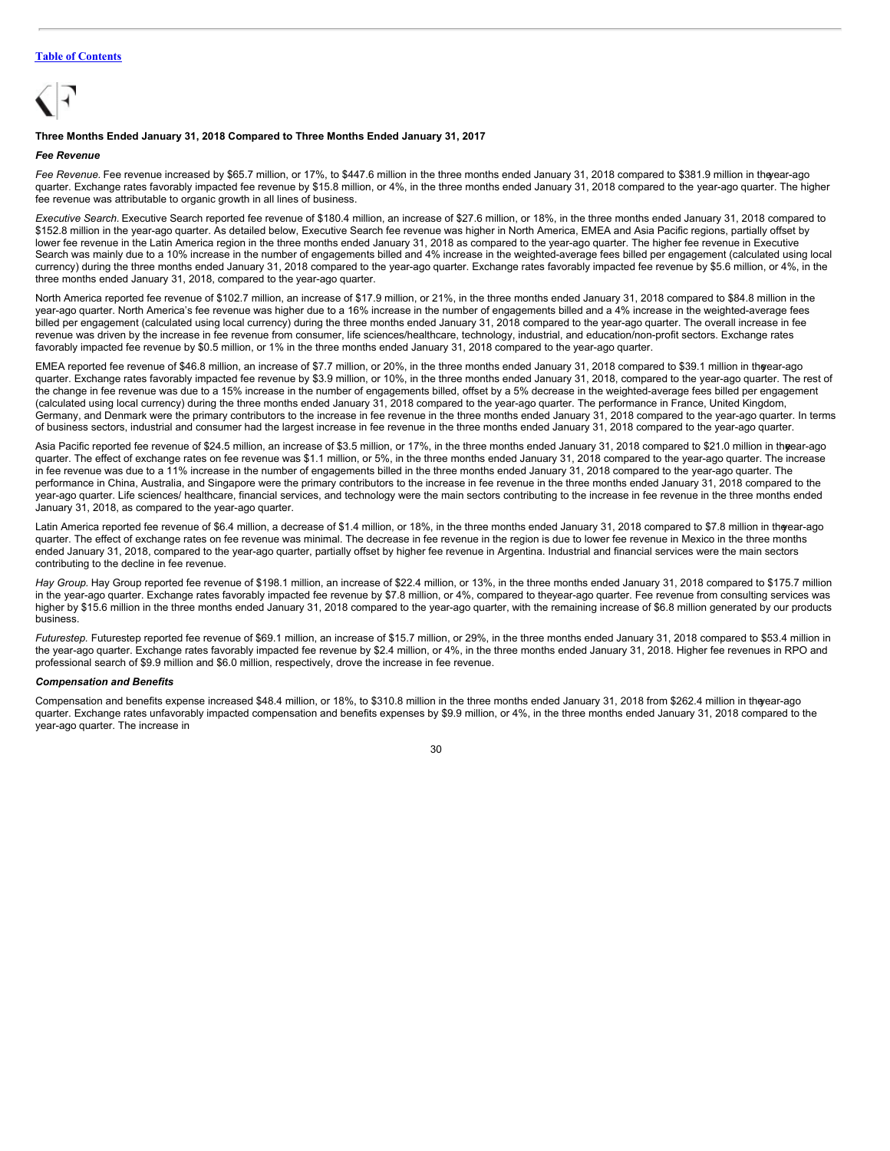

#### **Three Months Ended January 31, 2018 Compared to Three Months Ended January 31, 2017**

#### *Fee Revenue*

Fee Revenue. Fee revenue increased by \$65.7 million, or 17%, to \$447.6 million in the three months ended January 31, 2018 compared to \$381.9 million in theyear-ago quarter. Exchange rates favorably impacted fee revenue by \$15.8 million, or 4%, in the three months ended January 31, 2018 compared to the year-ago quarter. The higher fee revenue was attributable to organic growth in all lines of business.

*Executive Search.* Executive Search reported fee revenue of \$180.4 million, an increase of \$27.6 million, or 18%, in the three months ended January 31, 2018 compared to \$152.8 million in the year-ago quarter. As detailed below, Executive Search fee revenue was higher in North America, EMEA and Asia Pacific regions, partially offset by lower fee revenue in the Latin America region in the three months ended January 31, 2018 as compared to the year-ago quarter. The higher fee revenue in Executive Search was mainly due to a 10% increase in the number of engagements billed and 4% increase in the weighted-average fees billed per engagement (calculated using local currency) during the three months ended January 31, 2018 compared to the year-ago quarter. Exchange rates favorably impacted fee revenue by \$5.6 million, or 4%, in the three months ended January 31, 2018, compared to the year-ago quarter.

North America reported fee revenue of \$102.7 million, an increase of \$17.9 million, or 21%, in the three months ended January 31, 2018 compared to \$84.8 million in the year-ago quarter. North America's fee revenue was higher due to a 16% increase in the number of engagements billed and a 4% increase in the weighted-average fees billed per engagement (calculated using local currency) during the three months ended January 31, 2018 compared to the year-ago quarter. The overall increase in fee revenue was driven by the increase in fee revenue from consumer, life sciences/healthcare, technology, industrial, and education/non-profit sectors. Exchange rates favorably impacted fee revenue by \$0.5 million, or 1% in the three months ended January 31, 2018 compared to the year-ago quarter.

EMEA reported fee revenue of \$46.8 million, an increase of \$7.7 million, or 20%, in the three months ended January 31, 2018 compared to \$39.1 million in theyear-ago quarter. Exchange rates favorably impacted fee revenue by \$3.9 million, or 10%, in the three months ended January 31, 2018, compared to the year-ago quarter. The rest of the change in fee revenue was due to a 15% increase in the number of engagements billed, offset by a 5% decrease in the weighted-average fees billed per engagement (calculated using local currency) during the three months ended January 31, 2018 compared to the year-ago quarter. The performance in France, United Kingdom, Germany, and Denmark were the primary contributors to the increase in fee revenue in the three months ended January 31, 2018 compared to the year-ago quarter. In terms of business sectors, industrial and consumer had the largest increase in fee revenue in the three months ended January 31, 2018 compared to the year-ago quarter.

Asia Pacific reported fee revenue of \$24.5 million, an increase of \$3.5 million, or 17%, in the three months ended January 31, 2018 compared to \$21.0 million in theear-ago quarter. The effect of exchange rates on fee revenue was \$1.1 million, or 5%, in the three months ended January 31, 2018 compared to the year-ago quarter. The increase in fee revenue was due to a 11% increase in the number of engagements billed in the three months ended January 31, 2018 compared to the year-ago quarter. The performance in China, Australia, and Singapore were the primary contributors to the increase in fee revenue in the three months ended January 31, 2018 compared to the year-ago quarter. Life sciences/ healthcare, financial services, and technology were the main sectors contributing to the increase in fee revenue in the three months ended January 31, 2018, as compared to the year-ago quarter.

Latin America reported fee revenue of \$6.4 million, a decrease of \$1.4 million, or 18%, in the three months ended January 31, 2018 compared to \$7.8 million in theyear-ago quarter. The effect of exchange rates on fee revenue was minimal. The decrease in fee revenue in the region is due to lower fee revenue in Mexico in the three months ended January 31, 2018, compared to the year-ago quarter, partially offset by higher fee revenue in Argentina. Industrial and financial services were the main sectors contributing to the decline in fee revenue.

Hay Group. Hay Group reported fee revenue of \$198.1 million, an increase of \$22.4 million, or 13%, in the three months ended January 31, 2018 compared to \$175.7 million in the year-ago quarter. Exchange rates favorably impacted fee revenue by \$7.8 million, or 4%, compared to theyear-ago quarter. Fee revenue from consulting services was higher by \$15.6 million in the three months ended January 31, 2018 compared to the year-ago quarter, with the remaining increase of \$6.8 million generated by our products business.

*Futurestep.* Futurestep reported fee revenue of \$69.1 million, an increase of \$15.7 million, or 29%, in the three months ended January 31, 2018 compared to \$53.4 million in the year-ago quarter. Exchange rates favorably impacted fee revenue by \$2.4 million, or 4%, in the three months ended January 31, 2018. Higher fee revenues in RPO and professional search of \$9.9 million and \$6.0 million, respectively, drove the increase in fee revenue.

#### *Compensation and Benefits*

Compensation and benefits expense increased \$48.4 million, or 18%, to \$310.8 million in the three months ended January 31, 2018 from \$262.4 million in theyear-ago quarter. Exchange rates unfavorably impacted compensation and benefits expenses by \$9.9 million, or 4%, in the three months ended January 31, 2018 compared to the year-ago quarter. The increase in

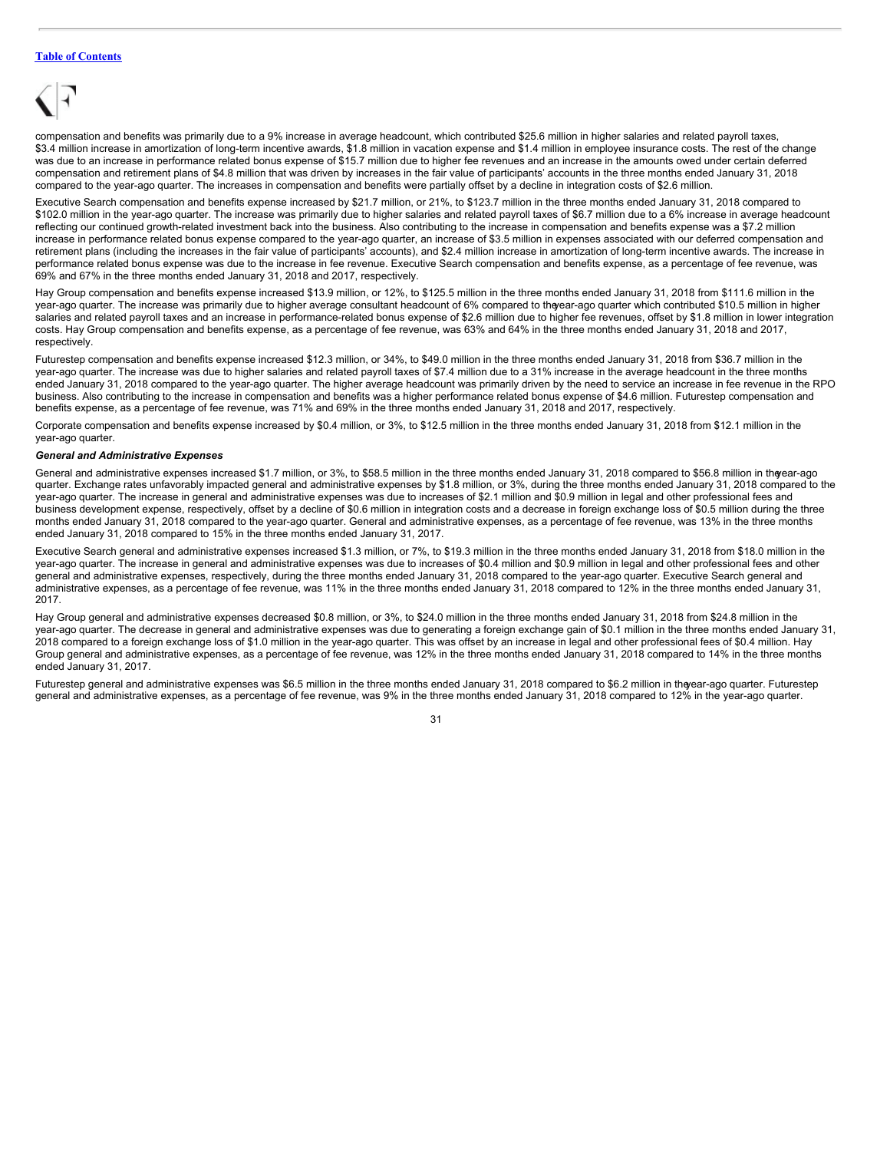

compensation and benefits was primarily due to a 9% increase in average headcount, which contributed \$25.6 million in higher salaries and related payroll taxes, \$3.4 million increase in amortization of long-term incentive awards, \$1.8 million in vacation expense and \$1.4 million in employee insurance costs. The rest of the change was due to an increase in performance related bonus expense of \$15.7 million due to higher fee revenues and an increase in the amounts owed under certain deferred compensation and retirement plans of \$4.8 million that was driven by increases in the fair value of participants' accounts in the three months ended January 31, 2018 compared to the year-ago quarter. The increases in compensation and benefits were partially offset by a decline in integration costs of \$2.6 million.

Executive Search compensation and benefits expense increased by \$21.7 million, or 21%, to \$123.7 million in the three months ended January 31, 2018 compared to \$102.0 million in the year-ago quarter. The increase was primarily due to higher salaries and related payroll taxes of \$6.7 million due to a 6% increase in average headcount reflecting our continued growth-related investment back into the business. Also contributing to the increase in compensation and benefits expense was a \$7.2 million increase in performance related bonus expense compared to the year-ago quarter, an increase of \$3.5 million in expenses associated with our deferred compensation and retirement plans (including the increases in the fair value of participants' accounts), and \$2.4 million increase in amortization of long-term incentive awards. The increase in performance related bonus expense was due to the increase in fee revenue. Executive Search compensation and benefits expense, as a percentage of fee revenue, was 69% and 67% in the three months ended January 31, 2018 and 2017, respectively.

Hay Group compensation and benefits expense increased \$13.9 million, or 12%, to \$125.5 million in the three months ended January 31, 2018 from \$111.6 million in the year-ago quarter. The increase was primarily due to higher average consultant headcount of 6% compared to theyear-ago quarter which contributed \$10.5 million in higher salaries and related payroll taxes and an increase in performance-related bonus expense of \$2.6 million due to higher fee revenues, offset by \$1.8 million in lower integration costs. Hay Group compensation and benefits expense, as a percentage of fee revenue, was 63% and 64% in the three months ended January 31, 2018 and 2017, respectively.

Futurestep compensation and benefits expense increased \$12.3 million, or 34%, to \$49.0 million in the three months ended January 31, 2018 from \$36.7 million in the year-ago quarter. The increase was due to higher salaries and related payroll taxes of \$7.4 million due to a 31% increase in the average headcount in the three months ended January 31, 2018 compared to the year-ago quarter. The higher average headcount was primarily driven by the need to service an increase in fee revenue in the RPO business. Also contributing to the increase in compensation and benefits was a higher performance related bonus expense of \$4.6 million. Futurestep compensation and benefits expense, as a percentage of fee revenue, was 71% and 69% in the three months ended January 31, 2018 and 2017, respectively.

Corporate compensation and benefits expense increased by \$0.4 million, or 3%, to \$12.5 million in the three months ended January 31, 2018 from \$12.1 million in the year-ago quarter.

#### *General and Administrative Expenses*

General and administrative expenses increased \$1.7 million, or 3%, to \$58.5 million in the three months ended January 31, 2018 compared to \$56.8 million in theyear-ago quarter. Exchange rates unfavorably impacted general and administrative expenses by \$1.8 million, or 3%, during the three months ended January 31, 2018 compared to the year-ago quarter. The increase in general and administrative expenses was due to increases of \$2.1 million and \$0.9 million in legal and other professional fees and business development expense, respectively, offset by a decline of \$0.6 million in integration costs and a decrease in foreign exchange loss of \$0.5 million during the three months ended January 31, 2018 compared to the year-ago quarter. General and administrative expenses, as a percentage of fee revenue, was 13% in the three months ended January 31, 2018 compared to 15% in the three months ended January 31, 2017.

Executive Search general and administrative expenses increased \$1.3 million, or 7%, to \$19.3 million in the three months ended January 31, 2018 from \$18.0 million in the year-ago quarter. The increase in general and administrative expenses was due to increases of \$0.4 million and \$0.9 million in legal and other professional fees and other general and administrative expenses, respectively, during the three months ended January 31, 2018 compared to the year-ago quarter. Executive Search general and administrative expenses, as a percentage of fee revenue, was 11% in the three months ended January 31, 2018 compared to 12% in the three months ended January 31, 2017.

Hay Group general and administrative expenses decreased \$0.8 million, or 3%, to \$24.0 million in the three months ended January 31, 2018 from \$24.8 million in the year-ago quarter. The decrease in general and administrative expenses was due to generating a foreign exchange gain of \$0.1 million in the three months ended January 31, 2018 compared to a foreign exchange loss of \$1.0 million in the year-ago quarter. This was offset by an increase in legal and other professional fees of \$0.4 million. Hay Group general and administrative expenses, as a percentage of fee revenue, was 12% in the three months ended January 31, 2018 compared to 14% in the three months ended January 31, 2017.

Futurestep general and administrative expenses was \$6.5 million in the three months ended January 31, 2018 compared to \$6.2 million in the ear-ago quarter. Futurestep general and administrative expenses, as a percentage of fee revenue, was 9% in the three months ended January 31, 2018 compared to 12% in the year-ago quarter.

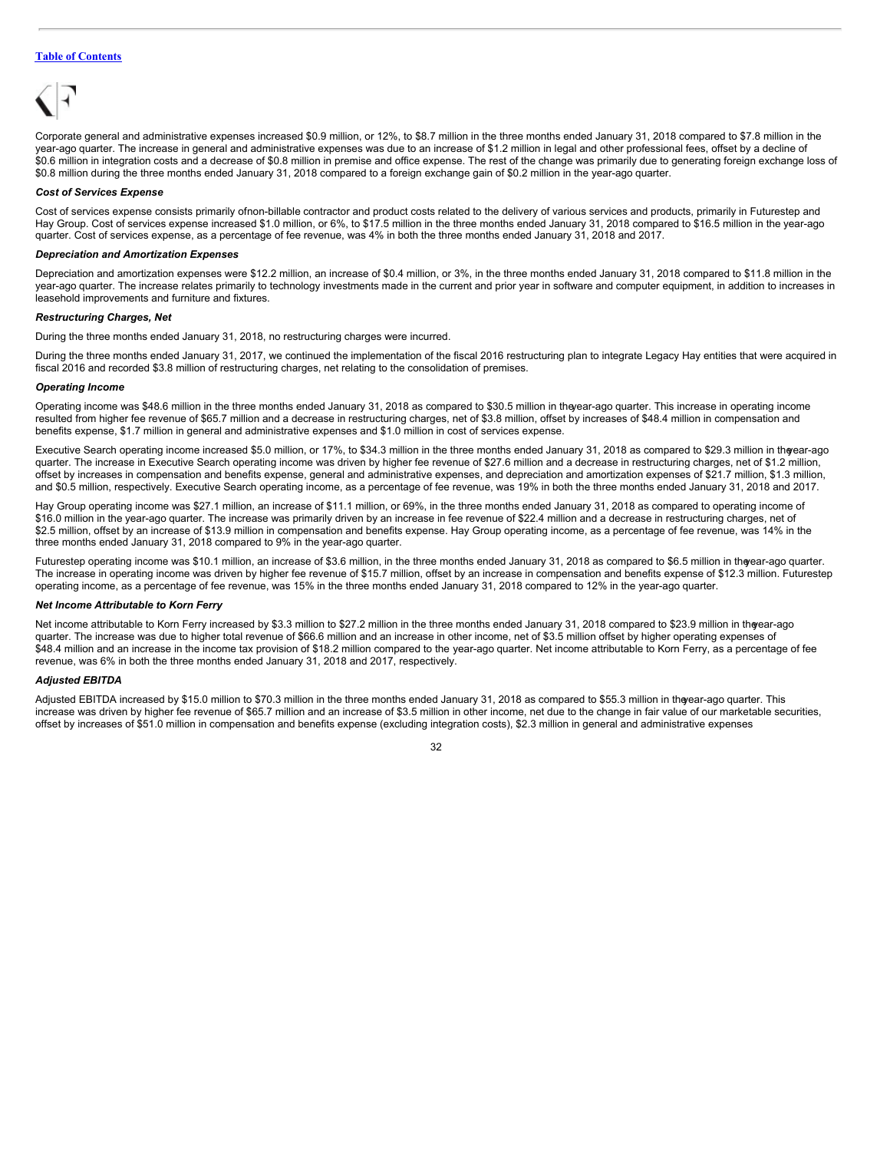

Corporate general and administrative expenses increased \$0.9 million, or 12%, to \$8.7 million in the three months ended January 31, 2018 compared to \$7.8 million in the year-ago quarter. The increase in general and administrative expenses was due to an increase of \$1.2 million in legal and other professional fees, offset by a decline of \$0.6 million in integration costs and a decrease of \$0.8 million in premise and office expense. The rest of the change was primarily due to generating foreign exchange loss of \$0.8 million during the three months ended January 31, 2018 compared to a foreign exchange gain of \$0.2 million in the year-ago quarter.

#### *Cost of Services Expense*

Cost of services expense consists primarily ofnon-billable contractor and product costs related to the delivery of various services and products, primarily in Futurestep and Hay Group. Cost of services expense increased \$1.0 million, or 6%, to \$17.5 million in the three months ended January 31, 2018 compared to \$16.5 million in the year-ago quarter. Cost of services expense, as a percentage of fee revenue, was 4% in both the three months ended January 31, 2018 and 2017.

#### *Depreciation and Amortization Expenses*

Depreciation and amortization expenses were \$12.2 million, an increase of \$0.4 million, or 3%, in the three months ended January 31, 2018 compared to \$11.8 million in the year-ago quarter. The increase relates primarily to technology investments made in the current and prior year in software and computer equipment, in addition to increases in leasehold improvements and furniture and fixtures.

#### *Restructuring Charges, Net*

During the three months ended January 31, 2018, no restructuring charges were incurred.

During the three months ended January 31, 2017, we continued the implementation of the fiscal 2016 restructuring plan to integrate Legacy Hay entities that were acquired in fiscal 2016 and recorded \$3.8 million of restructuring charges, net relating to the consolidation of premises.

#### *Operating Income*

Operating income was \$48.6 million in the three months ended January 31, 2018 as compared to \$30.5 million in theyear-ago quarter. This increase in operating income resulted from higher fee revenue of \$65.7 million and a decrease in restructuring charges, net of \$3.8 million, offset by increases of \$48.4 million in compensation and benefits expense, \$1.7 million in general and administrative expenses and \$1.0 million in cost of services expense.

Executive Search operating income increased \$5.0 million, or 17%, to \$34.3 million in the three months ended January 31, 2018 as compared to \$29.3 million in theyear-ago quarter. The increase in Executive Search operating income was driven by higher fee revenue of \$27.6 million and a decrease in restructuring charges, net of \$1.2 million, offset by increases in compensation and benefits expense, general and administrative expenses, and depreciation and amortization expenses of \$21.7 million, \$1.3 million, and \$0.5 million, respectively. Executive Search operating income, as a percentage of fee revenue, was 19% in both the three months ended January 31, 2018 and 2017.

Hay Group operating income was \$27.1 million, an increase of \$11.1 million, or 69%, in the three months ended January 31, 2018 as compared to operating income of \$16.0 million in the year-ago quarter. The increase was primarily driven by an increase in fee revenue of \$22.4 million and a decrease in restructuring charges, net of \$2.5 million, offset by an increase of \$13.9 million in compensation and benefits expense. Hay Group operating income, as a percentage of fee revenue, was 14% in the three months ended January 31, 2018 compared to 9% in the year-ago quarter.

Futurestep operating income was \$10.1 million, an increase of \$3.6 million, in the three months ended January 31, 2018 as compared to \$6.5 million in the ear-ago quarter. The increase in operating income was driven by higher fee revenue of \$15.7 million, offset by an increase in compensation and benefits expense of \$12.3 million. Futurestep operating income, as a percentage of fee revenue, was 15% in the three months ended January 31, 2018 compared to 12% in the year-ago quarter.

#### *Net Income Attributable to Korn Ferry*

Net income attributable to Korn Ferry increased by \$3.3 million to \$27.2 million in the three months ended January 31, 2018 compared to \$23.9 million in theyear-ago quarter. The increase was due to higher total revenue of \$66.6 million and an increase in other income, net of \$3.5 million offset by higher operating expenses of \$48.4 million and an increase in the income tax provision of \$18.2 million compared to the year-ago quarter. Net income attributable to Korn Ferry, as a percentage of fee revenue, was 6% in both the three months ended January 31, 2018 and 2017, respectively.

#### *Adjusted EBITDA*

Adjusted EBITDA increased by \$15.0 million to \$70.3 million in the three months ended January 31, 2018 as compared to \$55.3 million in theyear-ago quarter. This increase was driven by higher fee revenue of \$65.7 million and an increase of \$3.5 million in other income, net due to the change in fair value of our marketable securities, offset by increases of \$51.0 million in compensation and benefits expense (excluding integration costs), \$2.3 million in general and administrative expenses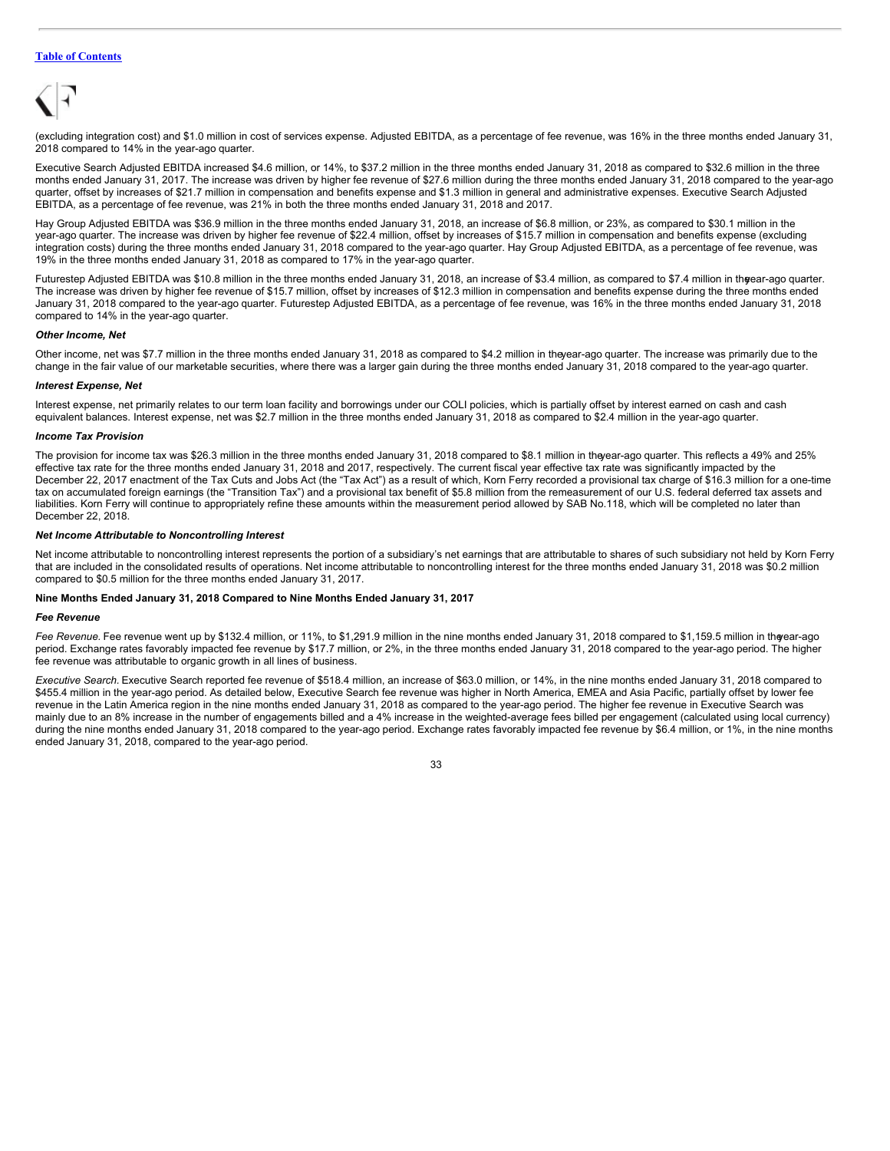

(excluding integration cost) and \$1.0 million in cost of services expense. Adjusted EBITDA, as a percentage of fee revenue, was 16% in the three months ended January 31, 2018 compared to 14% in the year-ago quarter.

Executive Search Adjusted EBITDA increased \$4.6 million, or 14%, to \$37.2 million in the three months ended January 31, 2018 as compared to \$32.6 million in the three months ended January 31, 2017. The increase was driven by higher fee revenue of \$27.6 million during the three months ended January 31, 2018 compared to the year-ago quarter, offset by increases of \$21.7 million in compensation and benefits expense and \$1.3 million in general and administrative expenses. Executive Search Adjusted EBITDA, as a percentage of fee revenue, was 21% in both the three months ended January 31, 2018 and 2017.

Hay Group Adjusted EBITDA was \$36.9 million in the three months ended January 31, 2018, an increase of \$6.8 million, or 23%, as compared to \$30.1 million in the year-ago quarter. The increase was driven by higher fee revenue of \$22.4 million, offset by increases of \$15.7 million in compensation and benefits expense (excluding integration costs) during the three months ended January 31, 2018 compared to the year-ago quarter. Hay Group Adjusted EBITDA, as a percentage of fee revenue, was 19% in the three months ended January 31, 2018 as compared to 17% in the year-ago quarter.

Futurestep Adjusted EBITDA was \$10.8 million in the three months ended January 31, 2018, an increase of \$3.4 million, as compared to \$7.4 million in theear-ago quarter. The increase was driven by higher fee revenue of \$15.7 million, offset by increases of \$12.3 million in compensation and benefits expense during the three months ended January 31, 2018 compared to the year-ago quarter. Futurestep Adjusted EBITDA, as a percentage of fee revenue, was 16% in the three months ended January 31, 2018 compared to 14% in the year-ago quarter.

#### *Other Income, Net*

Other income, net was \$7.7 million in the three months ended January 31, 2018 as compared to \$4.2 million in theyear-ago quarter. The increase was primarily due to the change in the fair value of our marketable securities, where there was a larger gain during the three months ended January 31, 2018 compared to the year-ago quarter.

#### *Interest Expense, Net*

Interest expense, net primarily relates to our term loan facility and borrowings under our COLI policies, which is partially offset by interest earned on cash and cash equivalent balances. Interest expense, net was \$2.7 million in the three months ended January 31, 2018 as compared to \$2.4 million in the year-ago quarter.

#### *Income Tax Provision*

The provision for income tax was \$26.3 million in the three months ended January 31, 2018 compared to \$8.1 million in theyear-ago quarter. This reflects a 49% and 25% effective tax rate for the three months ended January 31, 2018 and 2017, respectively. The current fiscal year effective tax rate was significantly impacted by the December 22, 2017 enactment of the Tax Cuts and Jobs Act (the "Tax Act") as a result of which, Korn Ferry recorded a provisional tax charge of \$16.3 million for a one-time tax on accumulated foreign earnings (the "Transition Tax") and a provisional tax benefit of \$5.8 million from the remeasurement of our U.S. federal deferred tax assets and liabilities. Korn Ferry will continue to appropriately refine these amounts within the measurement period allowed by SAB No.118, which will be completed no later than December 22, 2018.

#### *Net Income Attributable to Noncontrolling Interest*

Net income attributable to noncontrolling interest represents the portion of a subsidiary's net earnings that are attributable to shares of such subsidiary not held by Korn Ferry that are included in the consolidated results of operations. Net income attributable to noncontrolling interest for the three months ended January 31, 2018 was \$0.2 million compared to \$0.5 million for the three months ended January 31, 2017.

#### **Nine Months Ended January 31, 2018 Compared to Nine Months Ended January 31, 2017**

#### *Fee Revenue*

Fee Revenue. Fee revenue went up by \$132.4 million, or 11%, to \$1,291.9 million in the nine months ended January 31, 2018 compared to \$1,159.5 million in theyear-ago period. Exchange rates favorably impacted fee revenue by \$17.7 million, or 2%, in the three months ended January 31, 2018 compared to the year-ago period. The higher fee revenue was attributable to organic growth in all lines of business.

*Executive Search.* Executive Search reported fee revenue of \$518.4 million, an increase of \$63.0 million, or 14%, in the nine months ended January 31, 2018 compared to \$455.4 million in the year-ago period. As detailed below, Executive Search fee revenue was higher in North America, EMEA and Asia Pacific, partially offset by lower fee revenue in the Latin America region in the nine months ended January 31, 2018 as compared to the year-ago period. The higher fee revenue in Executive Search was mainly due to an 8% increase in the number of engagements billed and a 4% increase in the weighted-average fees billed per engagement (calculated using local currency) during the nine months ended January 31, 2018 compared to the year-ago period. Exchange rates favorably impacted fee revenue by \$6.4 million, or 1%, in the nine months ended January 31, 2018, compared to the year-ago period.

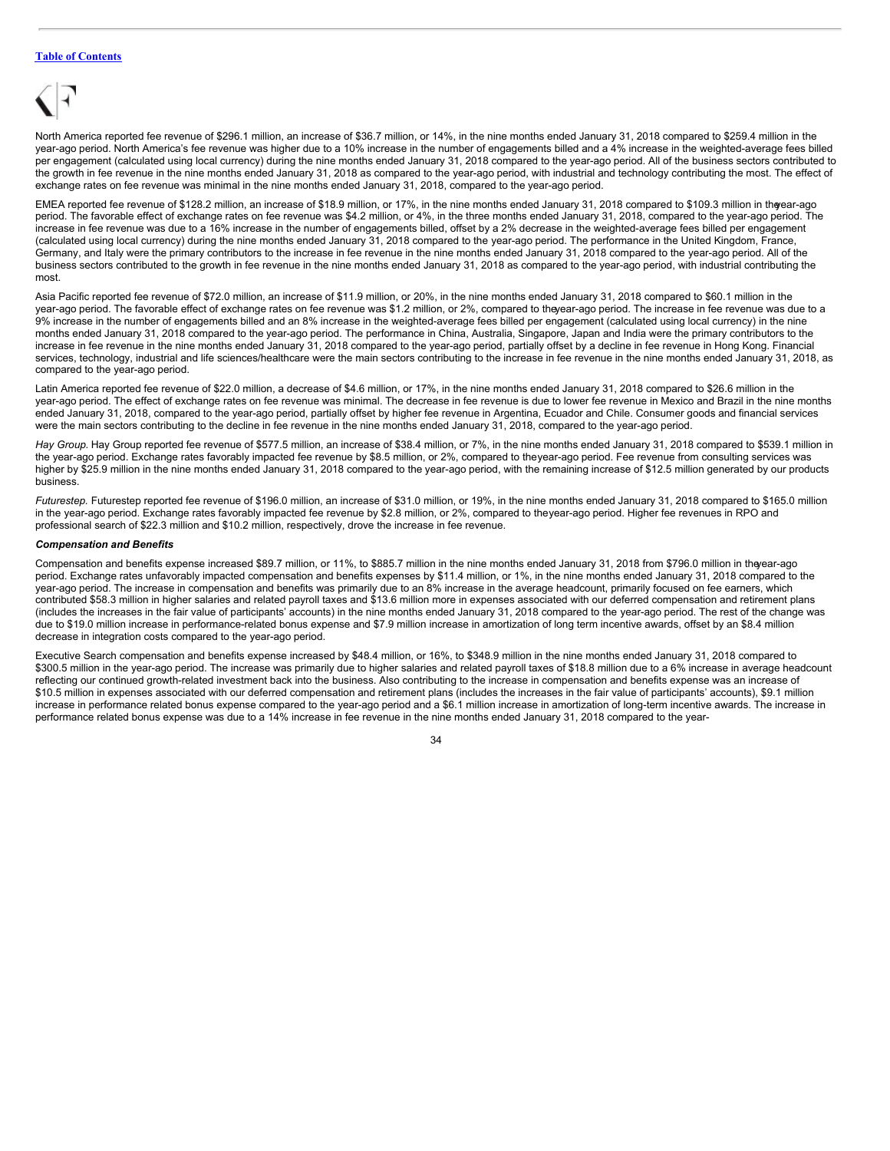

North America reported fee revenue of \$296.1 million, an increase of \$36.7 million, or 14%, in the nine months ended January 31, 2018 compared to \$259.4 million in the year-ago period. North America's fee revenue was higher due to a 10% increase in the number of engagements billed and a 4% increase in the weighted-average fees billed per engagement (calculated using local currency) during the nine months ended January 31, 2018 compared to the year-ago period. All of the business sectors contributed to the growth in fee revenue in the nine months ended January 31, 2018 as compared to the year-ago period, with industrial and technology contributing the most. The effect of exchange rates on fee revenue was minimal in the nine months ended January 31, 2018, compared to the year-ago period.

EMEA reported fee revenue of \$128.2 million, an increase of \$18.9 million, or 17%, in the nine months ended January 31, 2018 compared to \$109.3 million in theyear-ago period. The favorable effect of exchange rates on fee revenue was \$4.2 million, or 4%, in the three months ended January 31, 2018, compared to the year-ago period. The increase in fee revenue was due to a 16% increase in the number of engagements billed, offset by a 2% decrease in the weighted-average fees billed per engagement (calculated using local currency) during the nine months ended January 31, 2018 compared to the year-ago period. The performance in the United Kingdom, France, Germany, and Italy were the primary contributors to the increase in fee revenue in the nine months ended January 31, 2018 compared to the year-ago period. All of the business sectors contributed to the growth in fee revenue in the nine months ended January 31, 2018 as compared to the year-ago period, with industrial contributing the most.

Asia Pacific reported fee revenue of \$72.0 million, an increase of \$11.9 million, or 20%, in the nine months ended January 31, 2018 compared to \$60.1 million in the year-ago period. The favorable effect of exchange rates on fee revenue was \$1.2 million, or 2%, compared to theyear-ago period. The increase in fee revenue was due to a 9% increase in the number of engagements billed and an 8% increase in the weighted-average fees billed per engagement (calculated using local currency) in the nine months ended January 31, 2018 compared to the year-ago period. The performance in China, Australia, Singapore, Japan and India were the primary contributors to the increase in fee revenue in the nine months ended January 31, 2018 compared to the year-ago period, partially offset by a decline in fee revenue in Hong Kong. Financial services, technology, industrial and life sciences/healthcare were the main sectors contributing to the increase in fee revenue in the nine months ended January 31, 2018, as compared to the year-ago period.

Latin America reported fee revenue of \$22.0 million, a decrease of \$4.6 million, or 17%, in the nine months ended January 31, 2018 compared to \$26.6 million in the year-ago period. The effect of exchange rates on fee revenue was minimal. The decrease in fee revenue is due to lower fee revenue in Mexico and Brazil in the nine months ended January 31, 2018, compared to the year-ago period, partially offset by higher fee revenue in Argentina, Ecuador and Chile. Consumer goods and financial services were the main sectors contributing to the decline in fee revenue in the nine months ended January 31, 2018, compared to the year-ago period.

Hay Group. Hay Group reported fee revenue of \$577.5 million, an increase of \$38.4 million, or 7%, in the nine months ended January 31, 2018 compared to \$539.1 million in the year-ago period. Exchange rates favorably impacted fee revenue by \$8.5 million, or 2%, compared to theyear-ago period. Fee revenue from consulting services was higher by \$25.9 million in the nine months ended January 31, 2018 compared to the year-ago period, with the remaining increase of \$12.5 million generated by our products business.

*Futurestep.* Futurestep reported fee revenue of \$196.0 million, an increase of \$31.0 million, or 19%, in the nine months ended January 31, 2018 compared to \$165.0 million in the year-ago period. Exchange rates favorably impacted fee revenue by \$2.8 million, or 2%, compared to theyear-ago period. Higher fee revenues in RPO and professional search of \$22.3 million and \$10.2 million, respectively, drove the increase in fee revenue.

#### *Compensation and Benefits*

Compensation and benefits expense increased \$89.7 million, or 11%, to \$885.7 million in the nine months ended January 31, 2018 from \$796.0 million in theyear-ago period. Exchange rates unfavorably impacted compensation and benefits expenses by \$11.4 million, or 1%, in the nine months ended January 31, 2018 compared to the year-ago period. The increase in compensation and benefits was primarily due to an 8% increase in the average headcount, primarily focused on fee earners, which contributed \$58.3 million in higher salaries and related payroll taxes and \$13.6 million more in expenses associated with our deferred compensation and retirement plans (includes the increases in the fair value of participants' accounts) in the nine months ended January 31, 2018 compared to the year-ago period. The rest of the change was due to \$19.0 million increase in performance-related bonus expense and \$7.9 million increase in amortization of long term incentive awards, offset by an \$8.4 million decrease in integration costs compared to the year-ago period.

Executive Search compensation and benefits expense increased by \$48.4 million, or 16%, to \$348.9 million in the nine months ended January 31, 2018 compared to \$300.5 million in the year-ago period. The increase was primarily due to higher salaries and related payroll taxes of \$18.8 million due to a 6% increase in average headcount reflecting our continued growth-related investment back into the business. Also contributing to the increase in compensation and benefits expense was an increase of \$10.5 million in expenses associated with our deferred compensation and retirement plans (includes the increases in the fair value of participants' accounts), \$9.1 million increase in performance related bonus expense compared to the year-ago period and a \$6.1 million increase in amortization of long-term incentive awards. The increase in performance related bonus expense was due to a 14% increase in fee revenue in the nine months ended January 31, 2018 compared to the year-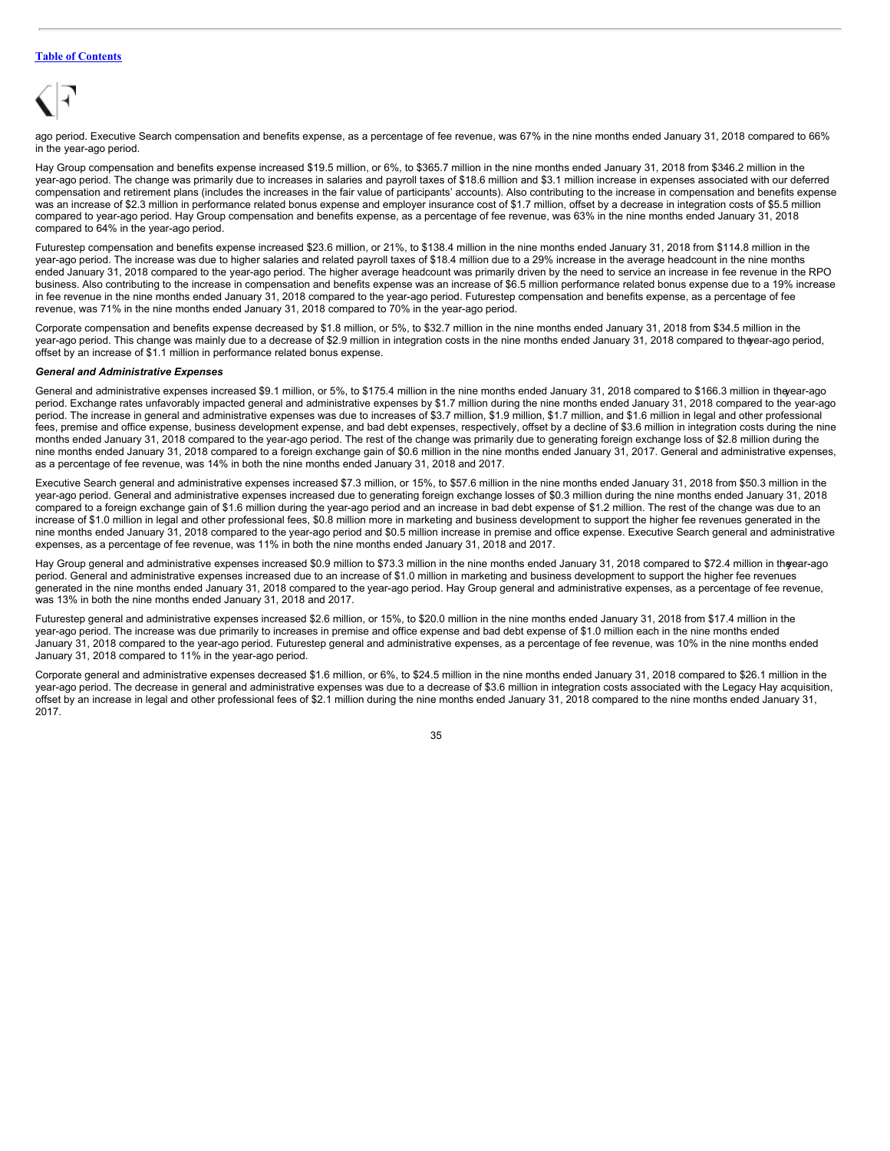

ago period. Executive Search compensation and benefits expense, as a percentage of fee revenue, was 67% in the nine months ended January 31, 2018 compared to 66% in the year-ago period.

Hay Group compensation and benefits expense increased \$19.5 million, or 6%, to \$365.7 million in the nine months ended January 31, 2018 from \$346.2 million in the year-ago period. The change was primarily due to increases in salaries and payroll taxes of \$18.6 million and \$3.1 million increase in expenses associated with our deferred compensation and retirement plans (includes the increases in the fair value of participants' accounts). Also contributing to the increase in compensation and benefits expense was an increase of \$2.3 million in performance related bonus expense and employer insurance cost of \$1.7 million, offset by a decrease in integration costs of \$5.5 million compared to year-ago period. Hay Group compensation and benefits expense, as a percentage of fee revenue, was 63% in the nine months ended January 31, 2018 compared to 64% in the year-ago period.

Futurestep compensation and benefits expense increased \$23.6 million, or 21%, to \$138.4 million in the nine months ended January 31, 2018 from \$114.8 million in the year-ago period. The increase was due to higher salaries and related payroll taxes of \$18.4 million due to a 29% increase in the average headcount in the nine months ended January 31, 2018 compared to the year-ago period. The higher average headcount was primarily driven by the need to service an increase in fee revenue in the RPO business. Also contributing to the increase in compensation and benefits expense was an increase of \$6.5 million performance related bonus expense due to a 19% increase in fee revenue in the nine months ended January 31, 2018 compared to the year-ago period. Futurestep compensation and benefits expense, as a percentage of fee revenue, was 71% in the nine months ended January 31, 2018 compared to 70% in the year-ago period.

Corporate compensation and benefits expense decreased by \$1.8 million, or 5%, to \$32.7 million in the nine months ended January 31, 2018 from \$34.5 million in the year-ago period. This change was mainly due to a decrease of \$2.9 million in integration costs in the nine months ended January 31, 2018 compared to theyear-ago period, offset by an increase of \$1.1 million in performance related bonus expense.

#### *General and Administrative Expenses*

General and administrative expenses increased \$9.1 million, or 5%, to \$175.4 million in the nine months ended January 31, 2018 compared to \$166.3 million in theyear-ago period. Exchange rates unfavorably impacted general and administrative expenses by \$1.7 million during the nine months ended January 31, 2018 compared to the year-ago period. The increase in general and administrative expenses was due to increases of \$3.7 million, \$1.9 million, \$1.7 million, and \$1.6 million in legal and other professional fees, premise and office expense, business development expense, and bad debt expenses, respectively, offset by a decline of \$3.6 million in integration costs during the nine months ended January 31, 2018 compared to the year-ago period. The rest of the change was primarily due to generating foreign exchange loss of \$2.8 million during the nine months ended January 31, 2018 compared to a foreign exchange gain of \$0.6 million in the nine months ended January 31, 2017. General and administrative expenses, as a percentage of fee revenue, was 14% in both the nine months ended January 31, 2018 and 2017.

Executive Search general and administrative expenses increased \$7.3 million, or 15%, to \$57.6 million in the nine months ended January 31, 2018 from \$50.3 million in the year-ago period. General and administrative expenses increased due to generating foreign exchange losses of \$0.3 million during the nine months ended January 31, 2018 compared to a foreign exchange gain of \$1.6 million during the year-ago period and an increase in bad debt expense of \$1.2 million. The rest of the change was due to an increase of \$1.0 million in legal and other professional fees, \$0.8 million more in marketing and business development to support the higher fee revenues generated in the nine months ended January 31, 2018 compared to the year-ago period and \$0.5 million increase in premise and office expense. Executive Search general and administrative expenses, as a percentage of fee revenue, was 11% in both the nine months ended January 31, 2018 and 2017.

Hay Group general and administrative expenses increased \$0.9 million to \$73.3 million in the nine months ended January 31, 2018 compared to \$72.4 million in therear-ago period. General and administrative expenses increased due to an increase of \$1.0 million in marketing and business development to support the higher fee revenues generated in the nine months ended January 31, 2018 compared to the year-ago period. Hay Group general and administrative expenses, as a percentage of fee revenue, was 13% in both the nine months ended January 31, 2018 and 2017.

Futurestep general and administrative expenses increased \$2.6 million, or 15%, to \$20.0 million in the nine months ended January 31, 2018 from \$17.4 million in the year-ago period. The increase was due primarily to increases in premise and office expense and bad debt expense of \$1.0 million each in the nine months ended January 31, 2018 compared to the year-ago period. Futurestep general and administrative expenses, as a percentage of fee revenue, was 10% in the nine months ended January 31, 2018 compared to 11% in the year-ago period.

Corporate general and administrative expenses decreased \$1.6 million, or 6%, to \$24.5 million in the nine months ended January 31, 2018 compared to \$26.1 million in the year-ago period. The decrease in general and administrative expenses was due to a decrease of \$3.6 million in integration costs associated with the Legacy Hay acquisition, offset by an increase in legal and other professional fees of \$2.1 million during the nine months ended January 31, 2018 compared to the nine months ended January 31, 2017.

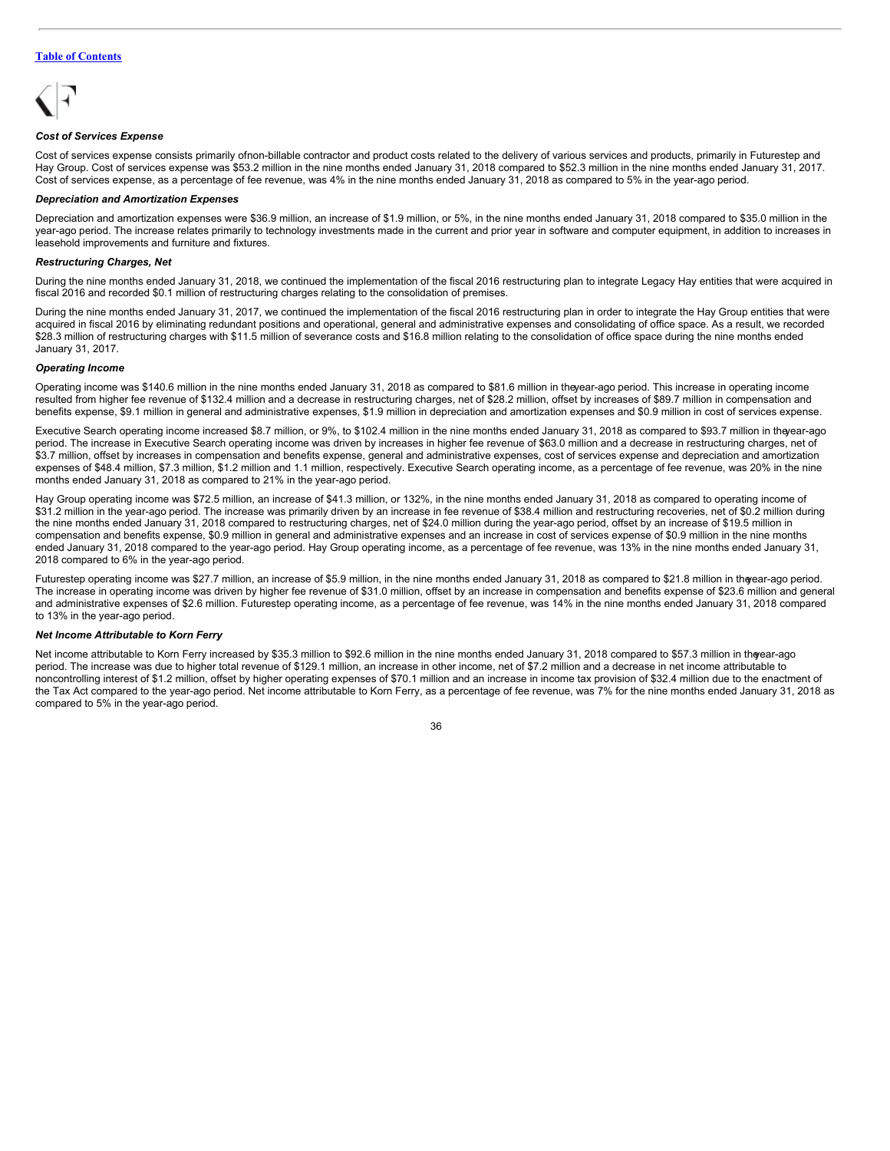

#### *Cost of Services Expense*

Cost of services expense consists primarily ofnon-billable contractor and product costs related to the delivery of various services and products, primarily in Futurestep and Hay Group. Cost of services expense was \$53.2 million in the nine months ended January 31, 2018 compared to \$52.3 million in the nine months ended January 31, 2017. Cost of services expense, as a percentage of fee revenue, was 4% in the nine months ended January 31, 2018 as compared to 5% in the year-ago period.

#### *Depreciation and Amortization Expenses*

Depreciation and amortization expenses were \$36.9 million, an increase of \$1.9 million, or 5%, in the nine months ended January 31, 2018 compared to \$35.0 million in the year-ago period. The increase relates primarily to technology investments made in the current and prior year in software and computer equipment, in addition to increases in leasehold improvements and furniture and fixtures.

#### *Restructuring Charges, Net*

During the nine months ended January 31, 2018, we continued the implementation of the fiscal 2016 restructuring plan to integrate Legacy Hay entities that were acquired in fiscal 2016 and recorded \$0.1 million of restructuring charges relating to the consolidation of premises.

During the nine months ended January 31, 2017, we continued the implementation of the fiscal 2016 restructuring plan in order to integrate the Hay Group entities that were acquired in fiscal 2016 by eliminating redundant positions and operational, general and administrative expenses and consolidating of office space. As a result, we recorded \$28.3 million of restructuring charges with \$11.5 million of severance costs and \$16.8 million relating to the consolidation of office space during the nine months ended January 31, 2017.

#### *Operating Income*

Operating income was \$140.6 million in the nine months ended January 31, 2018 as compared to \$81.6 million in theyear-ago period. This increase in operating income resulted from higher fee revenue of \$132.4 million and a decrease in restructuring charges, net of \$28.2 million, offset by increases of \$89.7 million in compensation and benefits expense, \$9.1 million in general and administrative expenses, \$1.9 million in depreciation and amortization expenses and \$0.9 million in cost of services expense.

Executive Search operating income increased \$8.7 million, or 9%, to \$102.4 million in the nine months ended January 31, 2018 as compared to \$93.7 million in theyear-ago period. The increase in Executive Search operating income was driven by increases in higher fee revenue of \$63.0 million and a decrease in restructuring charges, net of \$3.7 million, offset by increases in compensation and benefits expense, general and administrative expenses, cost of services expense and depreciation and amortization expenses of \$48.4 million, \$7.3 million, \$1.2 million and 1.1 million, respectively. Executive Search operating income, as a percentage of fee revenue, was 20% in the nine months ended January 31, 2018 as compared to 21% in the year-ago period.

Hay Group operating income was \$72.5 million, an increase of \$41.3 million, or 132%, in the nine months ended January 31, 2018 as compared to operating income of \$31.2 million in the year-ago period. The increase was primarily driven by an increase in fee revenue of \$38.4 million and restructuring recoveries, net of \$0.2 million during the nine months ended January 31, 2018 compared to restructuring charges, net of \$24.0 million during the year-ago period, offset by an increase of \$19.5 million in compensation and benefits expense, \$0.9 million in general and administrative expenses and an increase in cost of services expense of \$0.9 million in the nine months ended January 31, 2018 compared to the year-ago period. Hay Group operating income, as a percentage of fee revenue, was 13% in the nine months ended January 31, 2018 compared to 6% in the year-ago period.

Futurestep operating income was \$27.7 million, an increase of \$5.9 million, in the nine months ended January 31, 2018 as compared to \$21.8 million in the ear-ago period. The increase in operating income was driven by higher fee revenue of \$31.0 million, offset by an increase in compensation and benefits expense of \$23.6 million and general and administrative expenses of \$2.6 million. Futurestep operating income, as a percentage of fee revenue, was 14% in the nine months ended January 31, 2018 compared to 13% in the year-ago period.

#### *Net Income Attributable to Korn Ferry*

Net income attributable to Korn Ferry increased by \$35.3 million to \$92.6 million in the nine months ended January 31, 2018 compared to \$57.3 million in theyear-ago period. The increase was due to higher total revenue of \$129.1 million, an increase in other income, net of \$7.2 million and a decrease in net income attributable to noncontrolling interest of \$1.2 million, offset by higher operating expenses of \$70.1 million and an increase in income tax provision of \$32.4 million due to the enactment of the Tax Act compared to the year-ago period. Net income attributable to Korn Ferry, as a percentage of fee revenue, was 7% for the nine months ended January 31, 2018 as compared to 5% in the year-ago period.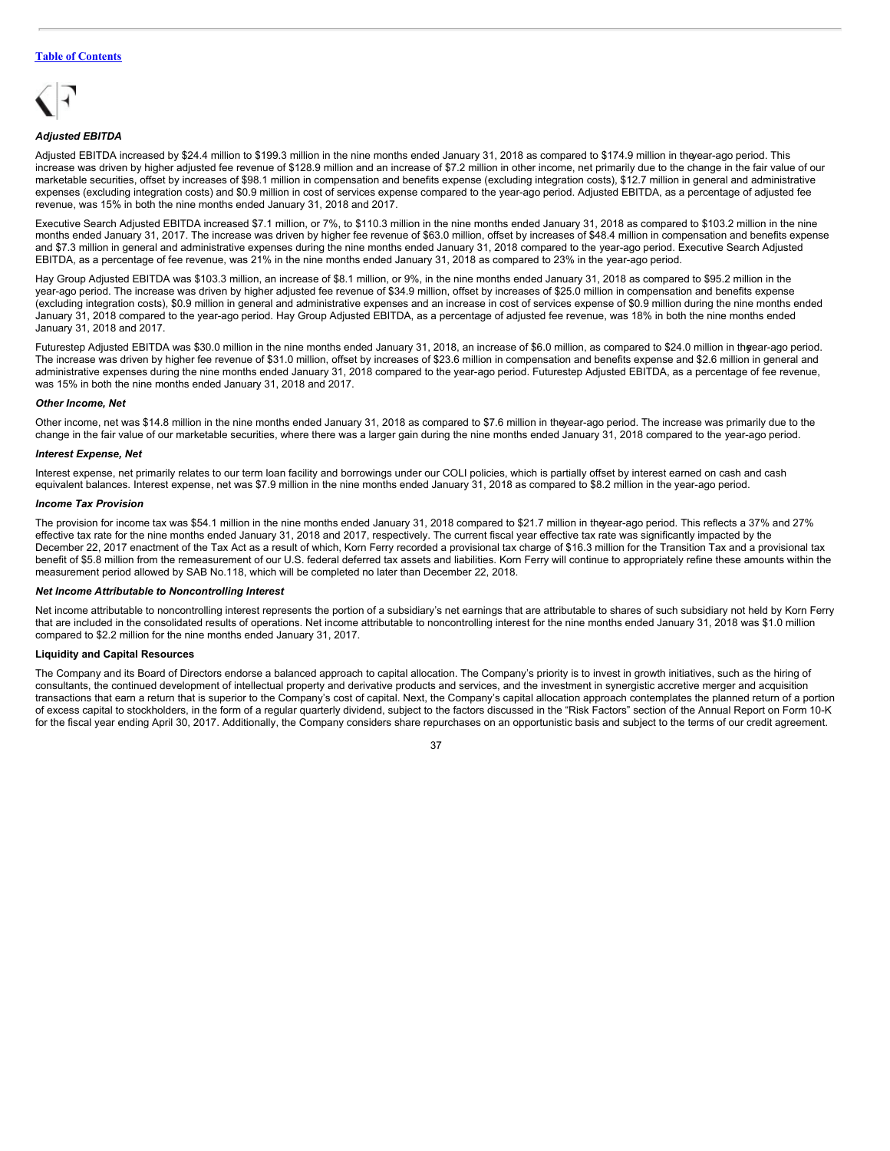

#### *Adjusted EBITDA*

Adjusted EBITDA increased by \$24.4 million to \$199.3 million in the nine months ended January 31, 2018 as compared to \$174.9 million in theyear-ago period. This increase was driven by higher adjusted fee revenue of \$128.9 million and an increase of \$7.2 million in other income, net primarily due to the change in the fair value of our marketable securities, offset by increases of \$98.1 million in compensation and benefits expense (excluding integration costs), \$12.7 million in general and administrative expenses (excluding integration costs) and \$0.9 million in cost of services expense compared to the year-ago period. Adjusted EBITDA, as a percentage of adjusted fee revenue, was 15% in both the nine months ended January 31, 2018 and 2017.

Executive Search Adjusted EBITDA increased \$7.1 million, or 7%, to \$110.3 million in the nine months ended January 31, 2018 as compared to \$103.2 million in the nine months ended January 31, 2017. The increase was driven by higher fee revenue of \$63.0 million, offset by increases of \$48.4 million in compensation and benefits expense and \$7.3 million in general and administrative expenses during the nine months ended January 31, 2018 compared to the year-ago period. Executive Search Adjusted EBITDA, as a percentage of fee revenue, was 21% in the nine months ended January 31, 2018 as compared to 23% in the year-ago period.

Hay Group Adjusted EBITDA was \$103.3 million, an increase of \$8.1 million, or 9%, in the nine months ended January 31, 2018 as compared to \$95.2 million in the year-ago period. The increase was driven by higher adjusted fee revenue of \$34.9 million, offset by increases of \$25.0 million in compensation and benefits expense (excluding integration costs), \$0.9 million in general and administrative expenses and an increase in cost of services expense of \$0.9 million during the nine months ended January 31, 2018 compared to the year-ago period. Hay Group Adjusted EBITDA, as a percentage of adjusted fee revenue, was 18% in both the nine months ended January 31, 2018 and 2017.

Futurestep Adjusted EBITDA was \$30.0 million in the nine months ended January 31, 2018, an increase of \$6.0 million, as compared to \$24.0 million in theear-ago period. The increase was driven by higher fee revenue of \$31.0 million, offset by increases of \$23.6 million in compensation and benefits expense and \$2.6 million in general and administrative expenses during the nine months ended January 31, 2018 compared to the year-ago period. Futurestep Adjusted EBITDA, as a percentage of fee revenue, was 15% in both the nine months ended January 31, 2018 and 2017.

#### *Other Income, Net*

Other income, net was \$14.8 million in the nine months ended January 31, 2018 as compared to \$7.6 million in theyear-ago period. The increase was primarily due to the change in the fair value of our marketable securities, where there was a larger gain during the nine months ended January 31, 2018 compared to the year-ago period.

#### *Interest Expense, Net*

Interest expense, net primarily relates to our term loan facility and borrowings under our COLI policies, which is partially offset by interest earned on cash and cash equivalent balances. Interest expense, net was \$7.9 million in the nine months ended January 31, 2018 as compared to \$8.2 million in the year-ago period.

#### *Income Tax Provision*

The provision for income tax was \$54.1 million in the nine months ended January 31, 2018 compared to \$21.7 million in theyear-ago period. This reflects a 37% and 27% effective tax rate for the nine months ended January 31, 2018 and 2017, respectively. The current fiscal year effective tax rate was significantly impacted by the December 22, 2017 enactment of the Tax Act as a result of which, Korn Ferry recorded a provisional tax charge of \$16.3 million for the Transition Tax and a provisional tax benefit of \$5.8 million from the remeasurement of our U.S. federal deferred tax assets and liabilities. Korn Ferry will continue to appropriately refine these amounts within the measurement period allowed by SAB No.118, which will be completed no later than December 22, 2018.

#### *Net Income Attributable to Noncontrolling Interest*

Net income attributable to noncontrolling interest represents the portion of a subsidiary's net earnings that are attributable to shares of such subsidiary not held by Korn Ferry that are included in the consolidated results of operations. Net income attributable to noncontrolling interest for the nine months ended January 31, 2018 was \$1.0 million compared to \$2.2 million for the nine months ended January 31, 2017.

#### **Liquidity and Capital Resources**

The Company and its Board of Directors endorse a balanced approach to capital allocation. The Company's priority is to invest in growth initiatives, such as the hiring of consultants, the continued development of intellectual property and derivative products and services, and the investment in synergistic accretive merger and acquisition transactions that earn a return that is superior to the Company's cost of capital. Next, the Company's capital allocation approach contemplates the planned return of a portion of excess capital to stockholders, in the form of a regular quarterly dividend, subject to the factors discussed in the "Risk Factors" section of the Annual Report on Form 10-K for the fiscal year ending April 30, 2017. Additionally, the Company considers share repurchases on an opportunistic basis and subject to the terms of our credit agreement.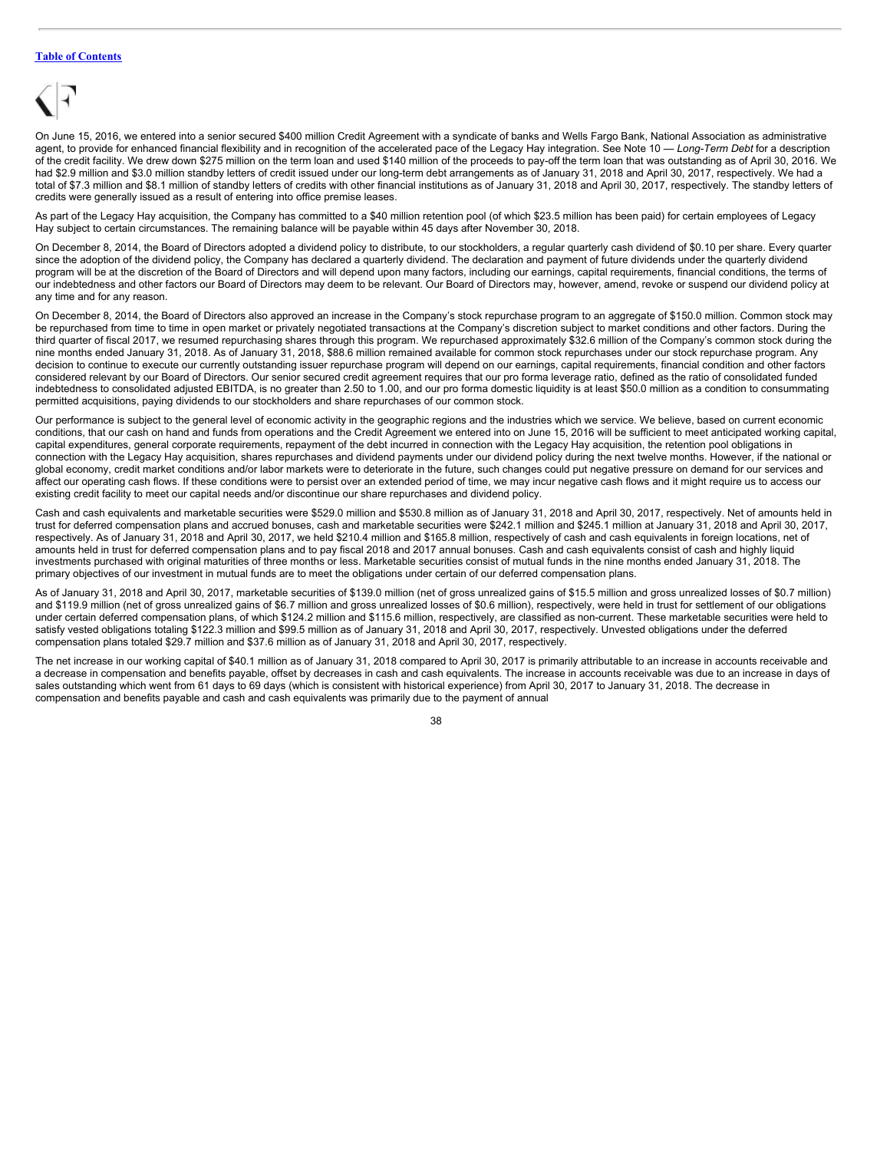

On June 15, 2016, we entered into a senior secured \$400 million Credit Agreement with a syndicate of banks and Wells Fargo Bank, National Association as administrative agent, to provide for enhanced financial flexibility and in recognition of the accelerated pace of the Legacy Hay integration. See Note 10 — *Long-Term Debt* for a description of the credit facility. We drew down \$275 million on the term loan and used \$140 million of the proceeds to pay-off the term loan that was outstanding as of April 30, 2016. We had \$2.9 million and \$3.0 million standby letters of credit issued under our long-term debt arrangements as of January 31, 2018 and April 30, 2017, respectively. We had a total of \$7.3 million and \$8.1 million of standby letters of credits with other financial institutions as of January 31, 2018 and April 30, 2017, respectively. The standby letters of credits were generally issued as a result of entering into office premise leases.

As part of the Legacy Hay acquisition, the Company has committed to a \$40 million retention pool (of which \$23.5 million has been paid) for certain employees of Legacy Hay subject to certain circumstances. The remaining balance will be payable within 45 days after November 30, 2018.

On December 8, 2014, the Board of Directors adopted a dividend policy to distribute, to our stockholders, a regular quarterly cash dividend of \$0.10 per share. Every quarter since the adoption of the dividend policy, the Company has declared a quarterly dividend. The declaration and payment of future dividends under the quarterly dividend program will be at the discretion of the Board of Directors and will depend upon many factors, including our earnings, capital requirements, financial conditions, the terms of our indebtedness and other factors our Board of Directors may deem to be relevant. Our Board of Directors may, however, amend, revoke or suspend our dividend policy at any time and for any reason.

On December 8, 2014, the Board of Directors also approved an increase in the Company's stock repurchase program to an aggregate of \$150.0 million. Common stock may be repurchased from time to time in open market or privately negotiated transactions at the Company's discretion subject to market conditions and other factors. During the third quarter of fiscal 2017, we resumed repurchasing shares through this program. We repurchased approximately \$32.6 million of the Company's common stock during the nine months ended January 31, 2018. As of January 31, 2018, \$88.6 million remained available for common stock repurchases under our stock repurchase program. Any decision to continue to execute our currently outstanding issuer repurchase program will depend on our earnings, capital requirements, financial condition and other factors considered relevant by our Board of Directors. Our senior secured credit agreement requires that our pro forma leverage ratio, defined as the ratio of consolidated funded indebtedness to consolidated adjusted EBITDA, is no greater than 2.50 to 1.00, and our pro forma domestic liquidity is at least \$50.0 million as a condition to consummating permitted acquisitions, paying dividends to our stockholders and share repurchases of our common stock.

Our performance is subject to the general level of economic activity in the geographic regions and the industries which we service. We believe, based on current economic conditions, that our cash on hand and funds from operations and the Credit Agreement we entered into on June 15, 2016 will be sufficient to meet anticipated working capital, capital expenditures, general corporate requirements, repayment of the debt incurred in connection with the Legacy Hay acquisition, the retention pool obligations in connection with the Legacy Hay acquisition, shares repurchases and dividend payments under our dividend policy during the next twelve months. However, if the national or global economy, credit market conditions and/or labor markets were to deteriorate in the future, such changes could put negative pressure on demand for our services and affect our operating cash flows. If these conditions were to persist over an extended period of time, we may incur negative cash flows and it might require us to access our existing credit facility to meet our capital needs and/or discontinue our share repurchases and dividend policy.

Cash and cash equivalents and marketable securities were \$529.0 million and \$530.8 million as of January 31, 2018 and April 30, 2017, respectively. Net of amounts held in trust for deferred compensation plans and accrued bonuses, cash and marketable securities were \$242.1 million and \$245.1 million at January 31, 2018 and April 30, 2017, respectively. As of January 31, 2018 and April 30, 2017, we held \$210.4 million and \$165.8 million, respectively of cash and cash equivalents in foreign locations, net of amounts held in trust for deferred compensation plans and to pay fiscal 2018 and 2017 annual bonuses. Cash and cash equivalents consist of cash and highly liquid investments purchased with original maturities of three months or less. Marketable securities consist of mutual funds in the nine months ended January 31, 2018. The primary objectives of our investment in mutual funds are to meet the obligations under certain of our deferred compensation plans.

As of January 31, 2018 and April 30, 2017, marketable securities of \$139.0 million (net of gross unrealized gains of \$15.5 million and gross unrealized losses of \$0.7 million) and \$119.9 million (net of gross unrealized gains of \$6.7 million and gross unrealized losses of \$0.6 million), respectively, were held in trust for settlement of our obligations under certain deferred compensation plans, of which \$124.2 million and \$115.6 million, respectively, are classified as non-current. These marketable securities were held to satisfy vested obligations totaling \$122.3 million and \$99.5 million as of January 31, 2018 and April 30, 2017, respectively. Unvested obligations under the deferred compensation plans totaled \$29.7 million and \$37.6 million as of January 31, 2018 and April 30, 2017, respectively.

The net increase in our working capital of \$40.1 million as of January 31, 2018 compared to April 30, 2017 is primarily attributable to an increase in accounts receivable and a decrease in compensation and benefits payable, offset by decreases in cash and cash equivalents. The increase in accounts receivable was due to an increase in days of sales outstanding which went from 61 days to 69 days (which is consistent with historical experience) from April 30, 2017 to January 31, 2018. The decrease in compensation and benefits payable and cash and cash equivalents was primarily due to the payment of annual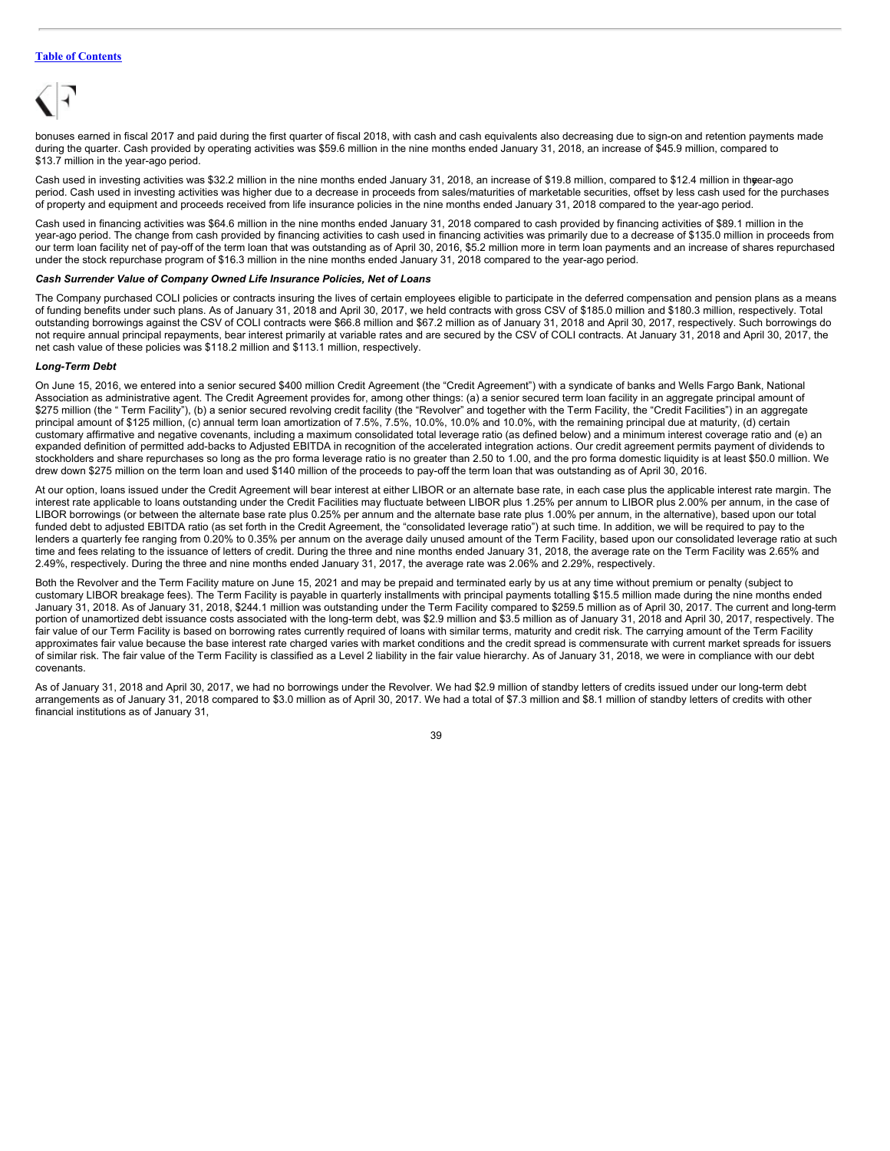

bonuses earned in fiscal 2017 and paid during the first quarter of fiscal 2018, with cash and cash equivalents also decreasing due to sign-on and retention payments made during the quarter. Cash provided by operating activities was \$59.6 million in the nine months ended January 31, 2018, an increase of \$45.9 million, compared to \$13.7 million in the year-ago period.

Cash used in investing activities was \$32.2 million in the nine months ended January 31, 2018, an increase of \$19.8 million, compared to \$12.4 million in theear-ago period. Cash used in investing activities was higher due to a decrease in proceeds from sales/maturities of marketable securities, offset by less cash used for the purchases of property and equipment and proceeds received from life insurance policies in the nine months ended January 31, 2018 compared to the year-ago period.

Cash used in financing activities was \$64.6 million in the nine months ended January 31, 2018 compared to cash provided by financing activities of \$89.1 million in the year-ago period. The change from cash provided by financing activities to cash used in financing activities was primarily due to a decrease of \$135.0 million in proceeds from our term loan facility net of pay-off of the term loan that was outstanding as of April 30, 2016, \$5.2 million more in term loan payments and an increase of shares repurchased under the stock repurchase program of \$16.3 million in the nine months ended January 31, 2018 compared to the year-ago period.

#### *Cash Surrender Value of Company Owned Life Insurance Policies, Net of Loans*

The Company purchased COLI policies or contracts insuring the lives of certain employees eligible to participate in the deferred compensation and pension plans as a means of funding benefits under such plans. As of January 31, 2018 and April 30, 2017, we held contracts with gross CSV of \$185.0 million and \$180.3 million, respectively. Total outstanding borrowings against the CSV of COLI contracts were \$66.8 million and \$67.2 million as of January 31, 2018 and April 30, 2017, respectively. Such borrowings do not require annual principal repayments, bear interest primarily at variable rates and are secured by the CSV of COLI contracts. At January 31, 2018 and April 30, 2017, the net cash value of these policies was \$118.2 million and \$113.1 million, respectively.

#### *Long-Term Debt*

On June 15, 2016, we entered into a senior secured \$400 million Credit Agreement (the "Credit Agreement") with a syndicate of banks and Wells Fargo Bank, National Association as administrative agent. The Credit Agreement provides for, among other things: (a) a senior secured term loan facility in an aggregate principal amount of \$275 million (the " Term Facility"), (b) a senior secured revolving credit facility (the "Revolver" and together with the Term Facility, the "Credit Facilities") in an aggregate principal amount of \$125 million, (c) annual term loan amortization of 7.5%, 7.5%, 10.0%, 10.0% and 10.0%, with the remaining principal due at maturity, (d) certain customary affirmative and negative covenants, including a maximum consolidated total leverage ratio (as defined below) and a minimum interest coverage ratio and (e) an expanded definition of permitted add-backs to Adjusted EBITDA in recognition of the accelerated integration actions. Our credit agreement permits payment of dividends to stockholders and share repurchases so long as the pro forma leverage ratio is no greater than 2.50 to 1.00, and the pro forma domestic liquidity is at least \$50.0 million. We drew down \$275 million on the term loan and used \$140 million of the proceeds to pay-off the term loan that was outstanding as of April 30, 2016.

At our option, loans issued under the Credit Agreement will bear interest at either LIBOR or an alternate base rate, in each case plus the applicable interest rate margin. The interest rate applicable to loans outstanding under the Credit Facilities may fluctuate between LIBOR plus 1.25% per annum to LIBOR plus 2.00% per annum, in the case of LIBOR borrowings (or between the alternate base rate plus 0.25% per annum and the alternate base rate plus 1.00% per annum, in the alternative), based upon our total funded debt to adjusted EBITDA ratio (as set forth in the Credit Agreement, the "consolidated leverage ratio") at such time. In addition, we will be required to pay to the lenders a quarterly fee ranging from 0.20% to 0.35% per annum on the average daily unused amount of the Term Facility, based upon our consolidated leverage ratio at such time and fees relating to the issuance of letters of credit. During the three and nine months ended January 31, 2018, the average rate on the Term Facility was 2.65% and 2.49%, respectively. During the three and nine months ended January 31, 2017, the average rate was 2.06% and 2.29%, respectively.

Both the Revolver and the Term Facility mature on June 15, 2021 and may be prepaid and terminated early by us at any time without premium or penalty (subject to customary LIBOR breakage fees). The Term Facility is payable in quarterly installments with principal payments totalling \$15.5 million made during the nine months ended January 31, 2018. As of January 31, 2018, \$244.1 million was outstanding under the Term Facility compared to \$259.5 million as of April 30, 2017. The current and long-term portion of unamortized debt issuance costs associated with the long-term debt, was \$2.9 million and \$3.5 million as of January 31, 2018 and April 30, 2017, respectively. The fair value of our Term Facility is based on borrowing rates currently required of loans with similar terms, maturity and credit risk. The carrying amount of the Term Facility approximates fair value because the base interest rate charged varies with market conditions and the credit spread is commensurate with current market spreads for issuers of similar risk. The fair value of the Term Facility is classified as a Level 2 liability in the fair value hierarchy. As of January 31, 2018, we were in compliance with our debt covenants.

As of January 31, 2018 and April 30, 2017, we had no borrowings under the Revolver. We had \$2.9 million of standby letters of credits issued under our long-term debt arrangements as of January 31, 2018 compared to \$3.0 million as of April 30, 2017. We had a total of \$7.3 million and \$8.1 million of standby letters of credits with other financial institutions as of January 31,

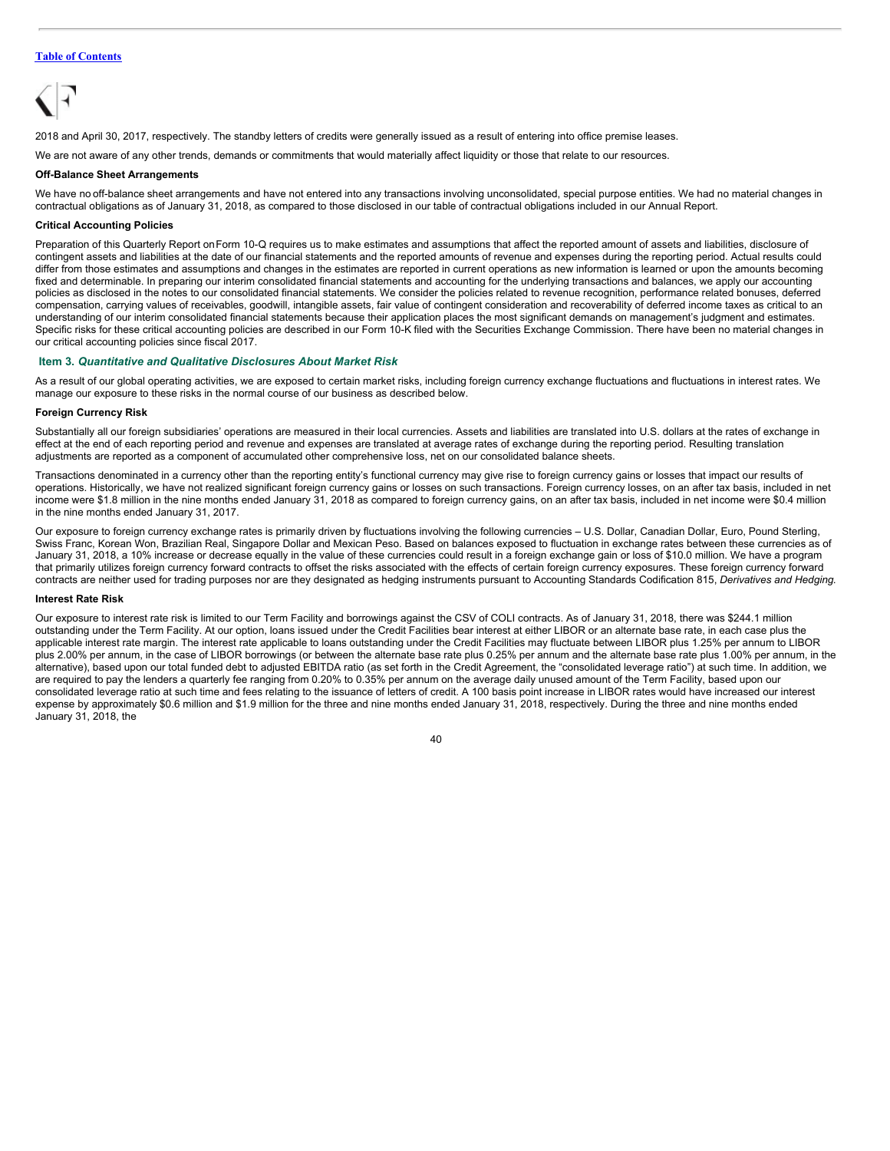

2018 and April 30, 2017, respectively. The standby letters of credits were generally issued as a result of entering into office premise leases.

We are not aware of any other trends, demands or commitments that would materially affect liquidity or those that relate to our resources.

#### **Off-Balance Sheet Arrangements**

We have no off-balance sheet arrangements and have not entered into any transactions involving unconsolidated, special purpose entities. We had no material changes in contractual obligations as of January 31, 2018, as compared to those disclosed in our table of contractual obligations included in our Annual Report.

#### **Critical Accounting Policies**

Preparation of this Quarterly Report onForm 10-Q requires us to make estimates and assumptions that affect the reported amount of assets and liabilities, disclosure of contingent assets and liabilities at the date of our financial statements and the reported amounts of revenue and expenses during the reporting period. Actual results could differ from those estimates and assumptions and changes in the estimates are reported in current operations as new information is learned or upon the amounts becoming fixed and determinable. In preparing our interim consolidated financial statements and accounting for the underlying transactions and balances, we apply our accounting policies as disclosed in the notes to our consolidated financial statements. We consider the policies related to revenue recognition, performance related bonuses, deferred compensation, carrying values of receivables, goodwill, intangible assets, fair value of contingent consideration and recoverability of deferred income taxes as critical to an understanding of our interim consolidated financial statements because their application places the most significant demands on management's judgment and estimates. Specific risks for these critical accounting policies are described in our Form 10-K filed with the Securities Exchange Commission. There have been no material changes in our critical accounting policies since fiscal 2017.

#### <span id="page-41-0"></span>**Item 3.** *Quantitative and Qualitative Disclosures About Market Risk*

As a result of our global operating activities, we are exposed to certain market risks, including foreign currency exchange fluctuations and fluctuations in interest rates. We manage our exposure to these risks in the normal course of our business as described below.

#### **Foreign Currency Risk**

Substantially all our foreign subsidiaries' operations are measured in their local currencies. Assets and liabilities are translated into U.S. dollars at the rates of exchange in effect at the end of each reporting period and revenue and expenses are translated at average rates of exchange during the reporting period. Resulting translation adjustments are reported as a component of accumulated other comprehensive loss, net on our consolidated balance sheets.

Transactions denominated in a currency other than the reporting entity's functional currency may give rise to foreign currency gains or losses that impact our results of operations. Historically, we have not realized significant foreign currency gains or losses on such transactions. Foreign currency losses, on an after tax basis, included in net income were \$1.8 million in the nine months ended January 31, 2018 as compared to foreign currency gains, on an after tax basis, included in net income were \$0.4 million in the nine months ended January 31, 2017.

Our exposure to foreign currency exchange rates is primarily driven by fluctuations involving the following currencies – U.S. Dollar, Canadian Dollar, Euro, Pound Sterling, Swiss Franc, Korean Won, Brazilian Real, Singapore Dollar and Mexican Peso. Based on balances exposed to fluctuation in exchange rates between these currencies as of January 31, 2018, a 10% increase or decrease equally in the value of these currencies could result in a foreign exchange gain or loss of \$10.0 million. We have a program that primarily utilizes foreign currency forward contracts to offset the risks associated with the effects of certain foreign currency exposures. These foreign currency forward contracts are neither used for trading purposes nor are they designated as hedging instruments pursuant to Accounting Standards Codification 815, *Derivatives and Hedging*.

#### **Interest Rate Risk**

Our exposure to interest rate risk is limited to our Term Facility and borrowings against the CSV of COLI contracts. As of January 31, 2018, there was \$244.1 million outstanding under the Term Facility. At our option, loans issued under the Credit Facilities bear interest at either LIBOR or an alternate base rate, in each case plus the applicable interest rate margin. The interest rate applicable to loans outstanding under the Credit Facilities may fluctuate between LIBOR plus 1.25% per annum to LIBOR plus 2.00% per annum, in the case of LIBOR borrowings (or between the alternate base rate plus 0.25% per annum and the alternate base rate plus 1.00% per annum, in the alternative), based upon our total funded debt to adjusted EBITDA ratio (as set forth in the Credit Agreement, the "consolidated leverage ratio") at such time. In addition, we are required to pay the lenders a quarterly fee ranging from 0.20% to 0.35% per annum on the average daily unused amount of the Term Facility, based upon our consolidated leverage ratio at such time and fees relating to the issuance of letters of credit. A 100 basis point increase in LIBOR rates would have increased our interest expense by approximately \$0.6 million and \$1.9 million for the three and nine months ended January 31, 2018, respectively. During the three and nine months ended January 31, 2018, the

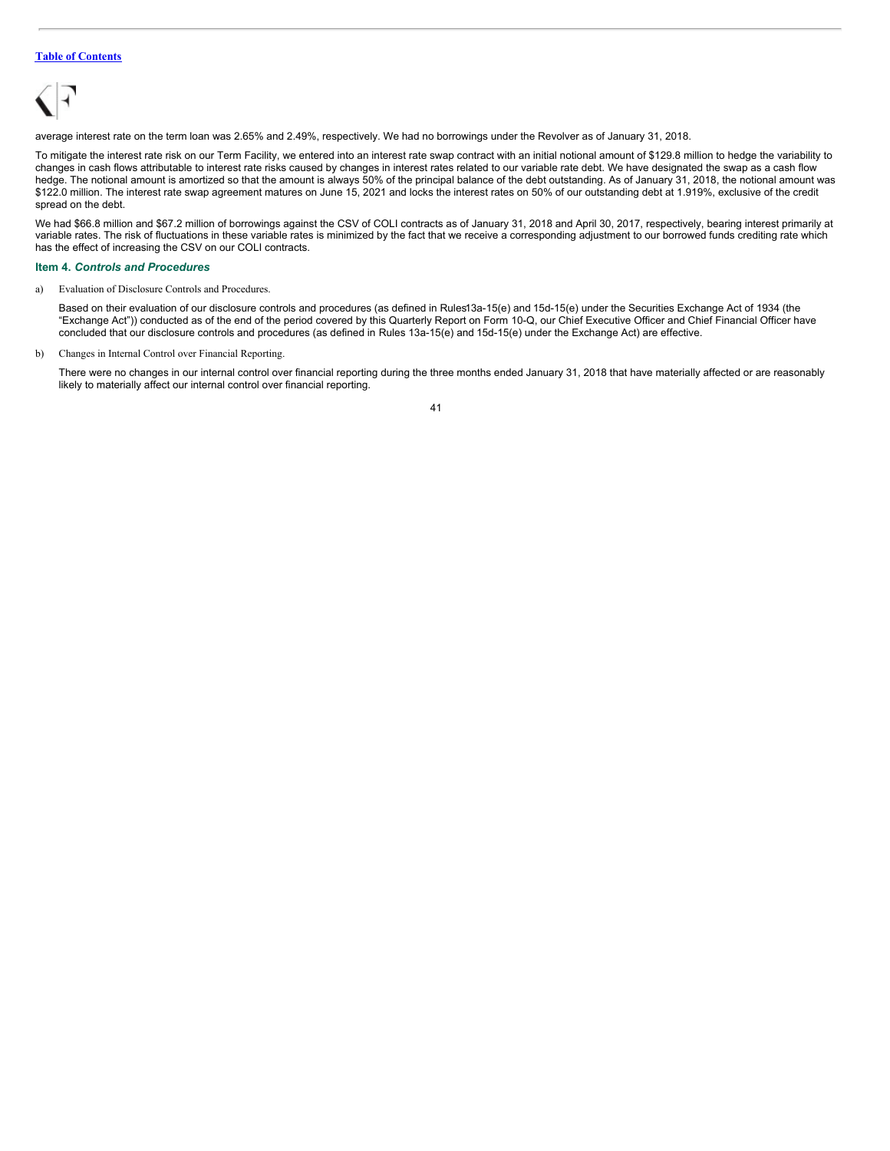

average interest rate on the term loan was 2.65% and 2.49%, respectively. We had no borrowings under the Revolver as of January 31, 2018.

To mitigate the interest rate risk on our Term Facility, we entered into an interest rate swap contract with an initial notional amount of \$129.8 million to hedge the variability to changes in cash flows attributable to interest rate risks caused by changes in interest rates related to our variable rate debt. We have designated the swap as a cash flow hedge. The notional amount is amortized so that the amount is always 50% of the principal balance of the debt outstanding. As of January 31, 2018, the notional amount was \$122.0 million. The interest rate swap agreement matures on June 15, 2021 and locks the interest rates on 50% of our outstanding debt at 1.919%, exclusive of the credit spread on the debt.

We had \$66.8 million and \$67.2 million of borrowings against the CSV of COLI contracts as of January 31, 2018 and April 30, 2017, respectively, bearing interest primarily at variable rates. The risk of fluctuations in these variable rates is minimized by the fact that we receive a corresponding adjustment to our borrowed funds crediting rate which has the effect of increasing the CSV on our COLI contracts.

#### **Item 4.** *Controls and Procedures*

a) Evaluation of Disclosure Controls and Procedures.

Based on their evaluation of our disclosure controls and procedures (as defined in Rules13a-15(e) and 15d-15(e) under the Securities Exchange Act of 1934 (the "Exchange Act")) conducted as of the end of the period covered by this Quarterly Report on Form 10-Q, our Chief Executive Officer and Chief Financial Officer have concluded that our disclosure controls and procedures (as defined in Rules 13a-15(e) and 15d-15(e) under the Exchange Act) are effective.

b) Changes in Internal Control over Financial Reporting.

There were no changes in our internal control over financial reporting during the three months ended January 31, 2018 that have materially affected or are reasonably likely to materially affect our internal control over financial reporting.

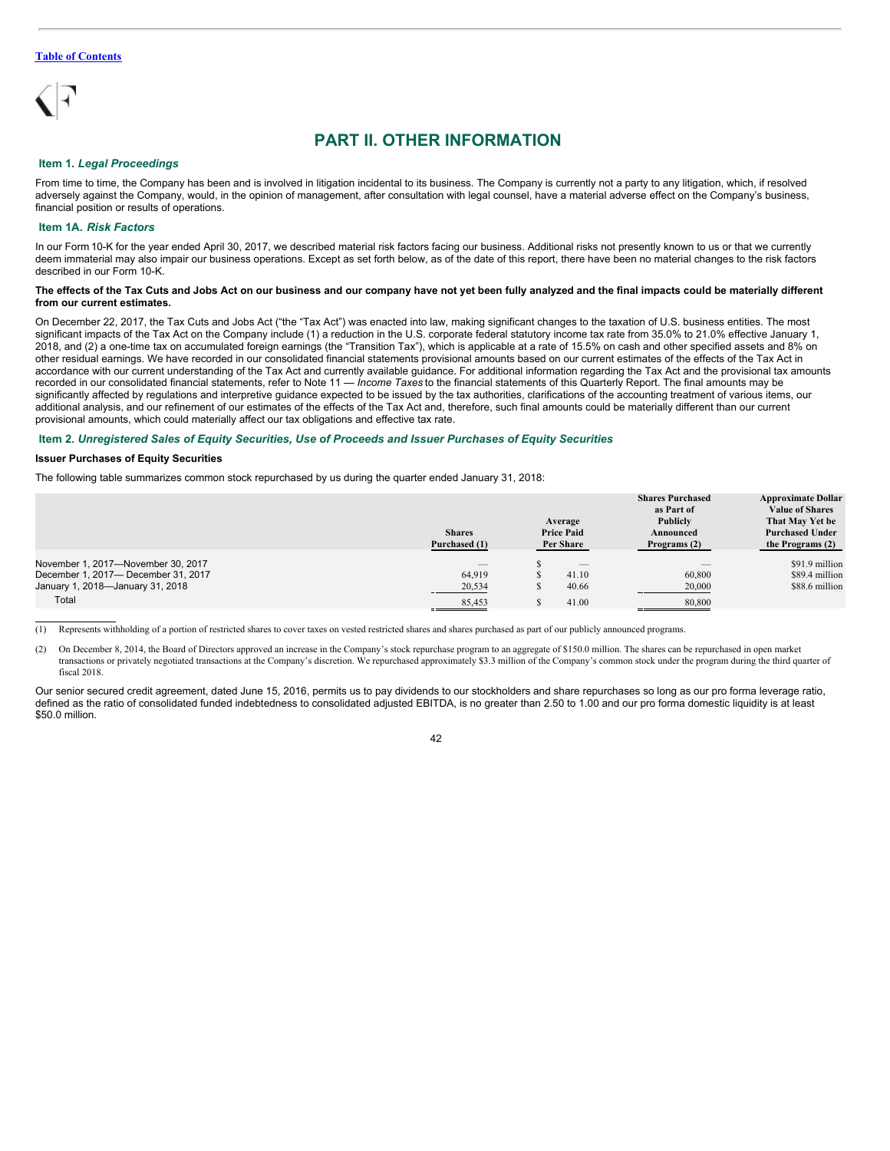

## <span id="page-43-0"></span>**PART II. OTHER INFORMATION**

#### <span id="page-43-1"></span>**Item 1.** *Legal Proceedings*

From time to time, the Company has been and is involved in litigation incidental to its business. The Company is currently not a party to any litigation, which, if resolved adversely against the Company, would, in the opinion of management, after consultation with legal counsel, have a material adverse effect on the Company's business, financial position or results of operations.

#### <span id="page-43-2"></span>**Item 1A.** *Risk Factors*

In our Form 10-K for the year ended April 30, 2017, we described material risk factors facing our business. Additional risks not presently known to us or that we currently deem immaterial may also impair our business operations. Except as set forth below, as of the date of this report, there have been no material changes to the risk factors described in our Form 10-K.

#### The effects of the Tax Cuts and Jobs Act on our business and our company have not yet been fully analyzed and the final impacts could be materially different **from our current estimates.**

On December 22, 2017, the Tax Cuts and Jobs Act ("the "Tax Act") was enacted into law, making significant changes to the taxation of U.S. business entities. The most significant impacts of the Tax Act on the Company include (1) a reduction in the U.S. corporate federal statutory income tax rate from 35.0% to 21.0% effective January 1, 2018, and (2) a one-time tax on accumulated foreign earnings (the "Transition Tax"), which is applicable at a rate of 15.5% on cash and other specified assets and 8% on other residual earnings. We have recorded in our consolidated financial statements provisional amounts based on our current estimates of the effects of the Tax Act in accordance with our current understanding of the Tax Act and currently available guidance. For additional information regarding the Tax Act and the provisional tax amounts recorded in our consolidated financial statements, refer to Note 11 — *Income Taxes* to the financial statements of this Quarterly Report. The final amounts may be significantly affected by regulations and interpretive guidance expected to be issued by the tax authorities, clarifications of the accounting treatment of various items, our additional analysis, and our refinement of our estimates of the effects of the Tax Act and, therefore, such final amounts could be materially different than our current provisional amounts, which could materially affect our tax obligations and effective tax rate.

#### <span id="page-43-3"></span>**Item 2.** *Unregistered Sales of Equity Securities, Use of Proceeds and Issuer Purchases of Equity Securities*

#### **Issuer Purchases of Equity Securities**

The following table summarizes common stock repurchased by us during the quarter ended January 31, 2018:

|                                     |                          |                   | <b>Shares Purchased</b> | <b>Approximate Dollar</b> |
|-------------------------------------|--------------------------|-------------------|-------------------------|---------------------------|
|                                     |                          |                   | as Part of              | <b>Value of Shares</b>    |
|                                     |                          | Average           | Publicly                | That May Yet be           |
|                                     | <b>Shares</b>            | <b>Price Paid</b> | Announced               | <b>Purchased Under</b>    |
|                                     | Purchased (1)            | Per Share         | Programs (2)            | the Programs (2)          |
| November 1, 2017-November 30, 2017  | $\qquad \qquad - \qquad$ |                   |                         | \$91.9 million            |
| December 1, 2017- December 31, 2017 | 64.919                   | 41.10             | 60,800                  | \$89.4 million            |
| January 1, 2018-January 31, 2018    | 20,534                   | 40.66             | 20,000                  | \$88.6 million            |
| Total                               | 85,453                   | 41.00             | 80,800                  |                           |

(1) Represents withholding of a portion of restricted shares to cover taxes on vested restricted shares and shares purchased as part of our publicly announced programs.

(2) On December 8, 2014, the Board of Directors approved an increase in the Company's stock repurchase program to an aggregate of \$150.0 million. The shares can be repurchased in open market transactions or privately negotiated transactions at the Company's discretion. We repurchased approximately \$3.3 million of the Company's common stock under the program during the third quarter of fiscal 2018.

Our senior secured credit agreement, dated June 15, 2016, permits us to pay dividends to our stockholders and share repurchases so long as our pro forma leverage ratio, defined as the ratio of consolidated funded indebtedness to consolidated adjusted EBITDA, is no greater than 2.50 to 1.00 and our pro forma domestic liquidity is at least \$50.0 million.

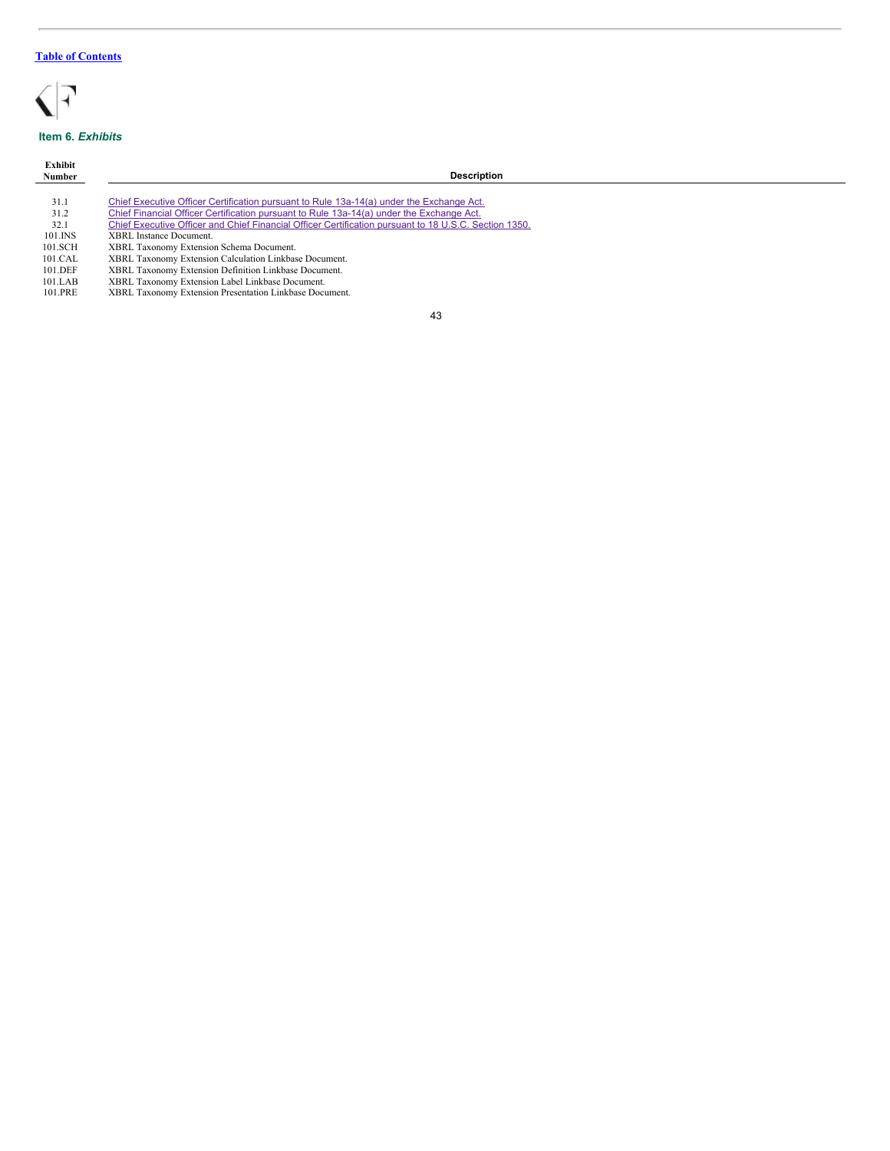# $\overline{\mathbb{F}}$

## <span id="page-44-0"></span>**Item 6.** *Exhibits*

| Exhibit<br>Number | <b>Description</b>                                                                                    |
|-------------------|-------------------------------------------------------------------------------------------------------|
| 31.1              | Chief Executive Officer Certification pursuant to Rule 13a-14(a) under the Exchange Act.              |
| 31.2              | Chief Financial Officer Certification pursuant to Rule 13a-14(a) under the Exchange Act.              |
| 32.1              | Chief Executive Officer and Chief Financial Officer Certification pursuant to 18 U.S.C. Section 1350. |
| 101.INS           | <b>XBRL</b> Instance Document.                                                                        |
| 101.SCH           | XBRL Taxonomy Extension Schema Document.                                                              |
| 101.CAL           | XBRL Taxonomy Extension Calculation Linkbase Document.                                                |
| 101.DEF           | XBRL Taxonomy Extension Definition Linkbase Document.                                                 |
| 101.LAB           | XBRL Taxonomy Extension Label Linkbase Document.                                                      |

101.LAB XBRL Taxonomy Extension Label Linkbase Document. 101.PRE XBRL Taxonomy Extension Presentation Linkbase Document.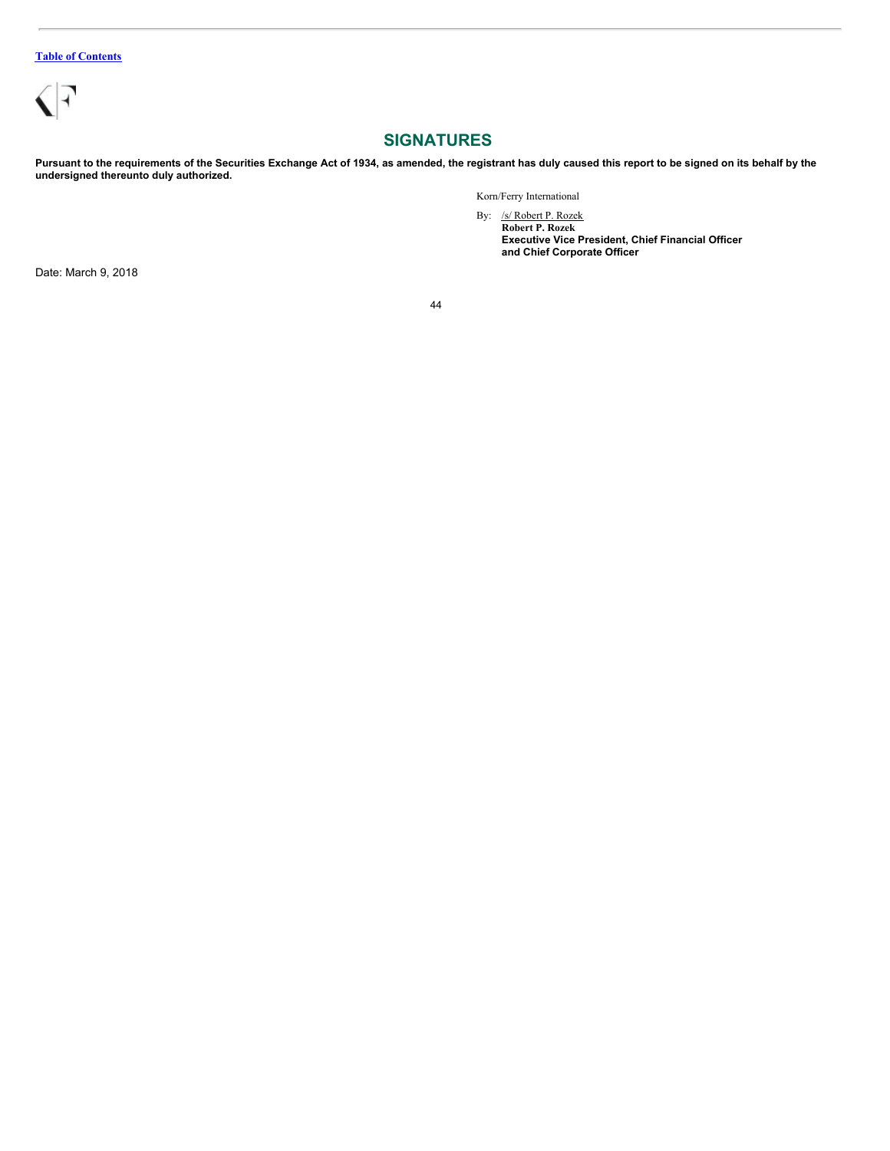

## <span id="page-45-0"></span>**SIGNATURES**

Pursuant to the requirements of the Securities Exchange Act of 1934, as amended, the registrant has duly caused this report to be signed on its behalf by the **undersigned thereunto duly authorized.**

Korn/Ferry International

By: /s/ Robert P. Rozek **Robert P. Rozek Executive Vice President, Chief Financial Officer and Chief Corporate Officer**

Date: March 9, 2018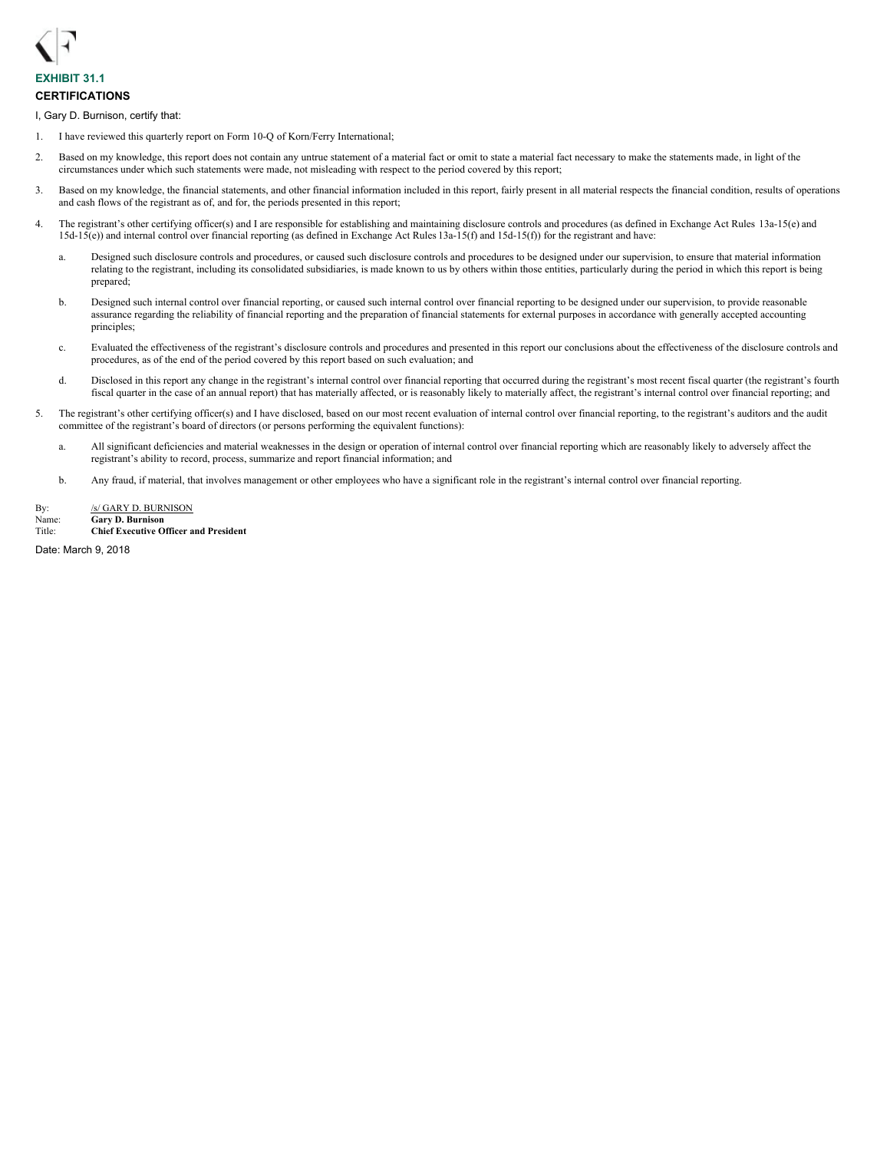<span id="page-46-0"></span>

#### **EXHIBIT 31.1 CERTIFICATIONS**

I, Gary D. Burnison, certify that:

- 1. I have reviewed this quarterly report on Form 10-Q of Korn/Ferry International;
- 2. Based on my knowledge, this report does not contain any untrue statement of a material fact or omit to state a material fact necessary to make the statements made, in light of the circumstances under which such statements were made, not misleading with respect to the period covered by this report;
- 3. Based on my knowledge, the financial statements, and other financial information included in this report, fairly present in all material respects the financial condition, results of operations and cash flows of the registrant as of, and for, the periods presented in this report;
- 4. The registrant's other certifying officer(s) and I are responsible for establishing and maintaining disclosure controls and procedures (as defined in Exchange Act Rules 13a-15(e) and 15d-15(e)) and internal control over financial reporting (as defined in Exchange Act Rules13a-15(f) and 15d-15(f)) for the registrant and have:
	- a. Designed such disclosure controls and procedures, or caused such disclosure controls and procedures to be designed under our supervision, to ensure that material information relating to the registrant, including its consolidated subsidiaries, is made known to us by others within those entities, particularly during the period in which this report is being prepared;
	- b. Designed such internal control over financial reporting, or caused such internal control over financial reporting to be designed under our supervision, to provide reasonable assurance regarding the reliability of financial reporting and the preparation of financial statements for external purposes in accordance with generally accepted accounting principles;
	- c. Evaluated the effectiveness of the registrant's disclosure controls and procedures and presented in this report our conclusions about the effectiveness of the disclosure controls and procedures, as of the end of the period covered by this report based on such evaluation; and
	- d. Disclosed in this report any change in the registrant's internal control over financial reporting that occurred during the registrant's most recent fiscal quarter (the registrant's fourth fiscal quarter in the case of an annual report) that has materially affected, or is reasonably likely to materially affect, the registrant's internal control over financial reporting; and
- 5. The registrant's other certifying officer(s) and I have disclosed, based on our most recent evaluation of internal control over financial reporting, to the registrant's auditors and the audit committee of the registrant's board of directors (or persons performing the equivalent functions):
	- a. All significant deficiencies and material weaknesses in the design or operation of internal control over financial reporting which are reasonably likely to adversely affect the registrant's ability to record, process, summarize and report financial information; and
	- b. Any fraud, if material, that involves management or other employees who have a significant role in the registrant's internal control over financial reporting.

By: /s/ GARY D. BURNISON Name: **Gary D. Burnison Chief Executive Officer and President** 

Date: March 9, 2018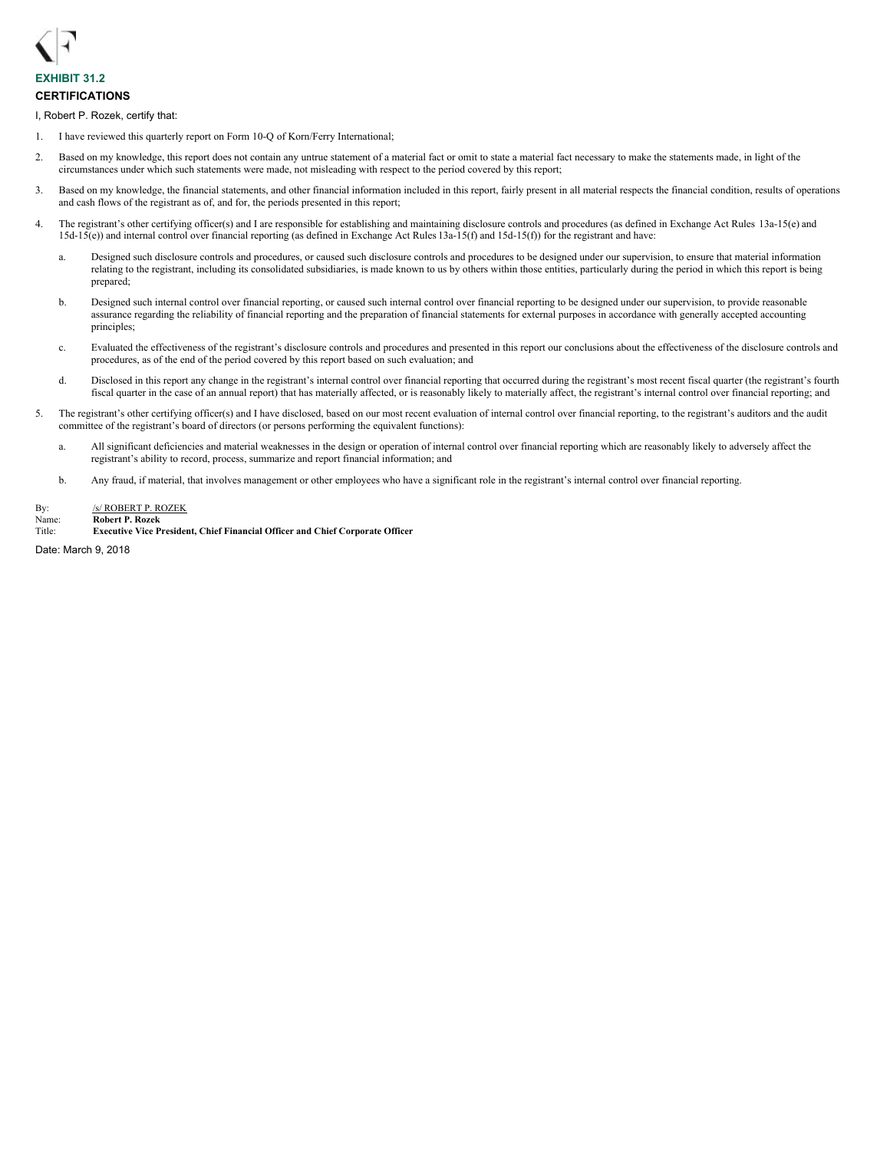<span id="page-47-0"></span>

#### **EXHIBIT 31.2 CERTIFICATIONS**

I, Robert P. Rozek, certify that:

- 1. I have reviewed this quarterly report on Form 10-Q of Korn/Ferry International;
- 2. Based on my knowledge, this report does not contain any untrue statement of a material fact or omit to state a material fact necessary to make the statements made, in light of the circumstances under which such statements were made, not misleading with respect to the period covered by this report;
- 3. Based on my knowledge, the financial statements, and other financial information included in this report, fairly present in all material respects the financial condition, results of operations and cash flows of the registrant as of, and for, the periods presented in this report;
- 4. The registrant's other certifying officer(s) and I are responsible for establishing and maintaining disclosure controls and procedures (as defined in Exchange Act Rules 13a-15(e) and 15d-15(e)) and internal control over financial reporting (as defined in Exchange Act Rules13a-15(f) and 15d-15(f)) for the registrant and have:
	- a. Designed such disclosure controls and procedures, or caused such disclosure controls and procedures to be designed under our supervision, to ensure that material information relating to the registrant, including its consolidated subsidiaries, is made known to us by others within those entities, particularly during the period in which this report is being prepared;
	- b. Designed such internal control over financial reporting, or caused such internal control over financial reporting to be designed under our supervision, to provide reasonable assurance regarding the reliability of financial reporting and the preparation of financial statements for external purposes in accordance with generally accepted accounting principles;
	- c. Evaluated the effectiveness of the registrant's disclosure controls and procedures and presented in this report our conclusions about the effectiveness of the disclosure controls and procedures, as of the end of the period covered by this report based on such evaluation; and
	- d. Disclosed in this report any change in the registrant's internal control over financial reporting that occurred during the registrant's most recent fiscal quarter (the registrant's fourth fiscal quarter in the case of an annual report) that has materially affected, or is reasonably likely to materially affect, the registrant's internal control over financial reporting; and
- 5. The registrant's other certifying officer(s) and I have disclosed, based on our most recent evaluation of internal control over financial reporting, to the registrant's auditors and the audit committee of the registrant's board of directors (or persons performing the equivalent functions):
	- a. All significant deficiencies and material weaknesses in the design or operation of internal control over financial reporting which are reasonably likely to adversely affect the registrant's ability to record, process, summarize and report financial information; and
	- b. Any fraud, if material, that involves management or other employees who have a significant role in the registrant's internal control over financial reporting.

| By:    | /s/ ROBERT P. ROZEK            |
|--------|--------------------------------|
| Name:  | Robert P. Rozek                |
| Title: | <b>Executive Vice Presiden</b> |

#### Title: **Executive Vice President, Chief Financial Officer and Chief Corporate Officer**

Date: March 9, 2018